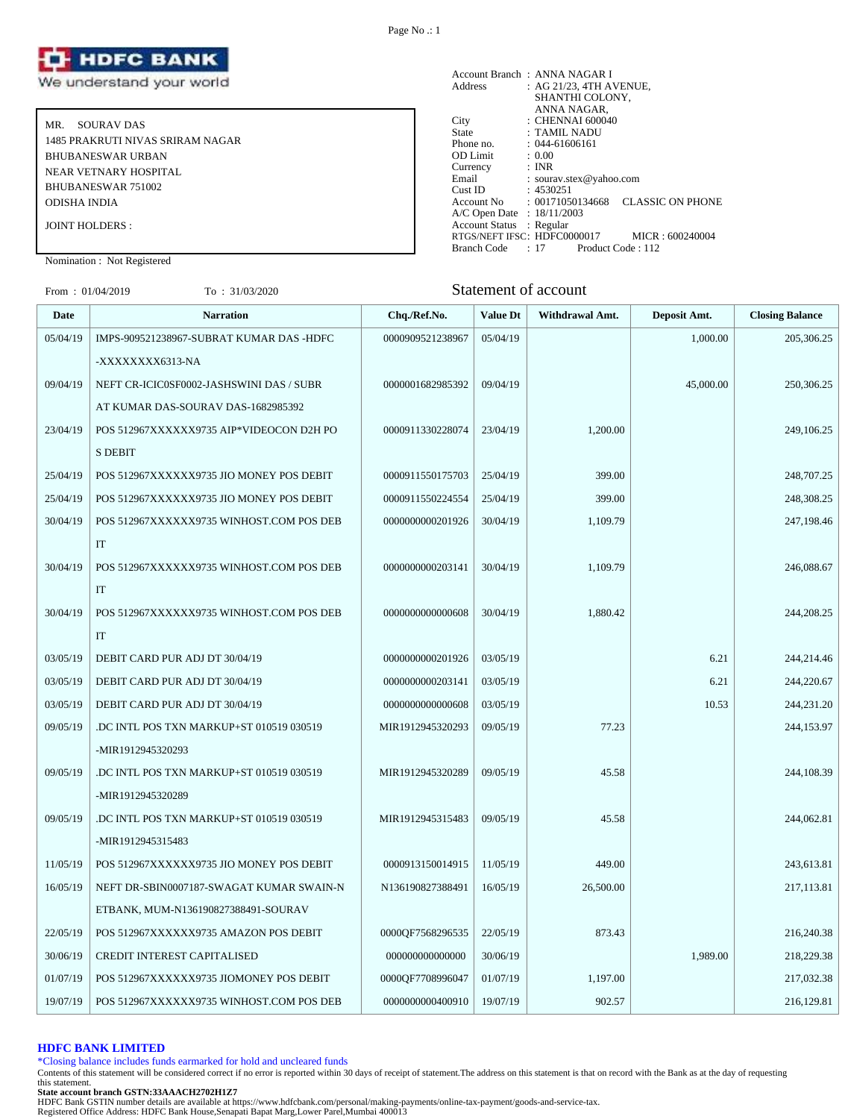

MR. SOURAV DAS 1485 PRAKRUTI NIVAS SRIRAM NAGAR BHUBANESWAR URBAN NEAR VETNARY HOSPITAL BHUBANESWAR 751002 ODISHA INDIA JOINT HOLDERS :

Account Branch : ANNA NAGAR I<br>Address : AG 21/23, 4TH A  $\therefore$  AG 21/23, 4TH AVENUE, SHANTHI COLONY, ANNA NAGAR, City : CHENNAI 600040 State : TAMIL NADU Phone no. : 044-61606161<br>OD Limit : 0.00 OD Limit :  $0.00$ <br>Currency : INR Currency<br>Email Email : sourav.stex@yahoo.com<br>Cust ID : 4530251  $: 4530251$ Account No : 00171050134668 CLASSIC ON PHONE A/C Open Date : 18/11/2003 Account Status : Regular RTGS/NEFT IFSC: HDFC0000017 MICR : 600240004<br>Branch Code : 17 Product Code : 112 Branch Code : 17

# Nomination : Not Registered

# From : 01/04/2019 To : 31/03/2020 Statement of account

| Date     | <b>Narration</b>                         | Chq./Ref.No.     | <b>Value Dt</b> | Withdrawal Amt. | Deposit Amt. | <b>Closing Balance</b> |
|----------|------------------------------------------|------------------|-----------------|-----------------|--------------|------------------------|
| 05/04/19 | IMPS-909521238967-SUBRAT KUMAR DAS -HDFC | 0000909521238967 | 05/04/19        |                 | 1,000.00     | 205,306.25             |
|          | -XXXXXXXX6313-NA                         |                  |                 |                 |              |                        |
| 09/04/19 | NEFT CR-ICIC0SF0002-JASHSWINI DAS / SUBR | 0000001682985392 | 09/04/19        |                 | 45,000.00    | 250,306.25             |
|          | AT KUMAR DAS-SOURAV DAS-1682985392       |                  |                 |                 |              |                        |
| 23/04/19 | POS 512967XXXXXX9735 AIP*VIDEOCON D2H PO | 0000911330228074 | 23/04/19        | 1,200.00        |              | 249,106.25             |
|          | <b>S DEBIT</b>                           |                  |                 |                 |              |                        |
| 25/04/19 | POS 512967XXXXXX9735 JIO MONEY POS DEBIT | 0000911550175703 | 25/04/19        | 399.00          |              | 248,707.25             |
| 25/04/19 | POS 512967XXXXXX9735 JIO MONEY POS DEBIT | 0000911550224554 | 25/04/19        | 399.00          |              | 248,308.25             |
| 30/04/19 | POS 512967XXXXXX9735 WINHOST.COM POS DEB | 0000000000201926 | 30/04/19        | 1,109.79        |              | 247,198.46             |
|          | IT                                       |                  |                 |                 |              |                        |
| 30/04/19 | POS 512967XXXXXX9735 WINHOST.COM POS DEB | 0000000000203141 | 30/04/19        | 1,109.79        |              | 246,088.67             |
|          | IT                                       |                  |                 |                 |              |                        |
| 30/04/19 | POS 512967XXXXXX9735 WINHOST.COM POS DEB | 0000000000000608 | 30/04/19        | 1,880.42        |              | 244,208.25             |
|          | IT                                       |                  |                 |                 |              |                        |
| 03/05/19 | DEBIT CARD PUR ADJ DT 30/04/19           | 0000000000201926 | 03/05/19        |                 | 6.21         | 244,214.46             |
| 03/05/19 | DEBIT CARD PUR ADJ DT 30/04/19           | 0000000000203141 | 03/05/19        |                 | 6.21         | 244,220.67             |
| 03/05/19 | DEBIT CARD PUR ADJ DT 30/04/19           | 0000000000000608 | 03/05/19        |                 | 10.53        | 244,231.20             |
| 09/05/19 | .DC INTL POS TXN MARKUP+ST 010519 030519 | MIR1912945320293 | 09/05/19        | 77.23           |              | 244,153.97             |
|          | -MIR1912945320293                        |                  |                 |                 |              |                        |
| 09/05/19 | .DC INTL POS TXN MARKUP+ST 010519 030519 | MIR1912945320289 | 09/05/19        | 45.58           |              | 244,108.39             |
|          | -MIR1912945320289                        |                  |                 |                 |              |                        |
| 09/05/19 | DC INTL POS TXN MARKUP+ST 010519 030519  | MIR1912945315483 | 09/05/19        | 45.58           |              | 244,062.81             |
|          | -MIR1912945315483                        |                  |                 |                 |              |                        |
| 11/05/19 | POS 512967XXXXXX9735 JIO MONEY POS DEBIT | 0000913150014915 | 11/05/19        | 449.00          |              | 243,613.81             |
| 16/05/19 | NEFT DR-SBIN0007187-SWAGAT KUMAR SWAIN-N | N136190827388491 | 16/05/19        | 26,500.00       |              | 217,113.81             |
|          | ETBANK, MUM-N136190827388491-SOURAV      |                  |                 |                 |              |                        |
| 22/05/19 | POS 512967XXXXXX9735 AMAZON POS DEBIT    | 0000QF7568296535 | 22/05/19        | 873.43          |              | 216,240.38             |
| 30/06/19 | CREDIT INTEREST CAPITALISED              | 000000000000000  | 30/06/19        |                 | 1,989.00     | 218,229.38             |
| 01/07/19 | POS 512967XXXXXX9735 JIOMONEY POS DEBIT  | 0000QF7708996047 | 01/07/19        | 1,197.00        |              | 217,032.38             |
| 19/07/19 | POS 512967XXXXXX9735 WINHOST.COM POS DEB | 0000000000400910 | 19/07/19        | 902.57          |              | 216,129.81             |

#### **HDFC BANK LIMITED**

\*Closing balance includes funds earmarked for hold and uncleared funds

Contents of this statement will be considered correct if no error is reported within 30 days of receipt of statement.The address on this statement is that on record with the Bank as at the day of requesting this statement.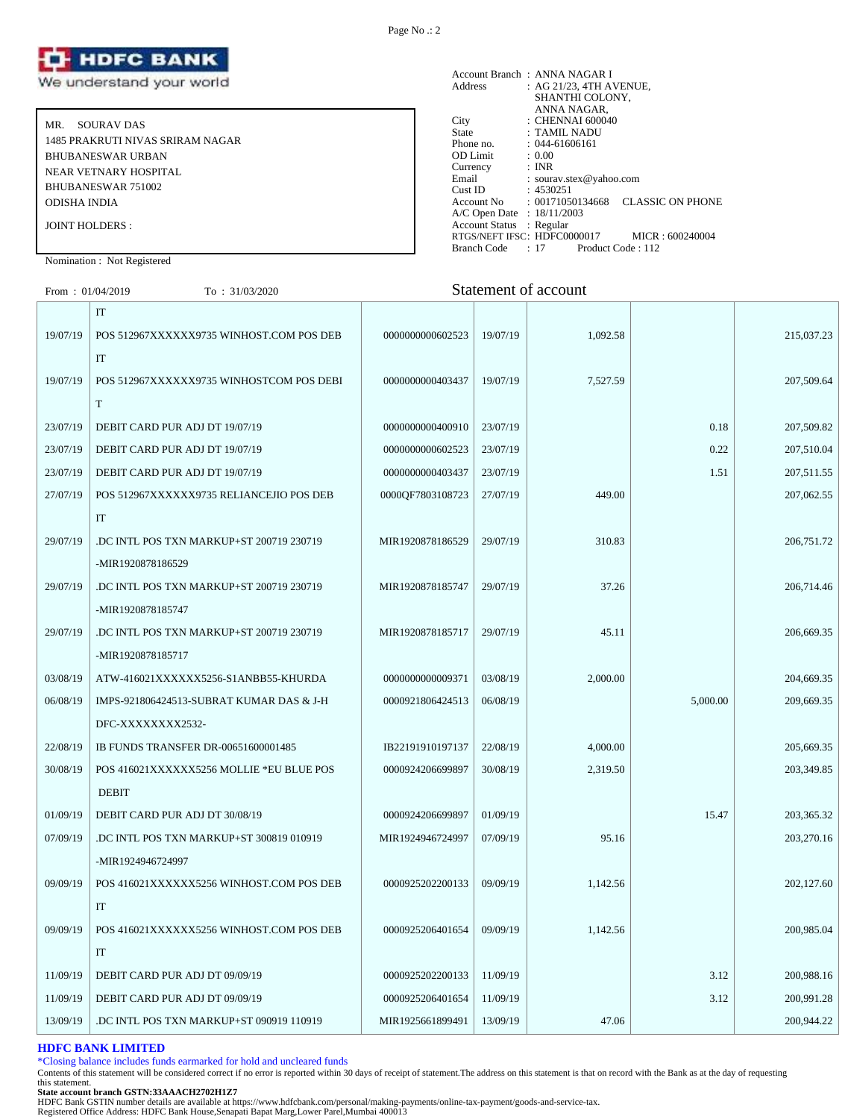

MR. SOURAV DAS 1485 PRAKRUTI NIVAS SRIRAM NAGAR BHUBANESWAR URBAN NEAR VETNARY HOSPITAL BHUBANESWAR 751002 ODISHA INDIA JOINT HOLDERS :

Account Branch : ANNA NAGAR I<br>Address : AG 21/23, 4TH A : AG 21/23, 4TH AVENUE, SHANTHI COLONY, ANNA NAGAR, City : CHENNAI 600040<br>State : TAMIL NADU State : TAMIL NADU<br>Phone no. : 044-61606161  $: 044-61606161$ <br> $: 0.00$ OD Limit :  $0.00$ <br>Currency : INR Currency<br>Email Email : sourav.stex@yahoo.com<br>
Cust ID : 4530251 Cust ID : 4530251<br>Account No : 0017105 : 00171050134668 CLASSIC ON PHONE A/C Open Date : 18/11/2003 Account Status : Regular RTGS/NEFT IFSC: HDFC0000017 MICR : 600240004<br>Branch Code : 17 Product Code : 112 Branch Code : 17

# Nomination : Not Registered

| From: 01/04/2019 | To: $31/03/2020$                         |                  |          | Statement of account |          |            |
|------------------|------------------------------------------|------------------|----------|----------------------|----------|------------|
|                  | $\mathop{\text{IT}}$                     |                  |          |                      |          |            |
| 19/07/19         | POS 512967XXXXXX9735 WINHOST.COM POS DEB | 0000000000602523 | 19/07/19 | 1,092.58             |          | 215,037.23 |
|                  | IT                                       |                  |          |                      |          |            |
| 19/07/19         | POS 512967XXXXXX9735 WINHOSTCOM POS DEBI | 0000000000403437 | 19/07/19 | 7,527.59             |          | 207,509.64 |
|                  | T                                        |                  |          |                      |          |            |
| 23/07/19         | DEBIT CARD PUR ADJ DT 19/07/19           | 0000000000400910 | 23/07/19 |                      | 0.18     | 207,509.82 |
| 23/07/19         | DEBIT CARD PUR ADJ DT 19/07/19           | 0000000000602523 | 23/07/19 |                      | 0.22     | 207,510.04 |
| 23/07/19         | DEBIT CARD PUR ADJ DT 19/07/19           | 0000000000403437 | 23/07/19 |                      | 1.51     | 207,511.55 |
| 27/07/19         | POS 512967XXXXXX9735 RELIANCEJIO POS DEB | 0000QF7803108723 | 27/07/19 | 449.00               |          | 207,062.55 |
|                  | <b>IT</b>                                |                  |          |                      |          |            |
| 29/07/19         | .DC INTL POS TXN MARKUP+ST 200719 230719 | MIR1920878186529 | 29/07/19 | 310.83               |          | 206,751.72 |
|                  | -MIR1920878186529                        |                  |          |                      |          |            |
| 29/07/19         | .DC INTL POS TXN MARKUP+ST 200719 230719 | MIR1920878185747 | 29/07/19 | 37.26                |          | 206,714.46 |
|                  | -MIR1920878185747                        |                  |          |                      |          |            |
| 29/07/19         | .DC INTL POS TXN MARKUP+ST 200719 230719 | MIR1920878185717 | 29/07/19 | 45.11                |          | 206,669.35 |
|                  | -MIR1920878185717                        |                  |          |                      |          |            |
| 03/08/19         | ATW-416021XXXXXX5256-S1ANBB55-KHURDA     | 0000000000009371 | 03/08/19 | 2,000.00             |          | 204,669.35 |
| 06/08/19         | IMPS-921806424513-SUBRAT KUMAR DAS & J-H | 0000921806424513 | 06/08/19 |                      | 5,000.00 | 209,669.35 |
|                  | DFC-XXXXXXXX2532-                        |                  |          |                      |          |            |
| 22/08/19         | IB FUNDS TRANSFER DR-00651600001485      | IB22191910197137 | 22/08/19 | 4,000.00             |          | 205,669.35 |
| 30/08/19         | POS 416021XXXXXX5256 MOLLIE *EU BLUE POS | 0000924206699897 | 30/08/19 | 2,319.50             |          | 203,349.85 |
|                  | <b>DEBIT</b>                             |                  |          |                      |          |            |
| 01/09/19         | DEBIT CARD PUR ADJ DT 30/08/19           | 0000924206699897 | 01/09/19 |                      | 15.47    | 203,365.32 |
| 07/09/19         | .DC INTL POS TXN MARKUP+ST 300819 010919 | MIR1924946724997 | 07/09/19 | 95.16                |          | 203,270.16 |
|                  | -MIR1924946724997                        |                  |          |                      |          |            |
| 09/09/19         | POS 416021XXXXXX5256 WINHOST.COM POS DEB | 0000925202200133 | 09/09/19 | 1,142.56             |          | 202,127.60 |
|                  | <b>IT</b>                                |                  |          |                      |          |            |
| 09/09/19         | POS 416021XXXXXX5256 WINHOST.COM POS DEB | 0000925206401654 | 09/09/19 | 1,142.56             |          | 200,985.04 |
|                  | IT                                       |                  |          |                      |          |            |

**HDFC BANK LIMITED** \*Closing balance includes funds earmarked for hold and uncleared funds

Contents of this statement will be considered correct if no error is reported within 30 days of receipt of statement.The address on this statement is that on record with the Bank as at the day of requesting this statement.

11/09/19 DEBIT CARD PUR ADJ DT 09/09/19 0000925202200133 11/09/19 3.12 200,988.16 11/09/19 DEBIT CARD PUR ADJ DT 09/09/19 0000925206401654 11/09/19 3.12 200,991.28 13/09/19 DC INTL POS TXN MARKUP+ST 090919 110919 | MIR1925661899491 | 13/09/19 | 47.06 | 200,944.22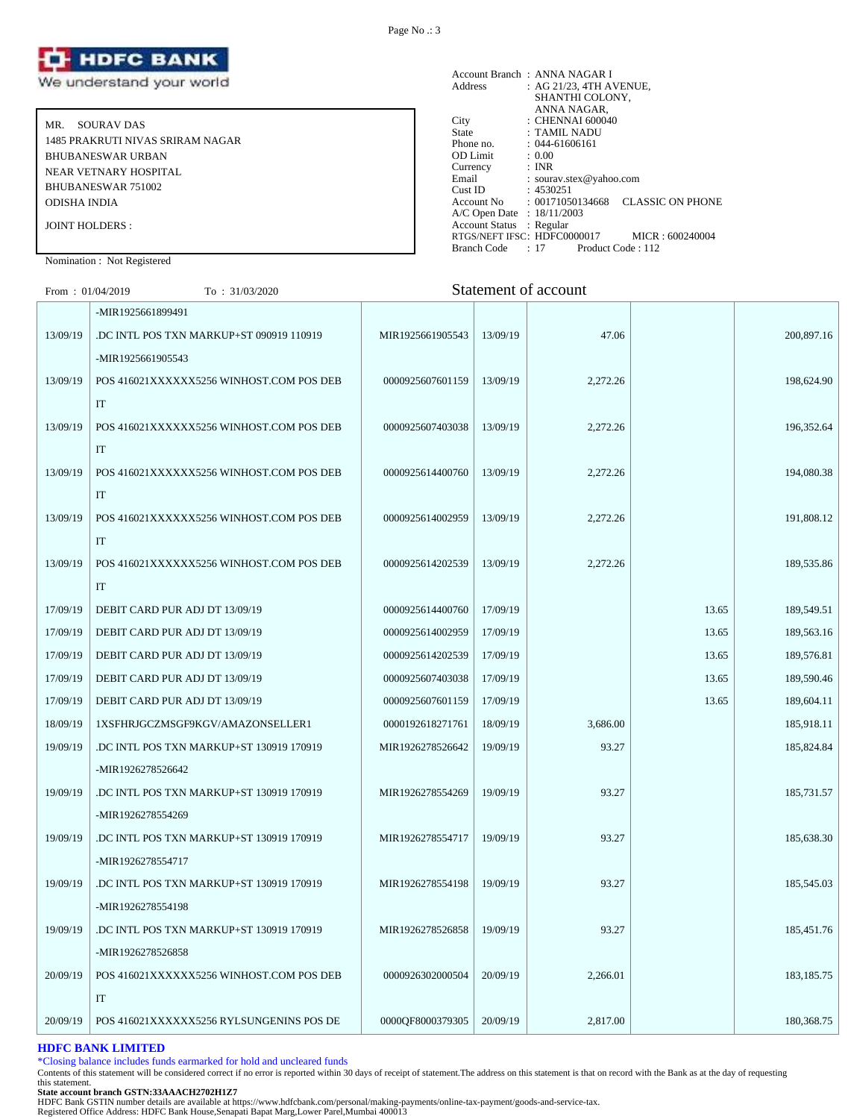

MR. SOURAV DAS 1485 PRAKRUTI NIVAS SRIRAM NAGAR BHUBANESWAR URBAN NEAR VETNARY HOSPITAL BHUBANESWAR 751002 ODISHA INDIA JOINT HOLDERS :

Account Branch : ANNA NAGAR I Address : AG 21/23, 4TH AVENUE, SHANTHI COLONY, ANNA NAGAR, City : CHENNAI 600040 State : TAMIL NADU Phone no. : 044-61606161<br>OD Limit : 0.00 OD Limit :  $0.00$ <br>Currency : INR Currency<br>Email Email : sourav.stex@yahoo.com<br>Cust ID : 4530251 Cust ID : 4530251 Account No : 00171050134668 CLASSIC ON PHONE A/C Open Date : 18/11/2003 Account Status : Regular RTGS/NEFT IFSC: HDFC0000017 MICR : 600240004<br>Branch Code : 17 Product Code : 112 Branch Code : 17

# Nomination : Not Registered

| From: $01/04/2019$ | To: 31/03/2020                           |                  |          | Statement of account |       |              |
|--------------------|------------------------------------------|------------------|----------|----------------------|-------|--------------|
|                    | -MIR1925661899491                        |                  |          |                      |       |              |
| 13/09/19           | DC INTL POS TXN MARKUP+ST 090919 110919  | MIR1925661905543 | 13/09/19 | 47.06                |       | 200,897.16   |
|                    | -MIR1925661905543                        |                  |          |                      |       |              |
| 13/09/19           | POS 416021XXXXXX5256 WINHOST.COM POS DEB | 0000925607601159 | 13/09/19 | 2,272.26             |       | 198,624.90   |
|                    | $\rm IT$                                 |                  |          |                      |       |              |
| 13/09/19           | POS 416021XXXXXX5256 WINHOST.COM POS DEB | 0000925607403038 | 13/09/19 | 2,272.26             |       | 196,352.64   |
|                    | IT                                       |                  |          |                      |       |              |
| 13/09/19           | POS 416021XXXXXX5256 WINHOST.COM POS DEB | 0000925614400760 | 13/09/19 | 2,272.26             |       | 194,080.38   |
|                    | IT                                       |                  |          |                      |       |              |
| 13/09/19           | POS 416021XXXXXX5256 WINHOST.COM POS DEB | 0000925614002959 | 13/09/19 | 2,272.26             |       | 191,808.12   |
|                    | IT                                       |                  |          |                      |       |              |
| 13/09/19           | POS 416021XXXXXX5256 WINHOST.COM POS DEB | 0000925614202539 | 13/09/19 | 2,272.26             |       | 189,535.86   |
|                    | IT                                       |                  |          |                      |       |              |
| 17/09/19           | DEBIT CARD PUR ADJ DT 13/09/19           | 0000925614400760 | 17/09/19 |                      | 13.65 | 189,549.51   |
| 17/09/19           | DEBIT CARD PUR ADJ DT 13/09/19           | 0000925614002959 | 17/09/19 |                      | 13.65 | 189,563.16   |
| 17/09/19           | DEBIT CARD PUR ADJ DT 13/09/19           | 0000925614202539 | 17/09/19 |                      | 13.65 | 189,576.81   |
| 17/09/19           | DEBIT CARD PUR ADJ DT 13/09/19           | 0000925607403038 | 17/09/19 |                      | 13.65 | 189,590.46   |
| 17/09/19           | DEBIT CARD PUR ADJ DT 13/09/19           | 0000925607601159 | 17/09/19 |                      | 13.65 | 189,604.11   |
| 18/09/19           | 1XSFHRJGCZMSGF9KGV/AMAZONSELLER1         | 0000192618271761 | 18/09/19 | 3,686.00             |       | 185,918.11   |
| 19/09/19           | .DC INTL POS TXN MARKUP+ST 130919 170919 | MIR1926278526642 | 19/09/19 | 93.27                |       | 185,824.84   |
|                    | -MIR1926278526642                        |                  |          |                      |       |              |
| 19/09/19           | .DC INTL POS TXN MARKUP+ST 130919 170919 | MIR1926278554269 | 19/09/19 | 93.27                |       | 185,731.57   |
|                    | -MIR1926278554269                        |                  |          |                      |       |              |
| 19/09/19           | DC INTL POS TXN MARKUP+ST 130919 170919  | MIR1926278554717 | 19/09/19 | 93.27                |       | 185,638.30   |
|                    | -MIR1926278554717                        |                  |          |                      |       |              |
| 19/09/19           | .DC INTL POS TXN MARKUP+ST 130919 170919 | MIR1926278554198 | 19/09/19 | 93.27                |       | 185,545.03   |
|                    | -MIR1926278554198                        |                  |          |                      |       |              |
| 19/09/19           | DC INTL POS TXN MARKUP+ST 130919 170919  | MIR1926278526858 | 19/09/19 | 93.27                |       | 185,451.76   |
|                    | -MIR1926278526858                        |                  |          |                      |       |              |
| 20/09/19           | POS 416021XXXXXX5256 WINHOST.COM POS DEB | 0000926302000504 | 20/09/19 | 2,266.01             |       | 183, 185. 75 |

#### **HDFC BANK LIMITED**

IT

\*Closing balance includes funds earmarked for hold and uncleared funds

Contents of this statement will be considered correct if no error is reported within 30 days of receipt of statement.The address on this statement is that on record with the Bank as at the day of requesting this statement.

20/09/19 POS 416021XXXXXX5256 RYLSUNGENINS POS DE 0000QF8000379305 20/09/19 2,817.00 180,368.75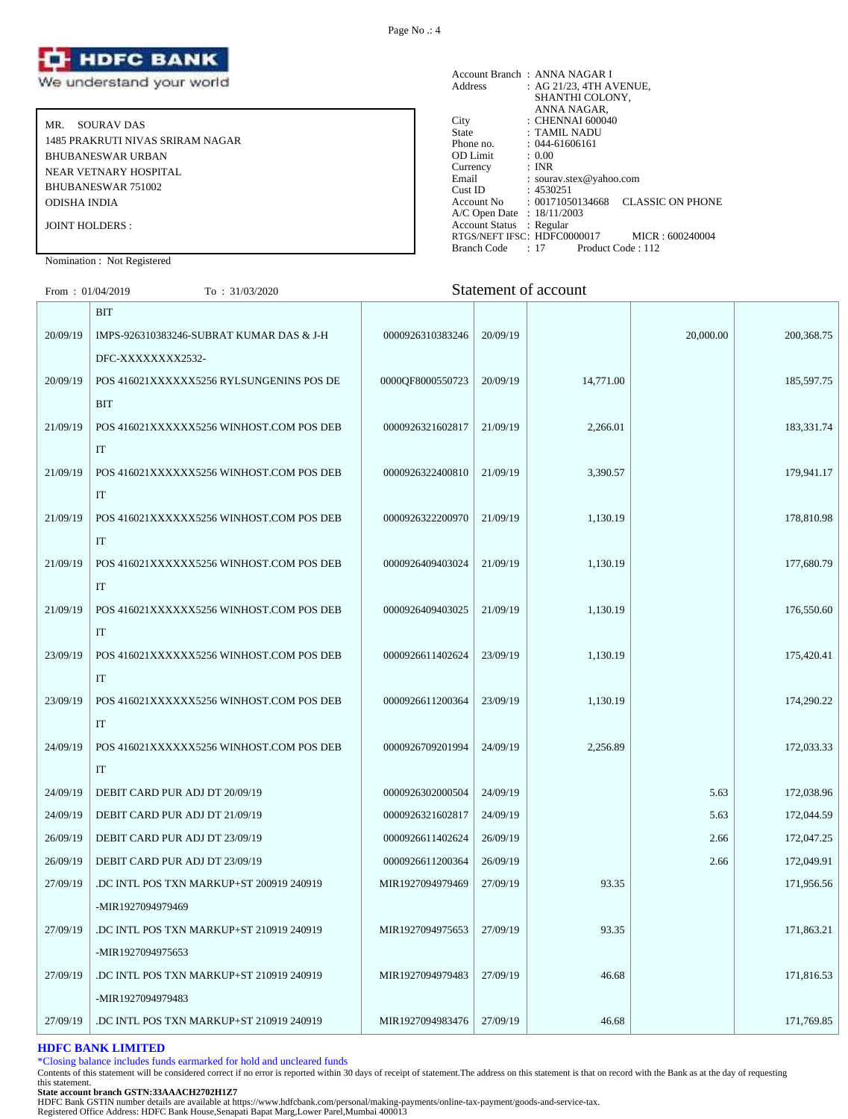

MR. SOURAV DAS 1485 PRAKRUTI NIVAS SRIRAM NAGAR BHUBANESWAR URBAN NEAR VETNARY HOSPITAL BHUBANESWAR 751002 ODISHA INDIA JOINT HOLDERS :

Account Branch : ANNA NAGAR I<br>Address : AG 21/23, 4TH A  $AC$  21/23, 4TH AVENUE, SHANTHI COLONY, ANNA NAGAR, City : CHENNAI 600040 State : TAMIL NADU Phone no. : 044-61606161<br>OD Limit : 0.00 OD Limit :  $0.00$ <br>Currency : INR Currency<br>Email Email : sourav.stex@yahoo.com<br>Cust ID : 4530251 Cust ID : 4530251<br>Account No : 0017105 : 00171050134668 CLASSIC ON PHONE A/C Open Date : 18/11/2003 Account Status : Regular RTGS/NEFT IFSC: HDFC0000017 MICR : 600240004<br>Branch Code : 17 Product Code : 112 Branch Code : 17

# Nomination : Not Registered

| From: $01/04/2019$ | To: 31/03/2020                           |                  |          | Statement of account |           |              |
|--------------------|------------------------------------------|------------------|----------|----------------------|-----------|--------------|
|                    | <b>BIT</b>                               |                  |          |                      |           |              |
| 20/09/19           | IMPS-926310383246-SUBRAT KUMAR DAS & J-H | 0000926310383246 | 20/09/19 |                      | 20,000.00 | 200, 368. 75 |
|                    | DFC-XXXXXXXX2532-                        |                  |          |                      |           |              |
| 20/09/19           | POS 416021XXXXXX5256 RYLSUNGENINS POS DE | 0000QF8000550723 | 20/09/19 | 14,771.00            |           | 185,597.75   |
|                    | BIT                                      |                  |          |                      |           |              |
| 21/09/19           | POS 416021XXXXXX5256 WINHOST.COM POS DEB | 0000926321602817 | 21/09/19 | 2,266.01             |           | 183,331.74   |
|                    | IT                                       |                  |          |                      |           |              |
| 21/09/19           | POS 416021XXXXXX5256 WINHOST.COM POS DEB | 0000926322400810 | 21/09/19 | 3,390.57             |           | 179,941.17   |
|                    | IT                                       |                  |          |                      |           |              |
| 21/09/19           | POS 416021XXXXXX5256 WINHOST.COM POS DEB | 0000926322200970 | 21/09/19 | 1,130.19             |           | 178,810.98   |
|                    | IT                                       |                  |          |                      |           |              |
| 21/09/19           | POS 416021XXXXXX5256 WINHOST.COM POS DEB | 0000926409403024 | 21/09/19 | 1,130.19             |           | 177,680.79   |
|                    | IT                                       |                  |          |                      |           |              |
| 21/09/19           | POS 416021XXXXXX5256 WINHOST.COM POS DEB | 0000926409403025 | 21/09/19 | 1,130.19             |           | 176,550.60   |
|                    | IT                                       |                  |          |                      |           |              |
| 23/09/19           | POS 416021XXXXXX5256 WINHOST.COM POS DEB | 0000926611402624 | 23/09/19 | 1,130.19             |           | 175,420.41   |
|                    | IT                                       |                  |          |                      |           |              |
| 23/09/19           | POS 416021XXXXXX5256 WINHOST.COM POS DEB | 0000926611200364 | 23/09/19 | 1,130.19             |           | 174,290.22   |
|                    | IT                                       |                  |          |                      |           |              |
| 24/09/19           | POS 416021XXXXXX5256 WINHOST.COM POS DEB | 0000926709201994 | 24/09/19 | 2,256.89             |           | 172,033.33   |
|                    | IT                                       |                  |          |                      |           |              |
| 24/09/19           | DEBIT CARD PUR ADJ DT 20/09/19           | 0000926302000504 | 24/09/19 |                      | 5.63      | 172,038.96   |
| 24/09/19           | DEBIT CARD PUR ADJ DT 21/09/19           | 0000926321602817 | 24/09/19 |                      | 5.63      | 172,044.59   |
| 26/09/19           | DEBIT CARD PUR ADJ DT 23/09/19           | 0000926611402624 | 26/09/19 |                      | 2.66      | 172,047.25   |
| 26/09/19           | DEBIT CARD PUR ADJ DT 23/09/19           | 0000926611200364 | 26/09/19 |                      | 2.66      | 172,049.91   |
| 27/09/19           | .DC INTL POS TXN MARKUP+ST 200919 240919 | MIR1927094979469 | 27/09/19 | 93.35                |           | 171,956.56   |
|                    | -MIR1927094979469                        |                  |          |                      |           |              |
| 27/09/19           | .DC INTL POS TXN MARKUP+ST 210919 240919 | MIR1927094975653 | 27/09/19 | 93.35                |           | 171,863.21   |
|                    | -MIR1927094975653                        |                  |          |                      |           |              |
| 27/09/19           | .DC INTL POS TXN MARKUP+ST 210919 240919 | MIR1927094979483 | 27/09/19 | 46.68                |           | 171,816.53   |
|                    | -MIR1927094979483                        |                  |          |                      |           |              |

#### **HDFC BANK LIMITED**

\*Closing balance includes funds earmarked for hold and uncleared funds

Contents of this statement will be considered correct if no error is reported within 30 days of receipt of statement.The address on this statement is that on record with the Bank as at the day of requesting this statement.

27/09/19 DC INTL POS TXN MARKUP+ST 210919 240919 MIR1927094983476 27/09/19 46.68 171,769.85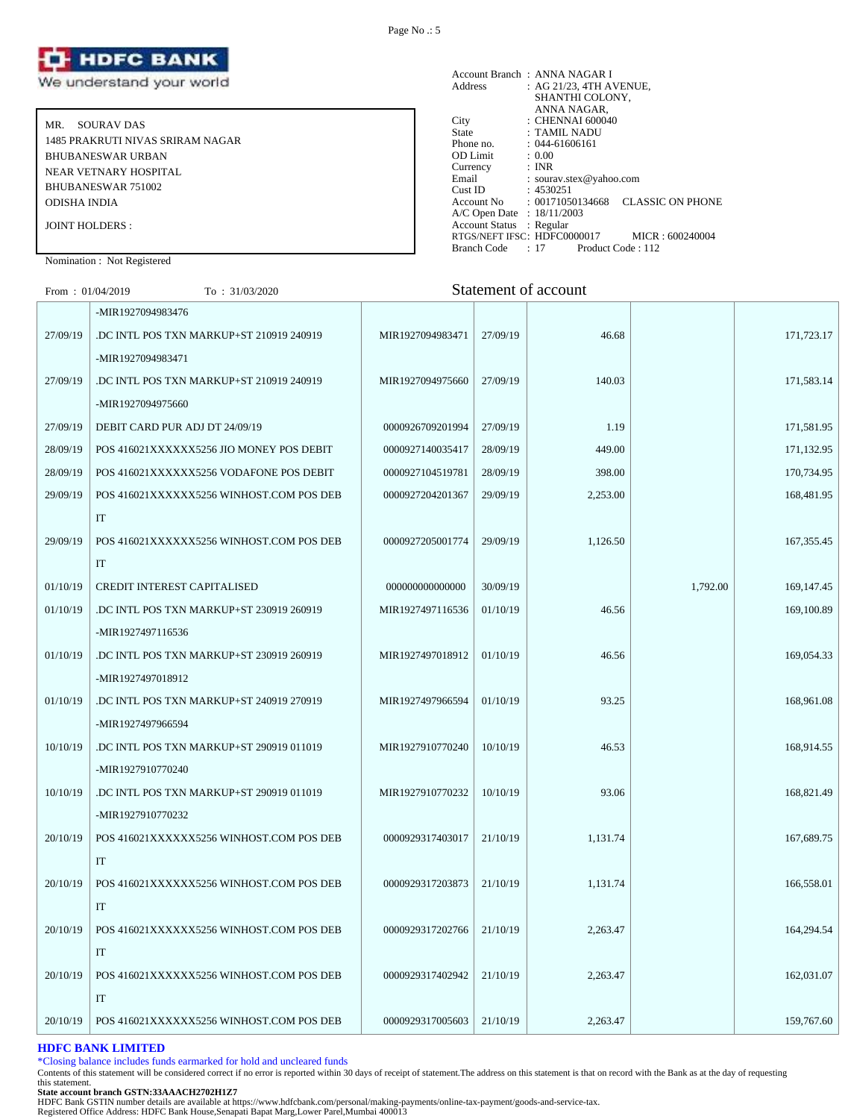

MR. SOURAV DAS 1485 PRAKRUTI NIVAS SRIRAM NAGAR BHUBANESWAR URBAN NEAR VETNARY HOSPITAL BHUBANESWAR 751002 ODISHA INDIA JOINT HOLDERS :

#### Account Branch : ANNA NAGAR I Address : AG 21/23, 4TH AVENUE, SHANTHI COLONY, ANNA NAGAR, City : CHENNAI 600040 State : TAMIL NADU Phone no. : 044-61606161<br>
OD Limit : 0.00<br>
Currency : INR OD Limit Currency<br>Email : sourav.stex@yahoo.com Cust ID : 4530251 Account No : 00171050134668 CLASSIC ON PHONE A/C Open Date : 18/11/2003 Account Status : Regular RTGS/NEFT IFSC: HDFC0000017 MICR : 600240004<br>Branch Code : 17 Product Code : 112 Branch Code : 17

# Nomination : Not Registered

# From : 01/04/2019 To : 31/03/2020 Statement of account

|          | -MIR1927094983476                        |                  |          |          |          |              |
|----------|------------------------------------------|------------------|----------|----------|----------|--------------|
| 27/09/19 | DC INTL POS TXN MARKUP+ST 210919 240919  | MIR1927094983471 | 27/09/19 | 46.68    |          | 171,723.17   |
|          | -MIR1927094983471                        |                  |          |          |          |              |
| 27/09/19 | DC INTL POS TXN MARKUP+ST 210919 240919  | MIR1927094975660 | 27/09/19 | 140.03   |          | 171,583.14   |
|          | -MIR1927094975660                        |                  |          |          |          |              |
| 27/09/19 | DEBIT CARD PUR ADJ DT 24/09/19           | 0000926709201994 | 27/09/19 | 1.19     |          | 171,581.95   |
| 28/09/19 | POS 416021XXXXXX5256 JIO MONEY POS DEBIT | 0000927140035417 | 28/09/19 | 449.00   |          | 171,132.95   |
| 28/09/19 | POS 416021XXXXXX5256 VODAFONE POS DEBIT  | 0000927104519781 | 28/09/19 | 398.00   |          | 170,734.95   |
| 29/09/19 | POS 416021XXXXXX5256 WINHOST.COM POS DEB | 0000927204201367 | 29/09/19 | 2,253.00 |          | 168,481.95   |
|          | IT                                       |                  |          |          |          |              |
| 29/09/19 | POS 416021XXXXXX5256 WINHOST.COM POS DEB | 0000927205001774 | 29/09/19 | 1,126.50 |          | 167, 355.45  |
|          | IT                                       |                  |          |          |          |              |
| 01/10/19 | CREDIT INTEREST CAPITALISED              | 000000000000000  | 30/09/19 |          | 1,792.00 | 169, 147. 45 |
| 01/10/19 | .DC INTL POS TXN MARKUP+ST 230919 260919 | MIR1927497116536 | 01/10/19 | 46.56    |          | 169,100.89   |
|          | -MIR1927497116536                        |                  |          |          |          |              |
| 01/10/19 | .DC INTL POS TXN MARKUP+ST 230919 260919 | MIR1927497018912 | 01/10/19 | 46.56    |          | 169,054.33   |
|          | -MIR1927497018912                        |                  |          |          |          |              |
| 01/10/19 | DC INTL POS TXN MARKUP+ST 240919 270919  | MIR1927497966594 | 01/10/19 | 93.25    |          | 168,961.08   |
|          | -MIR1927497966594                        |                  |          |          |          |              |
| 10/10/19 | .DC INTL POS TXN MARKUP+ST 290919 011019 | MIR1927910770240 | 10/10/19 | 46.53    |          | 168,914.55   |
|          | -MIR1927910770240                        |                  |          |          |          |              |
| 10/10/19 | DC INTL POS TXN MARKUP+ST 290919 011019  | MIR1927910770232 | 10/10/19 | 93.06    |          | 168,821.49   |
|          | -MIR1927910770232                        |                  |          |          |          |              |
| 20/10/19 | POS 416021XXXXXX5256 WINHOST.COM POS DEB | 0000929317403017 | 21/10/19 | 1,131.74 |          | 167,689.75   |
|          | IT                                       |                  |          |          |          |              |
| 20/10/19 | POS 416021XXXXXX5256 WINHOST.COM POS DEB | 0000929317203873 | 21/10/19 | 1,131.74 |          | 166,558.01   |
|          | IT                                       |                  |          |          |          |              |
| 20/10/19 | POS 416021XXXXXX5256 WINHOST.COM POS DEB | 0000929317202766 | 21/10/19 | 2,263.47 |          | 164,294.54   |
|          | IT                                       |                  |          |          |          |              |
| 20/10/19 | POS 416021XXXXXX5256 WINHOST.COM POS DEB | 0000929317402942 | 21/10/19 | 2,263.47 |          | 162,031.07   |
|          | IT                                       |                  |          |          |          |              |
| 20/10/19 | POS 416021XXXXXX5256 WINHOST.COM POS DEB | 0000929317005603 | 21/10/19 | 2,263.47 |          | 159,767.60   |
|          |                                          |                  |          |          |          |              |

# **HDFC BANK LIMITED**

\*Closing balance includes funds earmarked for hold and uncleared funds

Contents of this statement will be considered correct if no error is reported within 30 days of receipt of statement.The address on this statement is that on record with the Bank as at the day of requesting this statement.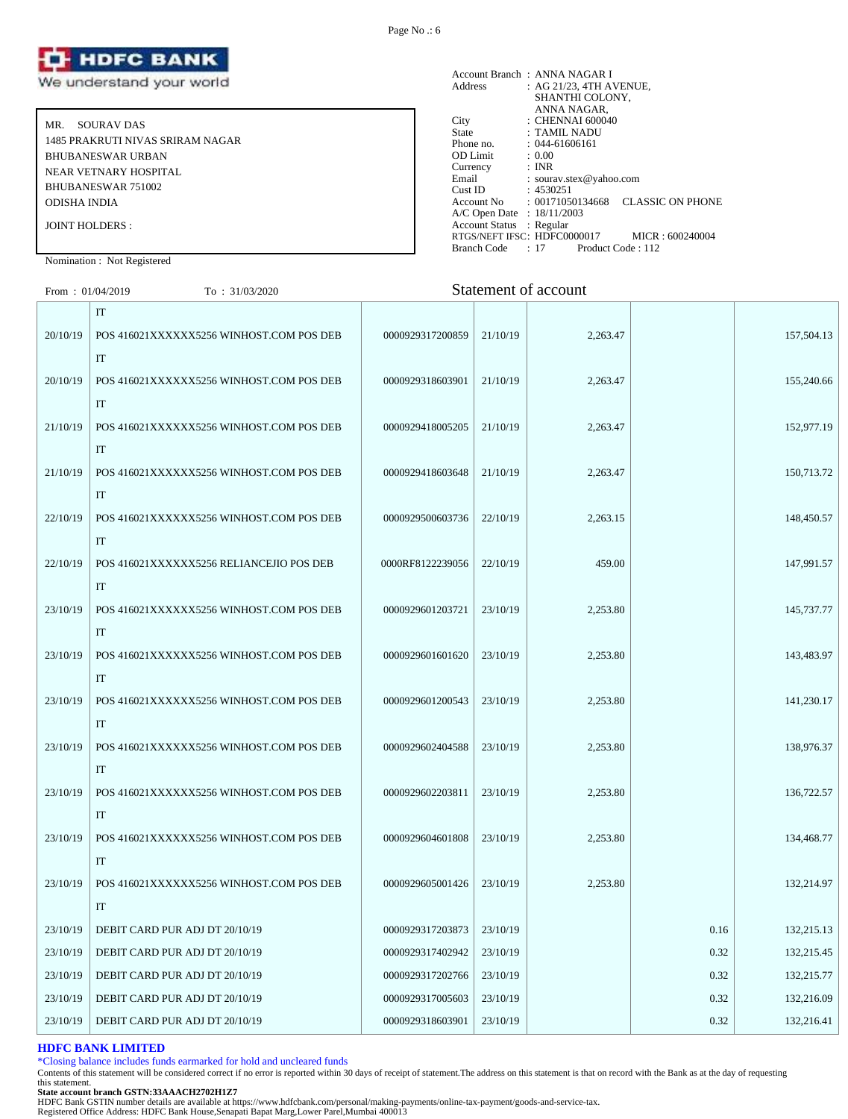

MR. SOURAV DAS 1485 PRAKRUTI NIVAS SRIRAM NAGAR BHUBANESWAR URBAN NEAR VETNARY HOSPITAL BHUBANESWAR 751002 ODISHA INDIA JOINT HOLDERS :

|                            | Account Branch: ANNA NAGAR I                                           |
|----------------------------|------------------------------------------------------------------------|
| Address                    | : AG 21/23, 4TH AVENUE,                                                |
|                            | SHANTHI COLONY.                                                        |
|                            | ANNA NAGAR,                                                            |
| City                       | : CHENNAI 600040                                                       |
| State                      | : TAMIL NADU                                                           |
| Phone no.                  | $: 044 - 61606161$                                                     |
| <b>OD</b> Limit            | : 0.00                                                                 |
| Currency                   | : INR                                                                  |
| Email                      | : sourav.stex@yahoo.com                                                |
| Cust ID                    | : 4530251                                                              |
|                            | <b>CLASSIC ON PHONE</b><br>$\text{Account No} \qquad : 00171050134668$ |
| A/C Open Date : 18/11/2003 |                                                                        |
| Account Status : Regular   |                                                                        |
|                            | RTGS/NEFT IFSC: HDFC0000017<br>MICR: 600240004                         |
| <b>Branch Code</b>         | : 17<br>Product Code: 112                                              |

Nomination : Not Registered

| From: $01/04/2019$ | To: $31/03/2020$                                                             |                  |          | Statement of account |      |            |
|--------------------|------------------------------------------------------------------------------|------------------|----------|----------------------|------|------------|
| 20/10/19           | $\ensuremath{\mathsf{IT}}$<br>POS 416021XXXXXX5256 WINHOST.COM POS DEB<br>IT | 0000929317200859 | 21/10/19 | 2,263.47             |      | 157,504.13 |
| 20/10/19           | POS 416021XXXXXX5256 WINHOST.COM POS DEB<br>$\ensuremath{\text{IT}}$         | 0000929318603901 | 21/10/19 | 2,263.47             |      | 155,240.66 |
| 21/10/19           | POS 416021XXXXXX5256 WINHOST.COM POS DEB<br>$\ensuremath{\text{IT}}$         | 0000929418005205 | 21/10/19 | 2,263.47             |      | 152,977.19 |
| 21/10/19           | POS 416021XXXXXX5256 WINHOST.COM POS DEB<br>$\ensuremath{\text{IT}}$         | 0000929418603648 | 21/10/19 | 2,263.47             |      | 150,713.72 |
| 22/10/19           | POS 416021XXXXXX5256 WINHOST.COM POS DEB<br>IT                               | 0000929500603736 | 22/10/19 | 2,263.15             |      | 148,450.57 |
| 22/10/19           | POS 416021XXXXXX5256 RELIANCEJIO POS DEB<br>IT                               | 0000RF8122239056 | 22/10/19 | 459.00               |      | 147,991.57 |
| 23/10/19           | POS 416021XXXXXX5256 WINHOST.COM POS DEB<br>IT                               | 0000929601203721 | 23/10/19 | 2,253.80             |      | 145,737.77 |
| 23/10/19           | POS 416021XXXXXX5256 WINHOST.COM POS DEB<br>IT                               | 0000929601601620 | 23/10/19 | 2,253.80             |      | 143,483.97 |
| 23/10/19           | POS 416021XXXXXX5256 WINHOST.COM POS DEB<br>IT                               | 0000929601200543 | 23/10/19 | 2,253.80             |      | 141,230.17 |
| 23/10/19           | POS 416021XXXXXX5256 WINHOST.COM POS DEB<br>IT                               | 0000929602404588 | 23/10/19 | 2,253.80             |      | 138,976.37 |
| 23/10/19           | POS 416021XXXXXX5256 WINHOST.COM POS DEB<br>IT                               | 0000929602203811 | 23/10/19 | 2,253.80             |      | 136,722.57 |
| 23/10/19           | POS 416021XXXXXX5256 WINHOST.COM POS DEB<br>IT                               | 0000929604601808 | 23/10/19 | 2,253.80             |      | 134,468.77 |
| 23/10/19           | POS 416021XXXXXX5256 WINHOST.COM POS DEB<br>IT                               | 0000929605001426 | 23/10/19 | 2,253.80             |      | 132,214.97 |
| 23/10/19           | DEBIT CARD PUR ADJ DT 20/10/19                                               | 0000929317203873 | 23/10/19 |                      | 0.16 | 132,215.13 |
| 23/10/19           | DEBIT CARD PUR ADJ DT 20/10/19                                               | 0000929317402942 | 23/10/19 |                      | 0.32 | 132,215.45 |
| 23/10/19           | DEBIT CARD PUR ADJ DT 20/10/19                                               | 0000929317202766 | 23/10/19 |                      | 0.32 | 132,215.77 |
| 23/10/19           | DEBIT CARD PUR ADJ DT 20/10/19                                               | 0000929317005603 | 23/10/19 |                      | 0.32 | 132,216.09 |

#### **HDFC BANK LIMITED**

\*Closing balance includes funds earmarked for hold and uncleared funds

Contents of this statement will be considered correct if no error is reported within 30 days of receipt of statement.The address on this statement is that on record with the Bank as at the day of requesting this statement.

23/10/19 DEBIT CARD PUR ADJ DT 20/10/19  $\Big|$  0000929318603901 23/10/19  $\Big|$  0.32 0.32 132,216.41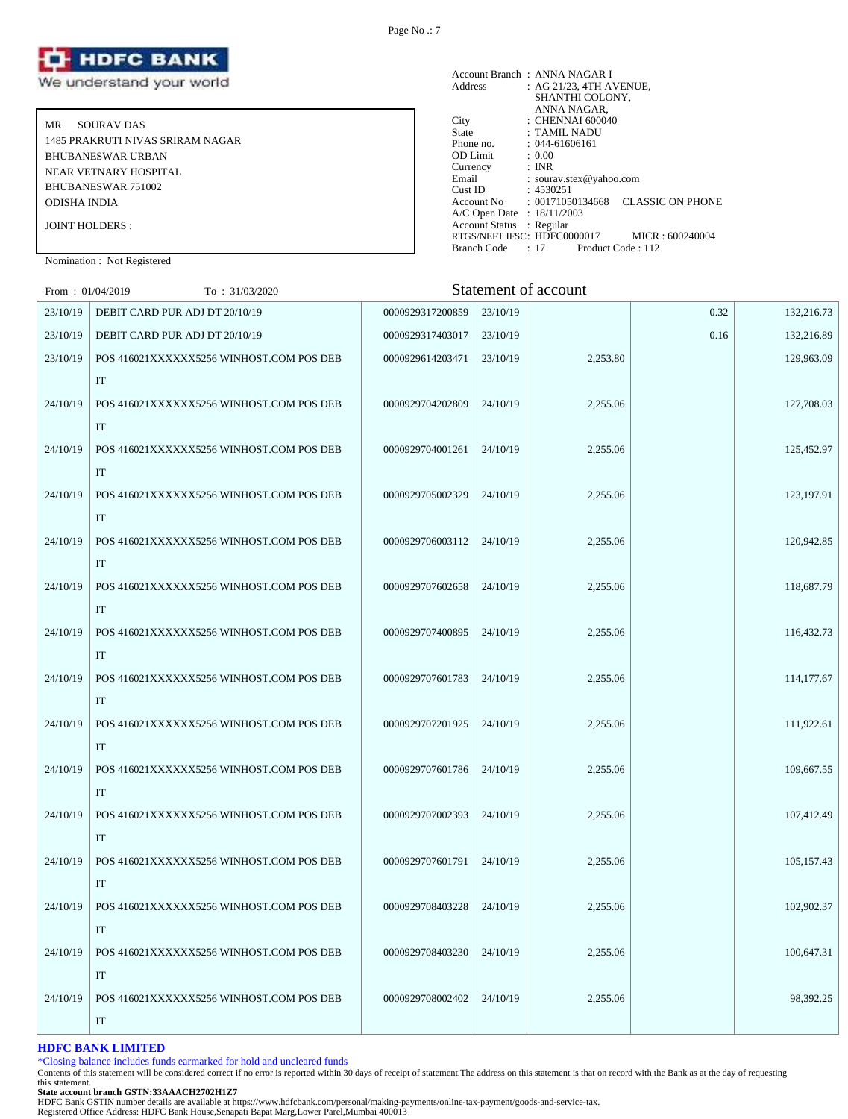

MR. SOURAV DAS 1485 PRAKRUTI NIVAS SRIRAM NAGAR BHUBANESWAR URBAN NEAR VETNARY HOSPITAL BHUBANESWAR 751002 ODISHA INDIA JOINT HOLDERS :

Account Branch : ANNA NAGAR I<br>Address : AG 21/23, 4TH A : AG 21/23, 4TH AVENUE, SHANTHI COLONY, ANNA NAGAR, City : CHENNAI 600040 State : TAMIL NADU Phone no. : 044-61606161<br>OD Limit : 0.00 OD Limit :  $0.00$ <br>Currency : INR Currency<br>Email Email : sourav.stex@yahoo.com<br>Cust ID : 4530251  $: 4530251$ Account No : 00171050134668 CLASSIC ON PHONE A/C Open Date : 18/11/2003 Account Status : Regular RTGS/NEFT IFSC: HDFC0000017 MICR : 600240004<br>Branch Code : 17 Product Code : 112 Branch Code : 17

# Nomination : Not Registered

| From: $01/04/2019$ | To: 31/03/2020                           |                  |          | <b>Statement of account</b> |      |            |
|--------------------|------------------------------------------|------------------|----------|-----------------------------|------|------------|
| 23/10/19           | DEBIT CARD PUR ADJ DT 20/10/19           | 0000929317200859 | 23/10/19 |                             | 0.32 | 132,216.73 |
| 23/10/19           | DEBIT CARD PUR ADJ DT 20/10/19           | 0000929317403017 | 23/10/19 |                             | 0.16 | 132,216.89 |
| 23/10/19           | POS 416021XXXXXX5256 WINHOST.COM POS DEB | 0000929614203471 | 23/10/19 | 2,253.80                    |      | 129,963.09 |
|                    | $\rm IT$                                 |                  |          |                             |      |            |
| 24/10/19           | POS 416021XXXXXX5256 WINHOST.COM POS DEB | 0000929704202809 | 24/10/19 | 2,255.06                    |      | 127,708.03 |
|                    | $\rm IT$                                 |                  |          |                             |      |            |
| 24/10/19           | POS 416021XXXXXX5256 WINHOST.COM POS DEB | 0000929704001261 | 24/10/19 | 2,255.06                    |      | 125,452.97 |
|                    | IT                                       |                  |          |                             |      |            |
| 24/10/19           | POS 416021XXXXXX5256 WINHOST.COM POS DEB | 0000929705002329 | 24/10/19 | 2,255.06                    |      | 123,197.91 |
|                    | $\rm IT$                                 |                  |          |                             |      |            |
| 24/10/19           | POS 416021XXXXXX5256 WINHOST.COM POS DEB | 0000929706003112 | 24/10/19 | 2,255.06                    |      | 120,942.85 |
|                    | IT                                       |                  |          |                             |      |            |
| 24/10/19           | POS 416021XXXXXX5256 WINHOST.COM POS DEB | 0000929707602658 | 24/10/19 | 2,255.06                    |      | 118,687.79 |
|                    | IT                                       |                  |          |                             |      |            |
| 24/10/19           | POS 416021XXXXXX5256 WINHOST.COM POS DEB | 0000929707400895 | 24/10/19 | 2,255.06                    |      | 116,432.73 |
|                    | IT                                       |                  |          |                             |      |            |
| 24/10/19           | POS 416021XXXXXX5256 WINHOST.COM POS DEB | 0000929707601783 | 24/10/19 | 2,255.06                    |      | 114,177.67 |
|                    | IT                                       |                  |          |                             |      |            |
| 24/10/19           | POS 416021XXXXXX5256 WINHOST.COM POS DEB | 0000929707201925 | 24/10/19 | 2,255.06                    |      | 111,922.61 |
|                    | IT                                       |                  |          |                             |      |            |
| 24/10/19           | POS 416021XXXXXX5256 WINHOST.COM POS DEB | 0000929707601786 | 24/10/19 | 2,255.06                    |      | 109,667.55 |
|                    | IT                                       |                  |          |                             |      |            |
| 24/10/19           | POS 416021XXXXXX5256 WINHOST.COM POS DEB | 0000929707002393 | 24/10/19 | 2,255.06                    |      | 107,412.49 |
|                    | IT                                       |                  |          |                             |      |            |
| 24/10/19           | POS 416021XXXXXX5256 WINHOST.COM POS DEB | 0000929707601791 | 24/10/19 | 2,255.06                    |      | 105,157.43 |
|                    | IT                                       |                  |          |                             |      |            |
| 24/10/19           | POS 416021XXXXXX5256 WINHOST.COM POS DEB | 0000929708403228 | 24/10/19 | 2,255.06                    |      | 102,902.37 |
|                    | IT                                       |                  |          |                             |      |            |
| 24/10/19           | POS 416021XXXXXX5256 WINHOST.COM POS DEB | 0000929708403230 | 24/10/19 | 2,255.06                    |      | 100,647.31 |
|                    | IT                                       |                  |          |                             |      |            |
| 24/10/19           | POS 416021XXXXXX5256 WINHOST.COM POS DEB | 0000929708002402 | 24/10/19 | 2,255.06                    |      | 98,392.25  |
|                    | $\rm IT$                                 |                  |          |                             |      |            |

# **HDFC BANK LIMITED**

\*Closing balance includes funds earmarked for hold and uncleared funds

Contents of this statement will be considered correct if no error is reported within 30 days of receipt of statement.The address on this statement is that on record with the Bank as at the day of requesting this statement.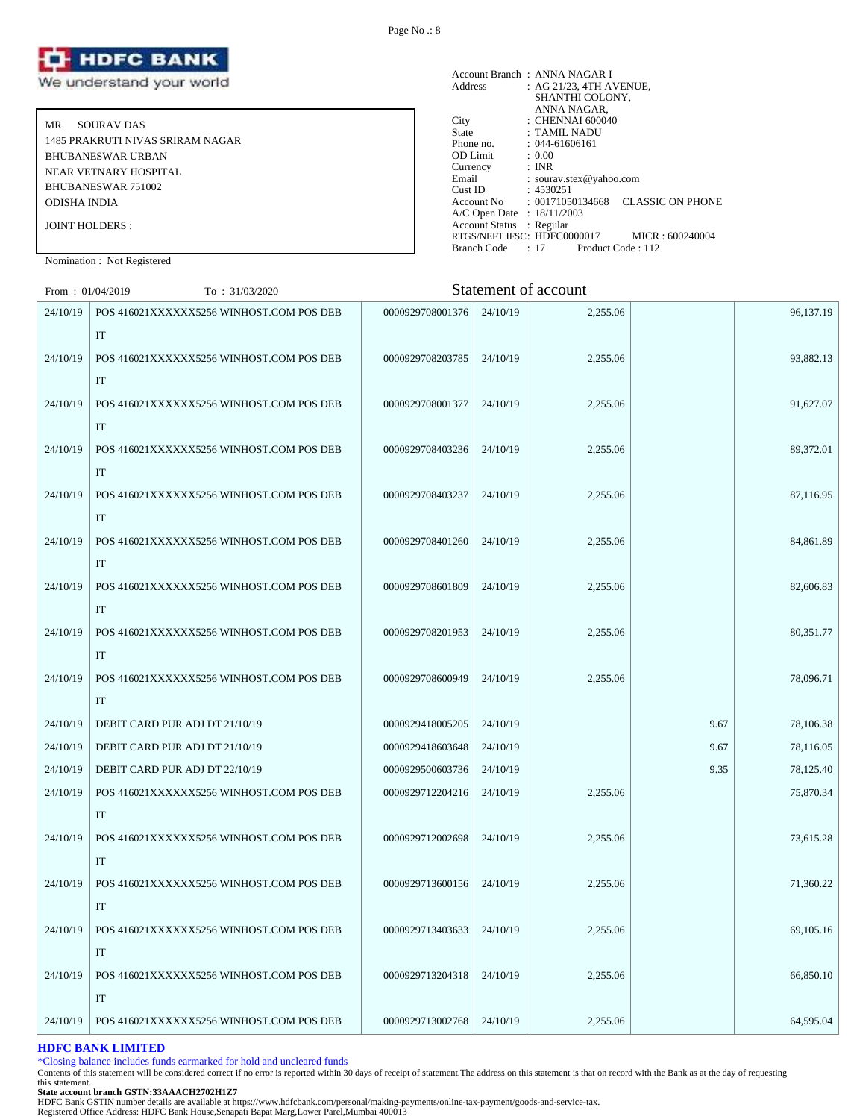

MR. SOURAV DAS 1485 PRAKRUTI NIVAS SRIRAM NAGAR BHUBANESWAR URBAN NEAR VETNARY HOSPITAL BHUBANESWAR 751002 ODISHA INDIA JOINT HOLDERS :

|                            | Account Branch: ANNA NAGAR I                                           |
|----------------------------|------------------------------------------------------------------------|
| Address                    | : AG 21/23. 4TH AVENUE.                                                |
|                            | SHANTHI COLONY,                                                        |
|                            | ANNA NAGAR,                                                            |
| City                       | : CHENNAI 600040                                                       |
| <b>State</b>               | : TAMIL NADU                                                           |
| Phone no.                  | $: 044 - 61606161$                                                     |
| <b>OD</b> Limit            | : 0.00                                                                 |
| Currency                   | : INR                                                                  |
| Email                      | : sourav.stex@yahoo.com                                                |
| Cust ID                    | : 4530251                                                              |
|                            | <b>CLASSIC ON PHONE</b><br>$\text{Account No} \qquad : 00171050134668$ |
| A/C Open Date : 18/11/2003 |                                                                        |
| Account Status : Regular   |                                                                        |
|                            | RTGS/NEFT IFSC: HDFC0000017<br>MICR: 600240004                         |
| <b>Branch Code</b>         | $: 17$ Product Code $: 112$                                            |

Nomination : Not Registered

| From: $01/04/2019$ | To: 31/03/2020                           |                  |          | Statement of account |      |           |
|--------------------|------------------------------------------|------------------|----------|----------------------|------|-----------|
| 24/10/19           | POS 416021XXXXXX5256 WINHOST.COM POS DEB | 0000929708001376 | 24/10/19 | 2,255.06             |      | 96,137.19 |
|                    | IT                                       |                  |          |                      |      |           |
| 24/10/19           | POS 416021XXXXXX5256 WINHOST.COM POS DEB | 0000929708203785 | 24/10/19 | 2,255.06             |      | 93,882.13 |
|                    | IT                                       |                  |          |                      |      |           |
| 24/10/19           | POS 416021XXXXXX5256 WINHOST.COM POS DEB | 0000929708001377 | 24/10/19 | 2,255.06             |      | 91,627.07 |
|                    | IT                                       |                  |          |                      |      |           |
| 24/10/19           | POS 416021XXXXXX5256 WINHOST.COM POS DEB | 0000929708403236 | 24/10/19 | 2,255.06             |      | 89,372.01 |
|                    | IT                                       |                  |          |                      |      |           |
| 24/10/19           | POS 416021XXXXXX5256 WINHOST.COM POS DEB | 0000929708403237 | 24/10/19 | 2,255.06             |      | 87,116.95 |
|                    | IT                                       |                  |          |                      |      |           |
| 24/10/19           | POS 416021XXXXXX5256 WINHOST.COM POS DEB | 0000929708401260 | 24/10/19 | 2,255.06             |      | 84,861.89 |
|                    | IT                                       |                  |          |                      |      |           |
| 24/10/19           | POS 416021XXXXXX5256 WINHOST.COM POS DEB | 0000929708601809 | 24/10/19 | 2,255.06             |      | 82,606.83 |
|                    | IT                                       |                  |          |                      |      |           |
| 24/10/19           | POS 416021XXXXXX5256 WINHOST.COM POS DEB | 0000929708201953 | 24/10/19 | 2,255.06             |      | 80,351.77 |
|                    | IT                                       |                  |          |                      |      |           |
| 24/10/19           | POS 416021XXXXXX5256 WINHOST.COM POS DEB | 0000929708600949 | 24/10/19 | 2,255.06             |      | 78,096.71 |
|                    | IT                                       |                  |          |                      |      |           |
| 24/10/19           | DEBIT CARD PUR ADJ DT 21/10/19           | 0000929418005205 | 24/10/19 |                      | 9.67 | 78,106.38 |
| 24/10/19           | DEBIT CARD PUR ADJ DT 21/10/19           | 0000929418603648 | 24/10/19 |                      | 9.67 | 78,116.05 |
| 24/10/19           | DEBIT CARD PUR ADJ DT 22/10/19           | 0000929500603736 | 24/10/19 |                      | 9.35 | 78,125.40 |
| 24/10/19           | POS 416021XXXXXX5256 WINHOST.COM POS DEB | 0000929712204216 | 24/10/19 | 2,255.06             |      | 75,870.34 |
|                    | IT                                       |                  |          |                      |      |           |
| 24/10/19           | POS 416021XXXXXX5256 WINHOST.COM POS DEB | 0000929712002698 | 24/10/19 | 2,255.06             |      | 73,615.28 |
|                    | IT                                       |                  |          |                      |      |           |
| 24/10/19           | POS 416021XXXXXX5256 WINHOST.COM POS DEB | 0000929713600156 | 24/10/19 | 2,255.06             |      | 71,360.22 |
|                    | IT                                       |                  |          |                      |      |           |
| 24/10/19           | POS 416021XXXXXX5256 WINHOST.COM POS DEB | 0000929713403633 | 24/10/19 | 2,255.06             |      | 69,105.16 |
|                    | IT                                       |                  |          |                      |      |           |
| 24/10/19           | POS 416021XXXXXX5256 WINHOST.COM POS DEB | 0000929713204318 | 24/10/19 | 2,255.06             |      | 66,850.10 |
|                    | IT                                       |                  |          |                      |      |           |
| 24/10/19           | POS 416021XXXXXX5256 WINHOST.COM POS DEB | 0000929713002768 | 24/10/19 | 2,255.06             |      | 64,595.04 |

#### **HDFC BANK LIMITED**

\*Closing balance includes funds earmarked for hold and uncleared funds

Contents of this statement will be considered correct if no error is reported within 30 days of receipt of statement.The address on this statement is that on record with the Bank as at the day of requesting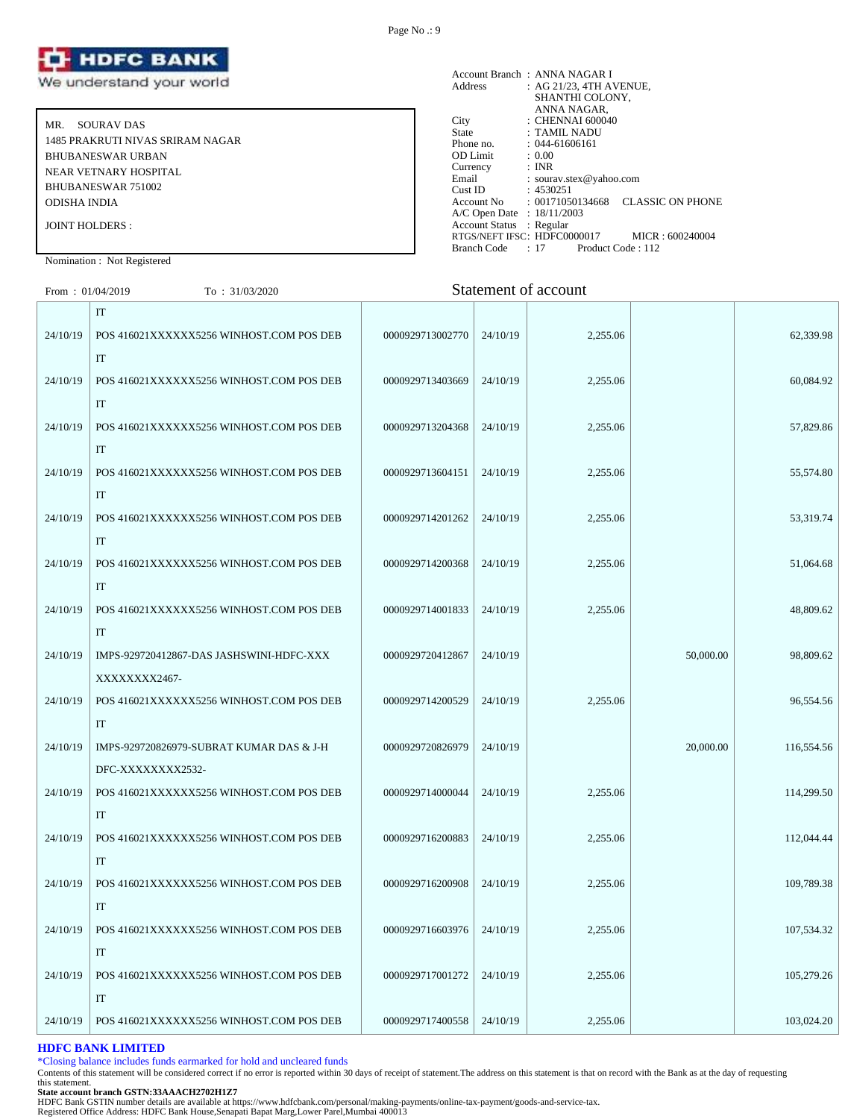

MR. SOURAV DAS 1485 PRAKRUTI NIVAS SRIRAM NAGAR BHUBANESWAR URBAN NEAR VETNARY HOSPITAL BHUBANESWAR 751002 ODISHA INDIA JOINT HOLDERS :

Account Branch : ANNA NAGAR I<br>Address : AG 21/23, 4TH A  $AC$  21/23, 4TH AVENUE, SHANTHI COLONY, ANNA NAGAR, City : CHENNAI 600040 State : TAMIL NADU Phone no. : 044-61606161<br>OD Limit : 0.00 OD Limit :  $0.00$ <br>Currency : INR Currency<br>Email Email : sourav.stex@yahoo.com<br>Cust ID : 4530251 Cust ID : 4530251<br>Account No : 0017105 : 00171050134668 CLASSIC ON PHONE A/C Open Date : 18/11/2003 Account Status : Regular RTGS/NEFT IFSC: HDFC0000017 MICR : 600240004<br>Branch Code : 17 Product Code : 112 Branch Code : 17

#### Nomination : Not Registered

| From: $01/04/2019$ | To : 31/03/2020                                |                  |          | Statement of account |           |            |
|--------------------|------------------------------------------------|------------------|----------|----------------------|-----------|------------|
|                    | $\ensuremath{\mathsf{IT}}$                     |                  |          |                      |           |            |
| 24/10/19           | POS 416021XXXXXX5256 WINHOST.COM POS DEB       | 0000929713002770 | 24/10/19 | 2,255.06             |           | 62,339.98  |
|                    | $\rm IT$                                       |                  |          |                      |           |            |
| 24/10/19           | POS 416021XXXXXX5256 WINHOST.COM POS DEB       | 0000929713403669 | 24/10/19 | 2,255.06             |           | 60,084.92  |
|                    | $\rm IT$                                       |                  |          |                      |           |            |
| 24/10/19           | POS 416021XXXXXX5256 WINHOST.COM POS DEB       | 0000929713204368 | 24/10/19 | 2,255.06             |           | 57,829.86  |
|                    | $\rm IT$                                       |                  |          |                      |           |            |
| 24/10/19           | POS 416021XXXXXX5256 WINHOST.COM POS DEB       | 0000929713604151 | 24/10/19 | 2,255.06             |           | 55,574.80  |
|                    | IT                                             |                  |          |                      |           |            |
| 24/10/19           | POS 416021XXXXXX5256 WINHOST.COM POS DEB       | 0000929714201262 | 24/10/19 | 2,255.06             |           | 53,319.74  |
|                    | IT                                             |                  |          |                      |           |            |
| 24/10/19           | POS 416021XXXXXX5256 WINHOST.COM POS DEB       | 0000929714200368 | 24/10/19 | 2,255.06             |           | 51,064.68  |
|                    | IT                                             |                  |          |                      |           |            |
| 24/10/19           | POS 416021XXXXXX5256 WINHOST.COM POS DEB       | 0000929714001833 | 24/10/19 | 2,255.06             |           | 48,809.62  |
|                    | IT                                             |                  |          |                      |           |            |
| 24/10/19           | IMPS-929720412867-DAS JASHSWINI-HDFC-XXX       | 0000929720412867 | 24/10/19 |                      | 50,000.00 | 98,809.62  |
|                    | XXXXXXX2467-                                   |                  |          |                      |           |            |
| 24/10/19           | POS 416021XXXXXX5256 WINHOST.COM POS DEB       | 0000929714200529 | 24/10/19 | 2,255.06             |           | 96,554.56  |
|                    | IT                                             |                  |          |                      |           |            |
| 24/10/19           | IMPS-929720826979-SUBRAT KUMAR DAS & J-H       | 0000929720826979 | 24/10/19 |                      | 20,000.00 | 116,554.56 |
|                    | DFC-XXXXXXXX2532-                              |                  |          |                      |           |            |
| 24/10/19           | POS 416021XXXXXX5256 WINHOST.COM POS DEB       | 0000929714000044 | 24/10/19 | 2,255.06             |           | 114,299.50 |
| 24/10/19           | IT<br>POS 416021XXXXXX5256 WINHOST.COM POS DEB | 0000929716200883 | 24/10/19 | 2,255.06             |           | 112,044.44 |
|                    | IT                                             |                  |          |                      |           |            |
| 24/10/19           | POS 416021XXXXXX5256 WINHOST.COM POS DEB       | 0000929716200908 | 24/10/19 | 2,255.06             |           | 109,789.38 |
|                    | IT                                             |                  |          |                      |           |            |
| 24/10/19           | POS 416021XXXXXX5256 WINHOST.COM POS DEB       | 0000929716603976 | 24/10/19 | 2,255.06             |           | 107,534.32 |
|                    | $\rm IT$                                       |                  |          |                      |           |            |
| 24/10/19           | POS 416021XXXXXX5256 WINHOST.COM POS DEB       | 0000929717001272 | 24/10/19 | 2,255.06             |           | 105,279.26 |
|                    | IT                                             |                  |          |                      |           |            |
|                    |                                                |                  |          |                      |           |            |

#### **HDFC BANK LIMITED**

\*Closing balance includes funds earmarked for hold and uncleared funds

Contents of this statement will be considered correct if no error is reported within 30 days of receipt of statement.The address on this statement is that on record with the Bank as at the day of requesting this statement.

24/10/19 POS 416021XXXXXX5256 WINHOST.COM POS DEB 0000929717400558 24/10/19 2,255.06 103,024.20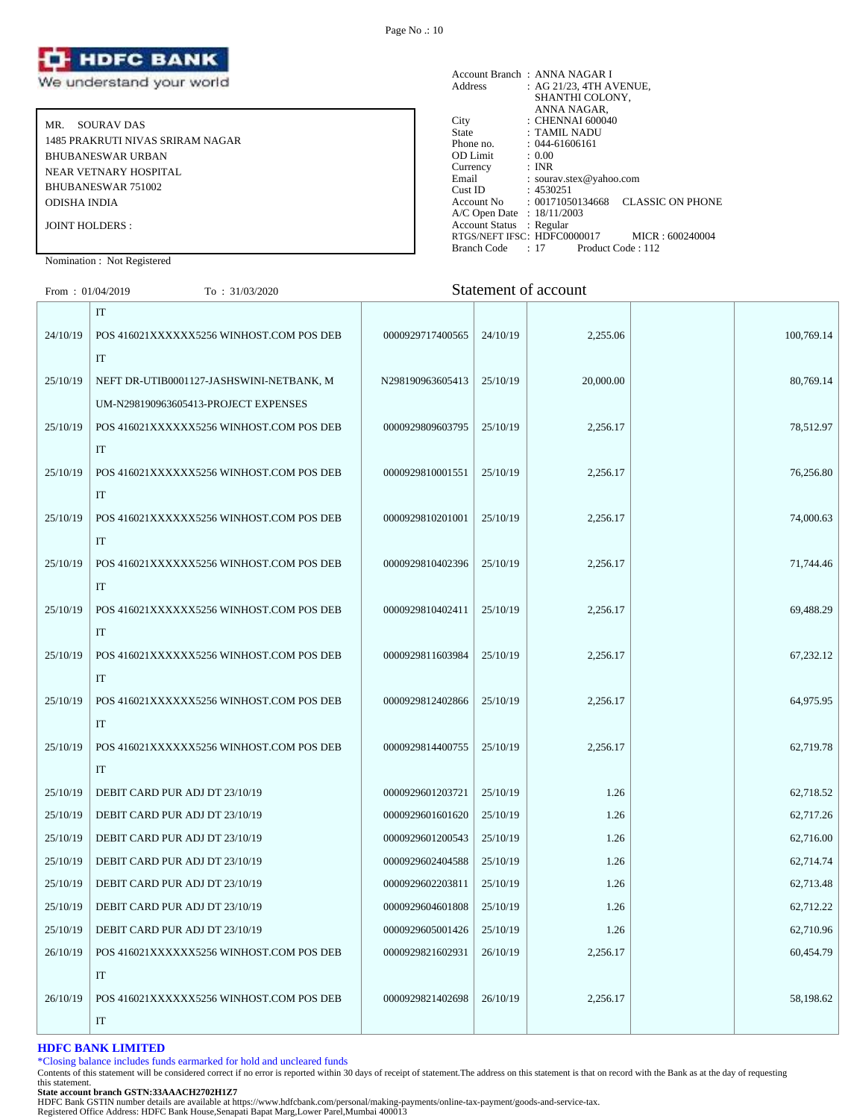

MR. SOURAV DAS 1485 PRAKRUTI NIVAS SRIRAM NAGAR BHUBANESWAR URBAN NEAR VETNARY HOSPITAL BHUBANESWAR 751002 ODISHA INDIA JOINT HOLDERS :

#### Account Branch : ANNA NAGAR I<br>Address : AG 21/23, 4TH A  $\therefore$  AG 21/23, 4TH AVENUE, SHANTHI COLONY, ANNA NAGAR, City : CHENNAI 600040<br>State : TAMIL NADU State : TAMIL NADU<br>Phone no. : 044-61606161  $: 044-61606161$ <br> $: 0.00$ OD Limit :  $0.00$ <br>Currency : INR Currency<br>Email Email : sourav.stex@yahoo.com<br>Cust ID : 4530251 Cust ID : 4530251<br>Account No : 0017105 : 00171050134668 CLASSIC ON PHONE A/C Open Date : 18/11/2003 Account Status : Regular RTGS/NEFT IFSC: HDFC0000017 MICR : 600240004<br>Branch Code : 17 Product Code : 112 Branch Code : 17

Nomination : Not Registered

| From: $01/04/2019$ | To : 31/03/2020                          |                  |          | Statement of account |            |
|--------------------|------------------------------------------|------------------|----------|----------------------|------------|
|                    | $\ensuremath{\mathsf{IT}}$               |                  |          |                      |            |
| 24/10/19           | POS 416021XXXXXX5256 WINHOST.COM POS DEB | 0000929717400565 | 24/10/19 | 2,255.06             | 100,769.14 |
|                    | IT                                       |                  |          |                      |            |
| 25/10/19           | NEFT DR-UTIB0001127-JASHSWINI-NETBANK, M | N298190963605413 | 25/10/19 | 20,000.00            | 80,769.14  |
|                    | UM-N298190963605413-PROJECT EXPENSES     |                  |          |                      |            |
| 25/10/19           | POS 416021XXXXXX5256 WINHOST.COM POS DEB | 0000929809603795 | 25/10/19 | 2,256.17             | 78,512.97  |
|                    | $\ensuremath{\text{IT}}$                 |                  |          |                      |            |
| 25/10/19           | POS 416021XXXXXX5256 WINHOST.COM POS DEB | 0000929810001551 | 25/10/19 | 2,256.17             | 76,256.80  |
|                    | IT                                       |                  |          |                      |            |
| 25/10/19           | POS 416021XXXXXX5256 WINHOST.COM POS DEB | 0000929810201001 | 25/10/19 | 2,256.17             | 74,000.63  |
|                    | IT                                       |                  |          |                      |            |
| 25/10/19           | POS 416021XXXXXX5256 WINHOST.COM POS DEB | 0000929810402396 | 25/10/19 | 2,256.17             | 71,744.46  |
|                    | IT                                       |                  |          |                      |            |
| 25/10/19           | POS 416021XXXXXX5256 WINHOST.COM POS DEB | 0000929810402411 | 25/10/19 | 2,256.17             | 69,488.29  |
|                    | IT                                       |                  |          |                      |            |
| 25/10/19           | POS 416021XXXXXX5256 WINHOST.COM POS DEB | 0000929811603984 | 25/10/19 | 2,256.17             | 67,232.12  |
|                    | IT                                       |                  |          |                      |            |
| 25/10/19           | POS 416021XXXXXX5256 WINHOST.COM POS DEB | 0000929812402866 | 25/10/19 | 2,256.17             | 64,975.95  |
|                    | IT                                       |                  |          |                      |            |
| 25/10/19           | POS 416021XXXXXX5256 WINHOST.COM POS DEB | 0000929814400755 | 25/10/19 | 2,256.17             | 62,719.78  |
|                    | IT                                       |                  |          |                      |            |
| 25/10/19           | DEBIT CARD PUR ADJ DT 23/10/19           | 0000929601203721 | 25/10/19 | 1.26                 | 62,718.52  |
| 25/10/19           | DEBIT CARD PUR ADJ DT 23/10/19           | 0000929601601620 | 25/10/19 | 1.26                 | 62,717.26  |
| 25/10/19           | DEBIT CARD PUR ADJ DT 23/10/19           | 0000929601200543 | 25/10/19 | 1.26                 | 62,716.00  |
| 25/10/19           | DEBIT CARD PUR ADJ DT 23/10/19           | 0000929602404588 | 25/10/19 | 1.26                 | 62,714.74  |
| 25/10/19           | DEBIT CARD PUR ADJ DT 23/10/19           | 0000929602203811 | 25/10/19 | 1.26                 | 62,713.48  |
| 25/10/19           | DEBIT CARD PUR ADJ DT 23/10/19           | 0000929604601808 | 25/10/19 | 1.26                 | 62,712.22  |
| 25/10/19           | DEBIT CARD PUR ADJ DT 23/10/19           | 0000929605001426 | 25/10/19 | 1.26                 | 62,710.96  |
| 26/10/19           | POS 416021XXXXXX5256 WINHOST.COM POS DEB | 0000929821602931 | 26/10/19 | 2,256.17             | 60,454.79  |
|                    | IT                                       |                  |          |                      |            |
| 26/10/19           | POS 416021XXXXXX5256 WINHOST.COM POS DEB | 0000929821402698 | 26/10/19 | 2,256.17             | 58,198.62  |
|                    | IT                                       |                  |          |                      |            |

#### **HDFC BANK LIMITED**

\*Closing balance includes funds earmarked for hold and uncleared funds

Contents of this statement will be considered correct if no error is reported within 30 days of receipt of statement.The address on this statement is that on record with the Bank as at the day of requesting this statement.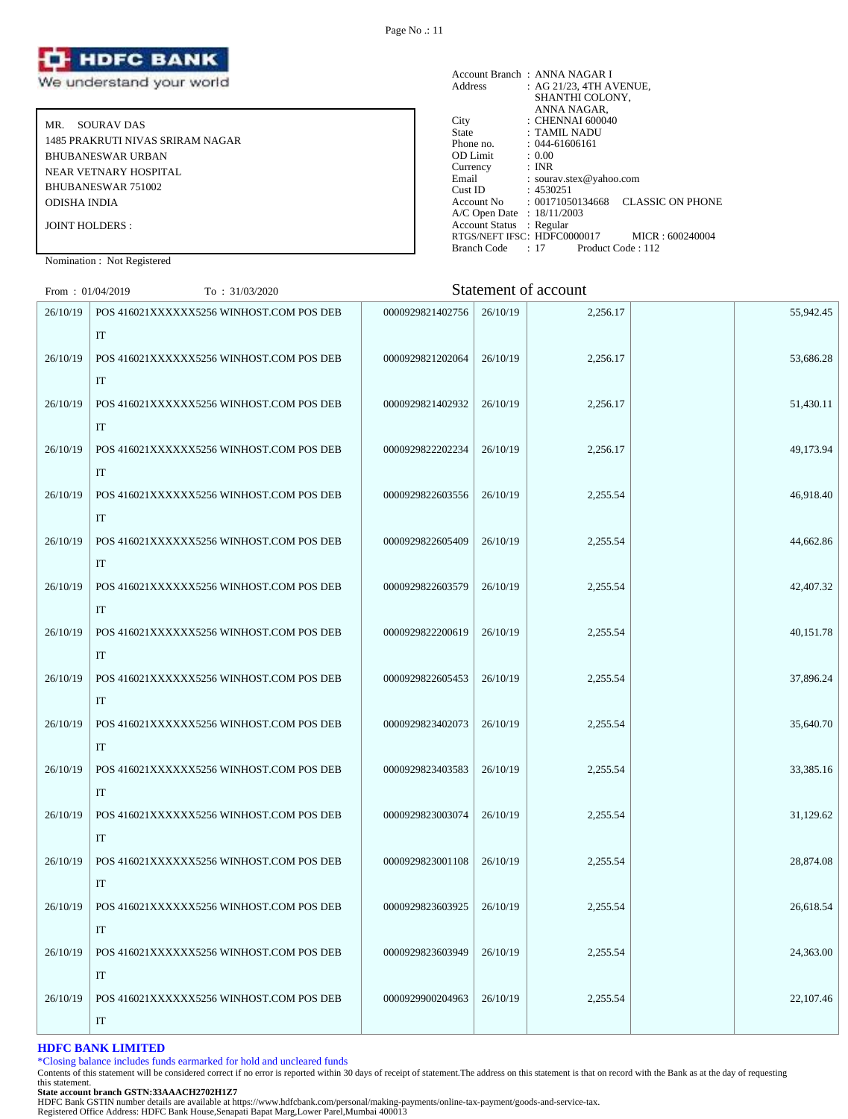

MR. SOURAV DAS 1485 PRAKRUTI NIVAS SRIRAM NAGAR BHUBANESWAR URBAN NEAR VETNARY HOSPITAL BHUBANESWAR 751002 ODISHA INDIA JOINT HOLDERS :

|                            | Account Branch: ANNA NAGAR I                           |
|----------------------------|--------------------------------------------------------|
| Address                    | : AG 21/23, 4TH AVENUE.                                |
|                            | SHANTHI COLONY,                                        |
|                            | ANNA NAGAR,                                            |
| City                       | : CHENNAI 600040                                       |
| State                      | : TAMIL NADU                                           |
| Phone no.                  | $: 044 - 61606161$                                     |
| <b>OD</b> Limit            | : 0.00                                                 |
| Currency                   | : INR                                                  |
| Email                      | : sourav.stex@yahoo.com                                |
| Cust ID                    | : 4530251                                              |
|                            | <b>CLASSIC ON PHONE</b><br>Account No : 00171050134668 |
| A/C Open Date : 18/11/2003 |                                                        |
| Account Status : Regular   |                                                        |
|                            | RTGS/NEFT IFSC: HDFC0000017<br>MICR: 600240004         |
| Branch Code                | : 17<br>Product Code: 112                              |

Nomination : Not Registered

| From: $01/04/2019$ | To: 31/03/2020                                 |                  |          | Statement of account |           |
|--------------------|------------------------------------------------|------------------|----------|----------------------|-----------|
| 26/10/19           | POS 416021XXXXXX5256 WINHOST.COM POS DEB<br>IT | 0000929821402756 | 26/10/19 | 2,256.17             | 55,942.45 |
| 26/10/19           | POS 416021XXXXXX5256 WINHOST.COM POS DEB       | 0000929821202064 | 26/10/19 | 2,256.17             | 53,686.28 |
| 26/10/19           | IT<br>POS 416021XXXXXX5256 WINHOST.COM POS DEB | 0000929821402932 | 26/10/19 | 2,256.17             | 51,430.11 |
| 26/10/19           | IT<br>POS 416021XXXXXX5256 WINHOST.COM POS DEB | 0000929822202234 | 26/10/19 | 2,256.17             | 49,173.94 |
| 26/10/19           | IT<br>POS 416021XXXXXX5256 WINHOST.COM POS DEB | 0000929822603556 | 26/10/19 | 2,255.54             | 46,918.40 |
| 26/10/19           | IT<br>POS 416021XXXXXX5256 WINHOST.COM POS DEB | 0000929822605409 | 26/10/19 | 2,255.54             | 44,662.86 |
| 26/10/19           | IT<br>POS 416021XXXXXX5256 WINHOST.COM POS DEB | 0000929822603579 | 26/10/19 | 2,255.54             | 42,407.32 |
| 26/10/19           | IT<br>POS 416021XXXXXX5256 WINHOST.COM POS DEB | 0000929822200619 | 26/10/19 | 2,255.54             | 40,151.78 |
| 26/10/19           | IT<br>POS 416021XXXXXX5256 WINHOST.COM POS DEB | 0000929822605453 | 26/10/19 | 2,255.54             | 37,896.24 |
| 26/10/19           | IT<br>POS 416021XXXXXX5256 WINHOST.COM POS DEB | 0000929823402073 | 26/10/19 | 2,255.54             | 35,640.70 |
| 26/10/19           | IT<br>POS 416021XXXXXX5256 WINHOST.COM POS DEB | 0000929823403583 | 26/10/19 | 2,255.54             | 33,385.16 |
| 26/10/19           | IT<br>POS 416021XXXXXX5256 WINHOST.COM POS DEB | 0000929823003074 | 26/10/19 | 2,255.54             | 31,129.62 |
| 26/10/19           | IT<br>POS 416021XXXXXX5256 WINHOST.COM POS DEB | 0000929823001108 | 26/10/19 | 2,255.54             | 28,874.08 |
| 26/10/19           | IT<br>POS 416021XXXXXX5256 WINHOST.COM POS DEB | 0000929823603925 | 26/10/19 | 2,255.54             | 26,618.54 |
| 26/10/19           | IT<br>POS 416021XXXXXX5256 WINHOST.COM POS DEB | 0000929823603949 | 26/10/19 | 2,255.54             | 24,363.00 |
| 26/10/19           | IT<br>POS 416021XXXXXX5256 WINHOST.COM POS DEB | 0000929900204963 | 26/10/19 | 2,255.54             | 22,107.46 |
|                    | IT                                             |                  |          |                      |           |

# **HDFC BANK LIMITED**

\*Closing balance includes funds earmarked for hold and uncleared funds

Contents of this statement will be considered correct if no error is reported within 30 days of receipt of statement.The address on this statement is that on record with the Bank as at the day of requesting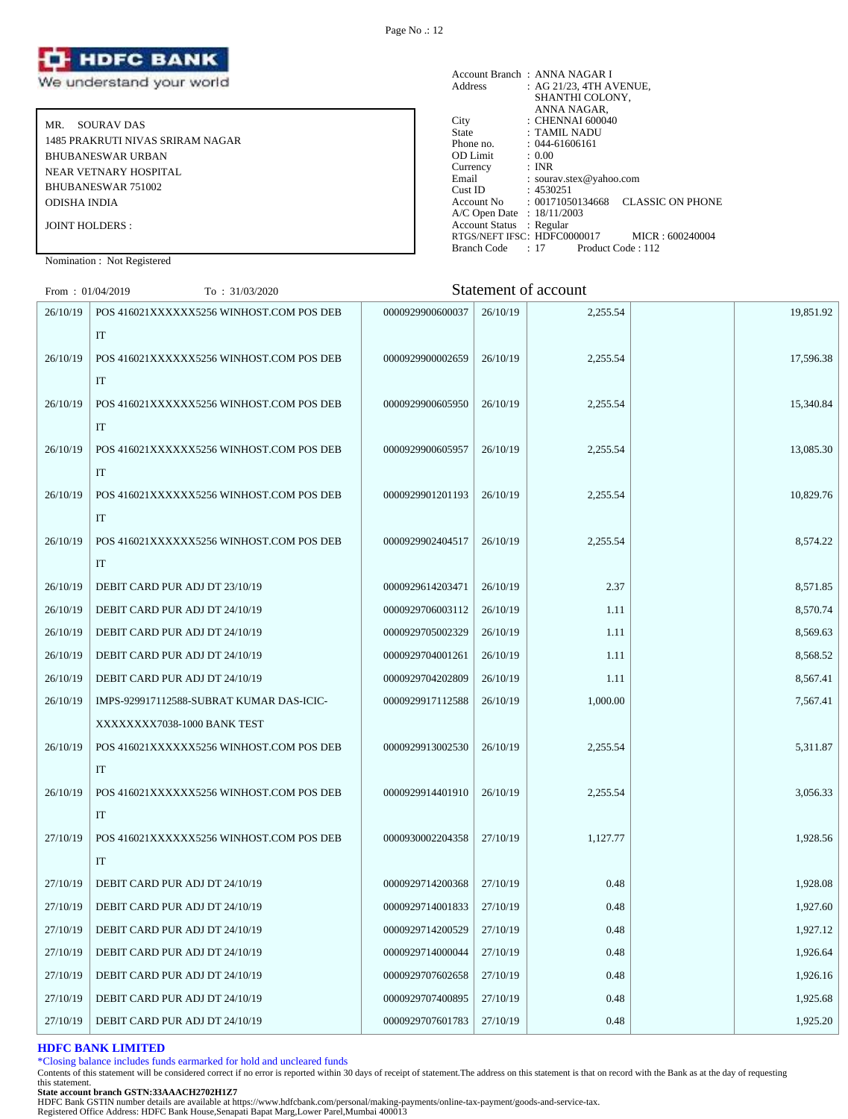

MR. SOURAV DAS 1485 PRAKRUTI NIVAS SRIRAM NAGAR BHUBANESWAR URBAN NEAR VETNARY HOSPITAL BHUBANESWAR 751002 ODISHA INDIA JOINT HOLDERS :

|                            | Account Branch: ANNA NAGAR I                           |
|----------------------------|--------------------------------------------------------|
| Address                    | : AG 21/23, 4TH AVENUE,                                |
|                            | SHANTHI COLONY.                                        |
|                            | ANNA NAGAR,                                            |
| City                       | : CHENNAI 600040                                       |
| State                      | : TAMIL NADU                                           |
| Phone no.                  | $: 044 - 61606161$                                     |
| <b>OD</b> Limit            | : 0.00                                                 |
| Currency                   | : INR                                                  |
| Email                      | : sourav.stex@yahoo.com                                |
| Cust ID                    | : 4530251                                              |
|                            | <b>CLASSIC ON PHONE</b><br>Account No : 00171050134668 |
| A/C Open Date : 18/11/2003 |                                                        |
| Account Status : Regular   |                                                        |
|                            | RTGS/NEFT IFSC: HDFC0000017<br>MICR: 600240004         |
| Branch Code                | : 17<br>Product Code: 112                              |

Nomination : Not Registered

| From: $01/04/2019$ | To: 31/03/2020                           |                  |          | Statement of account |           |
|--------------------|------------------------------------------|------------------|----------|----------------------|-----------|
| 26/10/19           | POS 416021XXXXXX5256 WINHOST.COM POS DEB | 0000929900600037 | 26/10/19 | 2,255.54             | 19,851.92 |
|                    | IT                                       |                  |          |                      |           |
| 26/10/19           | POS 416021XXXXXX5256 WINHOST.COM POS DEB | 0000929900002659 | 26/10/19 | 2,255.54             | 17,596.38 |
|                    | IT                                       |                  |          |                      |           |
| 26/10/19           | POS 416021XXXXXX5256 WINHOST.COM POS DEB | 0000929900605950 | 26/10/19 | 2,255.54             | 15,340.84 |
|                    | IT                                       |                  |          |                      |           |
| 26/10/19           | POS 416021XXXXXX5256 WINHOST.COM POS DEB | 0000929900605957 | 26/10/19 | 2,255.54             | 13,085.30 |
|                    | IT                                       |                  |          |                      |           |
| 26/10/19           | POS 416021XXXXXX5256 WINHOST.COM POS DEB | 0000929901201193 | 26/10/19 | 2,255.54             | 10,829.76 |
|                    | IT                                       |                  |          |                      |           |
| 26/10/19           | POS 416021XXXXXX5256 WINHOST.COM POS DEB | 0000929902404517 | 26/10/19 | 2,255.54             | 8,574.22  |
|                    | IT                                       |                  |          |                      |           |
| 26/10/19           | DEBIT CARD PUR ADJ DT 23/10/19           | 0000929614203471 | 26/10/19 | 2.37                 | 8,571.85  |
| 26/10/19           | DEBIT CARD PUR ADJ DT 24/10/19           | 0000929706003112 | 26/10/19 | 1.11                 | 8,570.74  |
| 26/10/19           | DEBIT CARD PUR ADJ DT 24/10/19           | 0000929705002329 | 26/10/19 | 1.11                 | 8,569.63  |
| 26/10/19           | DEBIT CARD PUR ADJ DT 24/10/19           | 0000929704001261 | 26/10/19 | 1.11                 | 8,568.52  |
| 26/10/19           | DEBIT CARD PUR ADJ DT 24/10/19           | 0000929704202809 | 26/10/19 | 1.11                 | 8,567.41  |
| 26/10/19           | IMPS-929917112588-SUBRAT KUMAR DAS-ICIC- | 0000929917112588 | 26/10/19 | 1,000.00             | 7,567.41  |
|                    | XXXXXXX7038-1000 BANK TEST               |                  |          |                      |           |
| 26/10/19           | POS 416021XXXXXX5256 WINHOST.COM POS DEB | 0000929913002530 | 26/10/19 | 2,255.54             | 5,311.87  |
|                    | IT                                       |                  |          |                      |           |
| 26/10/19           | POS 416021XXXXXX5256 WINHOST.COM POS DEB | 0000929914401910 | 26/10/19 | 2.255.54             | 3,056.33  |
|                    | IT                                       |                  |          |                      |           |
| 27/10/19           | POS 416021XXXXXX5256 WINHOST.COM POS DEB | 0000930002204358 | 27/10/19 | 1,127.77             | 1,928.56  |
|                    | IT                                       |                  |          |                      |           |
| 27/10/19           | DEBIT CARD PUR ADJ DT 24/10/19           | 0000929714200368 | 27/10/19 | 0.48                 | 1,928.08  |
| 27/10/19           | DEBIT CARD PUR ADJ DT 24/10/19           | 0000929714001833 | 27/10/19 | 0.48                 | 1,927.60  |
| 27/10/19           | DEBIT CARD PUR ADJ DT 24/10/19           | 0000929714200529 | 27/10/19 | 0.48                 | 1,927.12  |
| 27/10/19           | DEBIT CARD PUR ADJ DT 24/10/19           | 0000929714000044 | 27/10/19 | 0.48                 | 1,926.64  |
| 27/10/19           | DEBIT CARD PUR ADJ DT 24/10/19           | 0000929707602658 | 27/10/19 | 0.48                 | 1,926.16  |
| 27/10/19           | DEBIT CARD PUR ADJ DT 24/10/19           | 0000929707400895 | 27/10/19 | 0.48                 | 1,925.68  |
| 27/10/19           | DEBIT CARD PUR ADJ DT 24/10/19           | 0000929707601783 | 27/10/19 | 0.48                 | 1,925.20  |

#### **HDFC BANK LIMITED**

\*Closing balance includes funds earmarked for hold and uncleared funds

Contents of this statement will be considered correct if no error is reported within 30 days of receipt of statement.The address on this statement is that on record with the Bank as at the day of requesting this statement.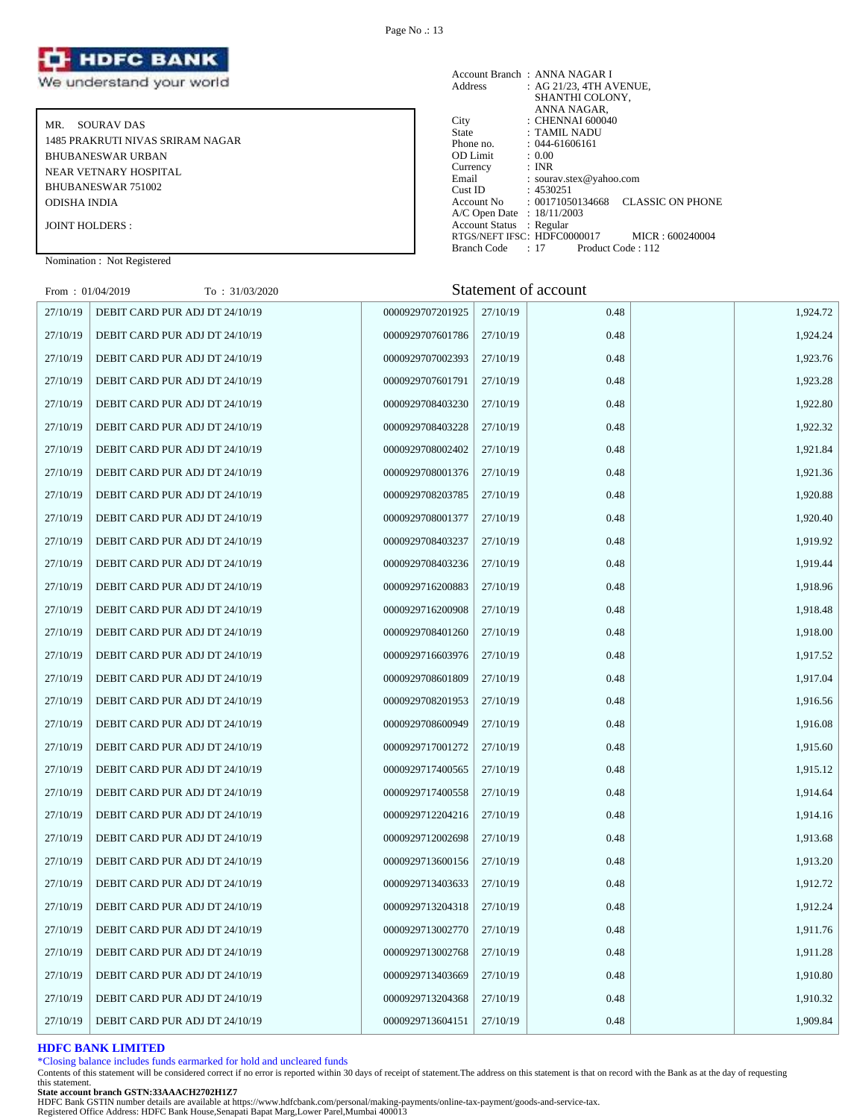

MR. SOURAV DAS 1485 PRAKRUTI NIVAS SRIRAM NAGAR BHUBANESWAR URBAN NEAR VETNARY HOSPITAL BHUBANESWAR 751002 ODISHA INDIA

JOINT HOLDERS :

## Nomination : Not Registered

|                            | Account Branch: ANNA NAGAR I                  |
|----------------------------|-----------------------------------------------|
| Address                    | : AG 21/23, 4TH AVENUE,                       |
|                            | SHANTHI COLONY,                               |
|                            | ANNA NAGAR.                                   |
| City                       | $\therefore$ CHENNAI 600040                   |
| State                      | : TAMIL NADU                                  |
| Phone no.                  | $: 044 - 61606161$                            |
| <b>OD</b> Limit            | : 0.00                                        |
| Currency                   | : INR                                         |
| Email                      | : sourav.stex@yahoo.com                       |
| Cust ID                    | : 4530251                                     |
| Account No                 | : 00171050134668<br><b>CLASSIC ON PHONE</b>   |
| A/C Open Date : 18/11/2003 |                                               |
| Account Status : Regular   |                                               |
|                            | RTGS/NEFT IFSC:HDFC0000017<br>MICR: 600240004 |
| Branch Code                | : 17<br>Product Code: 112                     |

# $F_{\text{rem}}$  : 01/04/2019  $T_{\text{C}}$  : 31/03/2020  $T_{\text{C}}$  : 31/03/2020 Statement of account

| $FIOIII$ : $U1/U4/ZUI9$ | 10 : 31/03/2020                |                  |          | Statement of account |          |
|-------------------------|--------------------------------|------------------|----------|----------------------|----------|
| 27/10/19                | DEBIT CARD PUR ADJ DT 24/10/19 | 0000929707201925 | 27/10/19 | 0.48                 | 1,924.72 |
| 27/10/19                | DEBIT CARD PUR ADJ DT 24/10/19 | 0000929707601786 | 27/10/19 | 0.48                 | 1,924.24 |
| 27/10/19                | DEBIT CARD PUR ADJ DT 24/10/19 | 0000929707002393 | 27/10/19 | 0.48                 | 1,923.76 |
| 27/10/19                | DEBIT CARD PUR ADJ DT 24/10/19 | 0000929707601791 | 27/10/19 | 0.48                 | 1,923.28 |
| 27/10/19                | DEBIT CARD PUR ADJ DT 24/10/19 | 0000929708403230 | 27/10/19 | 0.48                 | 1,922.80 |
| 27/10/19                | DEBIT CARD PUR ADJ DT 24/10/19 | 0000929708403228 | 27/10/19 | 0.48                 | 1,922.32 |
| 27/10/19                | DEBIT CARD PUR ADJ DT 24/10/19 | 0000929708002402 | 27/10/19 | 0.48                 | 1,921.84 |
| 27/10/19                | DEBIT CARD PUR ADJ DT 24/10/19 | 0000929708001376 | 27/10/19 | 0.48                 | 1,921.36 |
| 27/10/19                | DEBIT CARD PUR ADJ DT 24/10/19 | 0000929708203785 | 27/10/19 | 0.48                 | 1,920.88 |
| 27/10/19                | DEBIT CARD PUR ADJ DT 24/10/19 | 0000929708001377 | 27/10/19 | 0.48                 | 1,920.40 |
| 27/10/19                | DEBIT CARD PUR ADJ DT 24/10/19 | 0000929708403237 | 27/10/19 | 0.48                 | 1,919.92 |
| 27/10/19                | DEBIT CARD PUR ADJ DT 24/10/19 | 0000929708403236 | 27/10/19 | 0.48                 | 1,919.44 |
| 27/10/19                | DEBIT CARD PUR ADJ DT 24/10/19 | 0000929716200883 | 27/10/19 | 0.48                 | 1,918.96 |
| 27/10/19                | DEBIT CARD PUR ADJ DT 24/10/19 | 0000929716200908 | 27/10/19 | 0.48                 | 1,918.48 |
| 27/10/19                | DEBIT CARD PUR ADJ DT 24/10/19 | 0000929708401260 | 27/10/19 | 0.48                 | 1,918.00 |
| 27/10/19                | DEBIT CARD PUR ADJ DT 24/10/19 | 0000929716603976 | 27/10/19 | 0.48                 | 1,917.52 |
| 27/10/19                | DEBIT CARD PUR ADJ DT 24/10/19 | 0000929708601809 | 27/10/19 | 0.48                 | 1,917.04 |
| 27/10/19                | DEBIT CARD PUR ADJ DT 24/10/19 | 0000929708201953 | 27/10/19 | 0.48                 | 1,916.56 |
| 27/10/19                | DEBIT CARD PUR ADJ DT 24/10/19 | 0000929708600949 | 27/10/19 | 0.48                 | 1,916.08 |
| 27/10/19                | DEBIT CARD PUR ADJ DT 24/10/19 | 0000929717001272 | 27/10/19 | 0.48                 | 1,915.60 |
| 27/10/19                | DEBIT CARD PUR ADJ DT 24/10/19 | 0000929717400565 | 27/10/19 | 0.48                 | 1,915.12 |
| 27/10/19                | DEBIT CARD PUR ADJ DT 24/10/19 | 0000929717400558 | 27/10/19 | 0.48                 | 1,914.64 |
| 27/10/19                | DEBIT CARD PUR ADJ DT 24/10/19 | 0000929712204216 | 27/10/19 | 0.48                 | 1,914.16 |
| 27/10/19                | DEBIT CARD PUR ADJ DT 24/10/19 | 0000929712002698 | 27/10/19 | 0.48                 | 1,913.68 |
| 27/10/19                | DEBIT CARD PUR ADJ DT 24/10/19 | 0000929713600156 | 27/10/19 | 0.48                 | 1,913.20 |
| 27/10/19                | DEBIT CARD PUR ADJ DT 24/10/19 | 0000929713403633 | 27/10/19 | 0.48                 | 1,912.72 |
| 27/10/19                | DEBIT CARD PUR ADJ DT 24/10/19 | 0000929713204318 | 27/10/19 | 0.48                 | 1,912.24 |
| 27/10/19                | DEBIT CARD PUR ADJ DT 24/10/19 | 0000929713002770 | 27/10/19 | 0.48                 | 1,911.76 |
| 27/10/19                | DEBIT CARD PUR ADJ DT 24/10/19 | 0000929713002768 | 27/10/19 | 0.48                 | 1,911.28 |
| 27/10/19                | DEBIT CARD PUR ADJ DT 24/10/19 | 0000929713403669 | 27/10/19 | 0.48                 | 1,910.80 |
| 27/10/19                | DEBIT CARD PUR ADJ DT 24/10/19 | 0000929713204368 | 27/10/19 | 0.48                 | 1,910.32 |
| 27/10/19                | DEBIT CARD PUR ADJ DT 24/10/19 | 0000929713604151 | 27/10/19 | 0.48                 | 1,909.84 |

# **HDFC BANK LIMITED**

\*Closing balance includes funds earmarked for hold and uncleared funds

Contents of this statement will be considered correct if no error is reported within 30 days of receipt of statement.The address on this statement is that on record with the Bank as at the day of requesting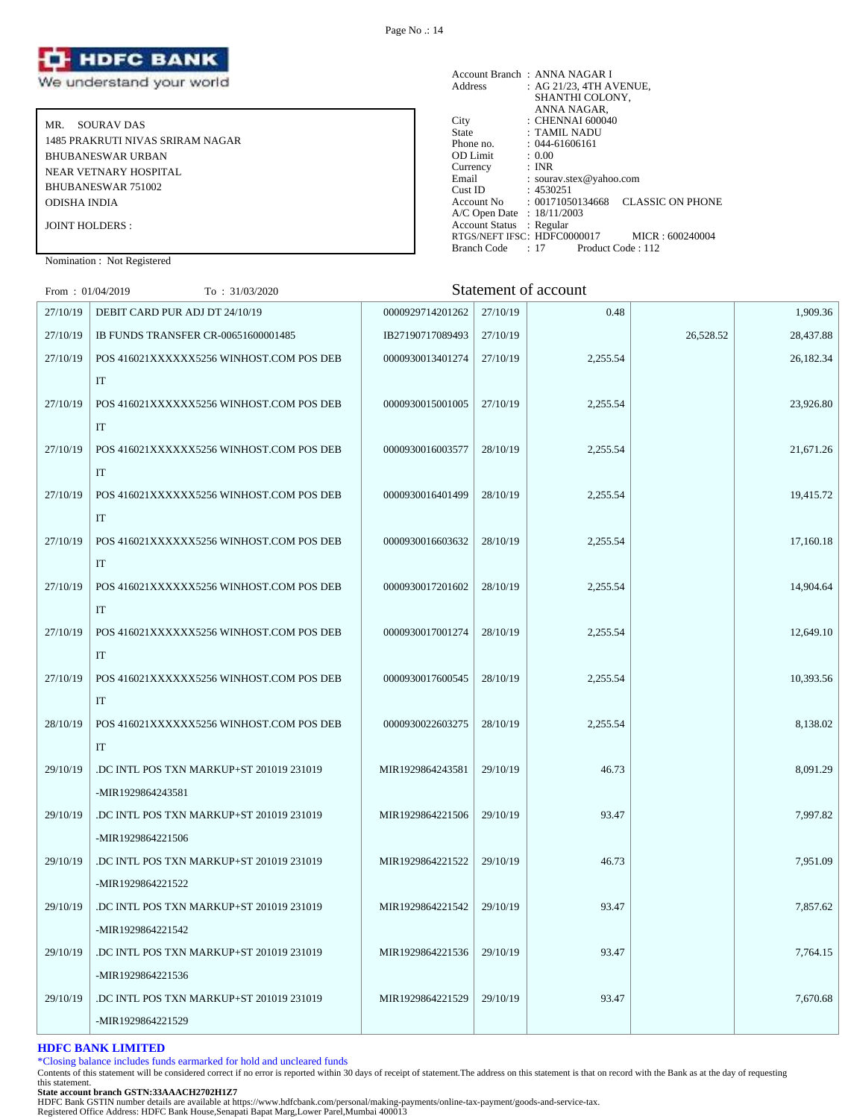

MR. SOURAV DAS 1485 PRAKRUTI NIVAS SRIRAM NAGAR BHUBANESWAR URBAN NEAR VETNARY HOSPITAL BHUBANESWAR 751002 ODISHA INDIA JOINT HOLDERS :

|                            | Account Branch: ANNA NAGAR I                                           |
|----------------------------|------------------------------------------------------------------------|
| Address                    | : AG 21/23, 4TH AVENUE,                                                |
|                            | SHANTHI COLONY.                                                        |
|                            | ANNA NAGAR,                                                            |
| City                       | : CHENNAI 600040                                                       |
| <b>State</b>               | : TAMIL NADU                                                           |
| Phone no.                  | $: 044 - 61606161$                                                     |
| <b>OD</b> Limit            | : 0.00                                                                 |
| Currency                   | : INR                                                                  |
| Email                      | : sourav.stex@yahoo.com                                                |
| Cust ID                    | : 4530251                                                              |
|                            | <b>CLASSIC ON PHONE</b><br>$\text{Account No} \qquad : 00171050134668$ |
| A/C Open Date : 18/11/2003 |                                                                        |
| Account Status : Regular   |                                                                        |
|                            | RTGS/NEFT IFSC: HDFC0000017<br>MICR: 600240004                         |
| Branch Code                | : 17<br>Product Code: 112                                              |

Nomination : Not Registered

| From: $01/04/2019$ | To : 31/03/2020                          |                  |          | Statement of account |           |           |
|--------------------|------------------------------------------|------------------|----------|----------------------|-----------|-----------|
| 27/10/19           | DEBIT CARD PUR ADJ DT 24/10/19           | 0000929714201262 | 27/10/19 | 0.48                 |           | 1,909.36  |
| 27/10/19           | IB FUNDS TRANSFER CR-00651600001485      | IB27190717089493 | 27/10/19 |                      | 26,528.52 | 28,437.88 |
| 27/10/19           | POS 416021XXXXXX5256 WINHOST.COM POS DEB | 0000930013401274 | 27/10/19 | 2,255.54             |           | 26,182.34 |
|                    | IT                                       |                  |          |                      |           |           |
| 27/10/19           | POS 416021XXXXXX5256 WINHOST.COM POS DEB | 0000930015001005 | 27/10/19 | 2,255.54             |           | 23,926.80 |
|                    | IT                                       |                  |          |                      |           |           |
| 27/10/19           | POS 416021XXXXXX5256 WINHOST.COM POS DEB | 0000930016003577 | 28/10/19 | 2,255.54             |           | 21,671.26 |
|                    | $\rm IT$                                 |                  |          |                      |           |           |
| 27/10/19           | POS 416021XXXXXX5256 WINHOST.COM POS DEB | 0000930016401499 | 28/10/19 | 2,255.54             |           | 19,415.72 |
|                    | IT                                       |                  |          |                      |           |           |
| 27/10/19           | POS 416021XXXXXX5256 WINHOST.COM POS DEB | 0000930016603632 | 28/10/19 | 2,255.54             |           | 17,160.18 |
|                    | IT                                       |                  |          |                      |           |           |
| 27/10/19           | POS 416021XXXXXX5256 WINHOST.COM POS DEB | 0000930017201602 | 28/10/19 | 2,255.54             |           | 14,904.64 |
|                    | IT                                       |                  |          |                      |           |           |
| 27/10/19           | POS 416021XXXXXX5256 WINHOST.COM POS DEB | 0000930017001274 | 28/10/19 | 2,255.54             |           | 12,649.10 |
|                    | IT                                       |                  |          |                      |           |           |
| 27/10/19           | POS 416021XXXXXX5256 WINHOST.COM POS DEB | 0000930017600545 | 28/10/19 | 2,255.54             |           | 10,393.56 |
|                    | IT                                       |                  |          |                      |           |           |
| 28/10/19           | POS 416021XXXXXX5256 WINHOST.COM POS DEB | 0000930022603275 | 28/10/19 | 2,255.54             |           | 8,138.02  |
|                    | IT                                       |                  |          |                      |           |           |
| 29/10/19           | .DC INTL POS TXN MARKUP+ST 201019 231019 | MIR1929864243581 | 29/10/19 | 46.73                |           | 8,091.29  |
|                    | -MIR1929864243581                        |                  |          |                      |           |           |
| 29/10/19           | DC INTL POS TXN MARKUP+ST 201019 231019  | MIR1929864221506 | 29/10/19 | 93.47                |           | 7,997.82  |
|                    | -MIR1929864221506                        |                  |          |                      |           |           |
| 29/10/19           | DC INTL POS TXN MARKUP+ST 201019 231019  | MIR1929864221522 | 29/10/19 | 46.73                |           | 7,951.09  |
|                    | -MIR1929864221522                        |                  |          |                      |           |           |
| 29/10/19           | DC INTL POS TXN MARKUP+ST 201019 231019  | MIR1929864221542 | 29/10/19 | 93.47                |           | 7.857.62  |
|                    | -MIR1929864221542                        |                  |          |                      |           |           |
| 29/10/19           | DC INTL POS TXN MARKUP+ST 201019 231019  | MIR1929864221536 | 29/10/19 | 93.47                |           | 7,764.15  |
|                    | -MIR1929864221536                        |                  |          |                      |           |           |
| 29/10/19           | DC INTL POS TXN MARKUP+ST 201019 231019  | MIR1929864221529 | 29/10/19 | 93.47                |           | 7,670.68  |
|                    | -MIR1929864221529                        |                  |          |                      |           |           |

# **HDFC BANK LIMITED**

\*Closing balance includes funds earmarked for hold and uncleared funds

Contents of this statement will be considered correct if no error is reported within 30 days of receipt of statement.The address on this statement is that on record with the Bank as at the day of requesting this statement.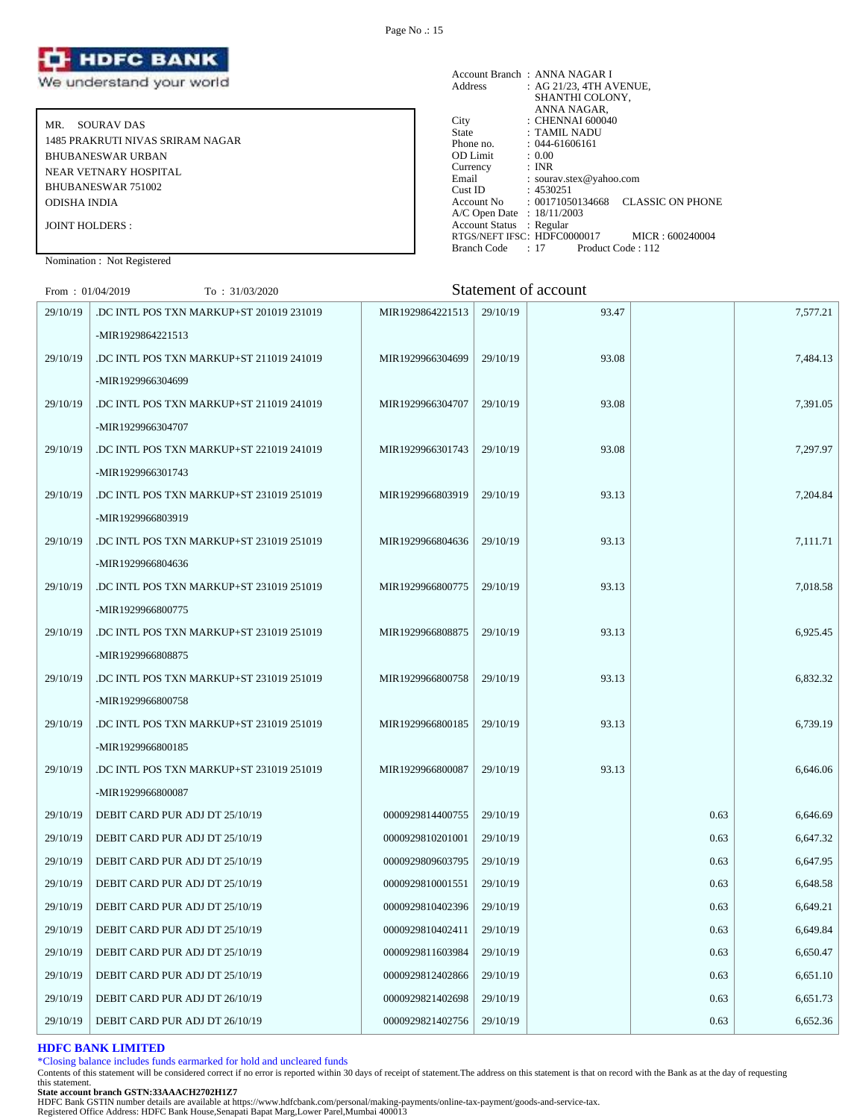

MR. SOURAV DAS 1485 PRAKRUTI NIVAS SRIRAM NAGAR BHUBANESWAR URBAN NEAR VETNARY HOSPITAL BHUBANESWAR 751002 ODISHA INDIA JOINT HOLDERS :

|                            | Account Branch: ANNA NAGAR I                   |
|----------------------------|------------------------------------------------|
| Address                    | : AG 21/23, 4TH AVENUE,                        |
|                            | SHANTHI COLONY.                                |
|                            | ANNA NAGAR,                                    |
| City                       | : CHENNAI 600040                               |
| State                      | : TAMIL NADU                                   |
| Phone no.                  | $: 044 - 61606161$                             |
| <b>OD</b> Limit            | : 0.00                                         |
| Currency                   | : INR                                          |
| Email                      | : sourav.stex@yahoo.com                        |
| Cust ID                    | : 4530251                                      |
| Account No                 | <b>CLASSIC ON PHONE</b><br>: 00171050134668    |
| A/C Open Date : 18/11/2003 |                                                |
| Account Status : Regular   |                                                |
|                            | RTGS/NEFT IFSC: HDFC0000017<br>MICR: 600240004 |
| Branch Code                | : 17<br>Product Code: 112                      |

Nomination : Not Registered

# $F_{\text{rem}}$  : 01/04/2019  $T_{\text{C}}$  : 31/03/2020  $T_{\text{C}}$  : 31/03/2020 Statement of account

| From: $01/04/2019$ | 10 : 31/03/2020                          |                  |          | Statement of account |      |          |
|--------------------|------------------------------------------|------------------|----------|----------------------|------|----------|
| 29/10/19           | DC INTL POS TXN MARKUP+ST 201019 231019  | MIR1929864221513 | 29/10/19 | 93.47                |      | 7,577.21 |
|                    | -MIR1929864221513                        |                  |          |                      |      |          |
| 29/10/19           | DC INTL POS TXN MARKUP+ST 211019 241019  | MIR1929966304699 | 29/10/19 | 93.08                |      | 7,484.13 |
|                    | -MIR1929966304699                        |                  |          |                      |      |          |
| 29/10/19           | DC INTL POS TXN MARKUP+ST 211019 241019  | MIR1929966304707 | 29/10/19 | 93.08                |      | 7,391.05 |
|                    | -MIR1929966304707                        |                  |          |                      |      |          |
| 29/10/19           | DC INTL POS TXN MARKUP+ST 221019 241019  | MIR1929966301743 | 29/10/19 | 93.08                |      | 7,297.97 |
|                    | -MIR1929966301743                        |                  |          |                      |      |          |
| 29/10/19           | DC INTL POS TXN MARKUP+ST 231019 251019  | MIR1929966803919 | 29/10/19 | 93.13                |      | 7,204.84 |
|                    | -MIR1929966803919                        |                  |          |                      |      |          |
| 29/10/19           | DC INTL POS TXN MARKUP+ST 231019 251019  | MIR1929966804636 | 29/10/19 | 93.13                |      | 7,111.71 |
|                    | -MIR1929966804636                        |                  |          |                      |      |          |
| 29/10/19           | DC INTL POS TXN MARKUP+ST 231019 251019  | MIR1929966800775 | 29/10/19 | 93.13                |      | 7,018.58 |
|                    | -MIR1929966800775                        |                  |          |                      |      |          |
| 29/10/19           | DC INTL POS TXN MARKUP+ST 231019 251019. | MIR1929966808875 | 29/10/19 | 93.13                |      | 6,925.45 |
|                    | -MIR1929966808875                        |                  |          |                      |      |          |
| 29/10/19           | DC INTL POS TXN MARKUP+ST 231019 251019  | MIR1929966800758 | 29/10/19 | 93.13                |      | 6,832.32 |
|                    | -MIR1929966800758                        |                  |          |                      |      |          |
| 29/10/19           | DC INTL POS TXN MARKUP+ST 231019 251019  | MIR1929966800185 | 29/10/19 | 93.13                |      | 6,739.19 |
|                    | -MIR1929966800185                        |                  |          |                      |      |          |
| 29/10/19           | DC INTL POS TXN MARKUP+ST 231019 251019  | MIR1929966800087 | 29/10/19 | 93.13                |      | 6,646.06 |
|                    | -MIR1929966800087                        |                  |          |                      |      |          |
| 29/10/19           | DEBIT CARD PUR ADJ DT 25/10/19           | 0000929814400755 | 29/10/19 |                      | 0.63 | 6,646.69 |
| 29/10/19           | DEBIT CARD PUR ADJ DT 25/10/19           | 0000929810201001 | 29/10/19 |                      | 0.63 | 6,647.32 |
| 29/10/19           | DEBIT CARD PUR ADJ DT 25/10/19           | 0000929809603795 | 29/10/19 |                      | 0.63 | 6,647.95 |
| 29/10/19           | DEBIT CARD PUR ADJ DT 25/10/19           | 0000929810001551 | 29/10/19 |                      | 0.63 | 6,648.58 |
| 29/10/19           | DEBIT CARD PUR ADJ DT 25/10/19           | 0000929810402396 | 29/10/19 |                      | 0.63 | 6,649.21 |
| 29/10/19           | DEBIT CARD PUR ADJ DT 25/10/19           | 0000929810402411 | 29/10/19 |                      | 0.63 | 6,649.84 |
| 29/10/19           | DEBIT CARD PUR ADJ DT 25/10/19           | 0000929811603984 | 29/10/19 |                      | 0.63 | 6,650.47 |
| 29/10/19           | DEBIT CARD PUR ADJ DT 25/10/19           | 0000929812402866 | 29/10/19 |                      | 0.63 | 6,651.10 |
| 29/10/19           | DEBIT CARD PUR ADJ DT 26/10/19           | 0000929821402698 | 29/10/19 |                      | 0.63 | 6,651.73 |
| 29/10/19           | DEBIT CARD PUR ADJ DT 26/10/19           | 0000929821402756 | 29/10/19 |                      | 0.63 | 6,652.36 |

# **HDFC BANK LIMITED**

\*Closing balance includes funds earmarked for hold and uncleared funds

Contents of this statement will be considered correct if no error is reported within 30 days of receipt of statement.The address on this statement is that on record with the Bank as at the day of requesting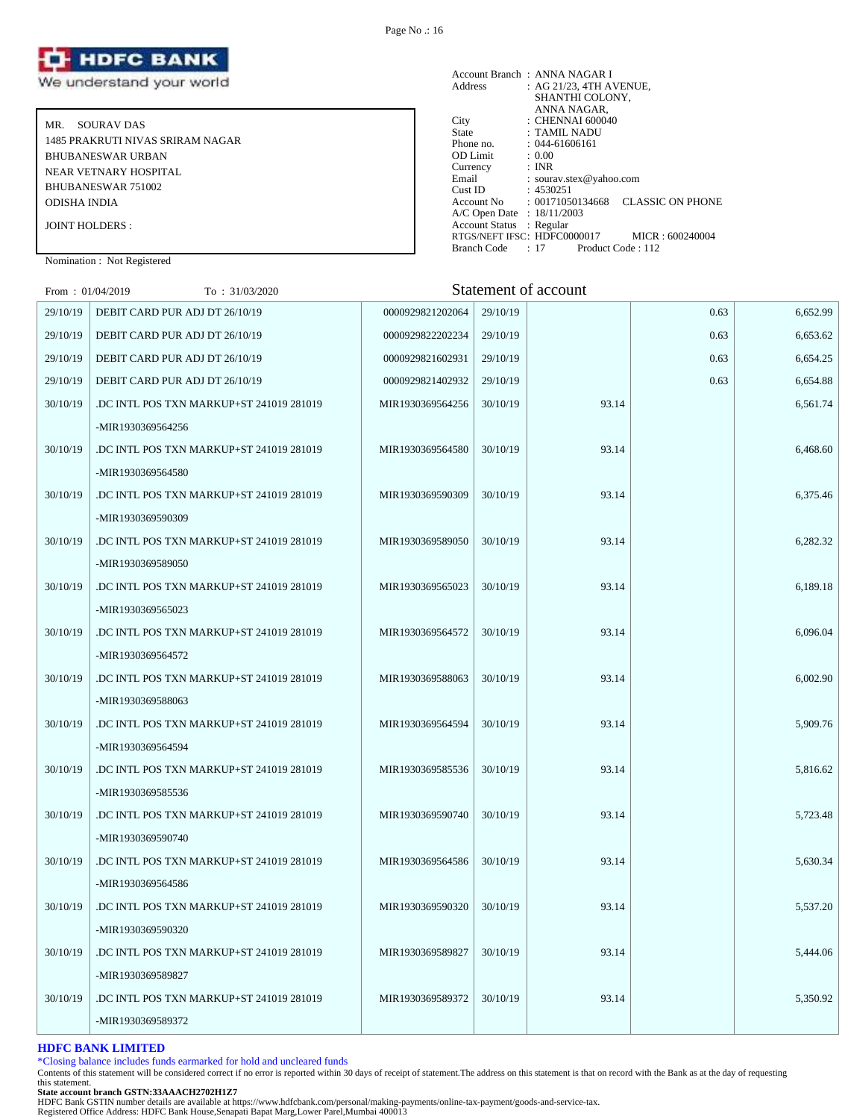

MR. SOURAV DAS 1485 PRAKRUTI NIVAS SRIRAM NAGAR BHUBANESWAR URBAN NEAR VETNARY HOSPITAL BHUBANESWAR 751002 ODISHA INDIA JOINT HOLDERS :

Account Branch : ANNA NAGAR I Address : AG 21/23, 4TH AVENUE, SHANTHI COLONY, ANNA NAGAR, City : CHENNAI 600040 State : TAMIL NADU Phone no. : 1 AMIL NADU<br>
Phone no. : 044-61606161<br>
OD Limit : 0.00<br>
Currency : INR<br>
The interval : INR OD Limit Currency<br>Email : sourav.stex@yahoo.com Cust ID : 4530251 Account No : 00171050134668 CLASSIC ON PHONE A/C Open Date : 18/11/2003 Account Status : Regular RTGS/NEFT IFSC: HDFC0000017 MICR : 600240004<br>Branch Code : 17 Product Code : 112 Branch Code : 17

# Nomination : Not Registered

 $F_{\text{new}}$ : 01/04/2019  $T_{\text{new}}$ : 31/03/2020  $\blacksquare$ 

| $110111 + 010772017$ | 10.31032020                              |                  |          | Dialement of account |      |          |
|----------------------|------------------------------------------|------------------|----------|----------------------|------|----------|
| 29/10/19             | DEBIT CARD PUR ADJ DT 26/10/19           | 0000929821202064 | 29/10/19 |                      | 0.63 | 6,652.99 |
| 29/10/19             | DEBIT CARD PUR ADJ DT 26/10/19           | 0000929822202234 | 29/10/19 |                      | 0.63 | 6,653.62 |
| 29/10/19             | DEBIT CARD PUR ADJ DT 26/10/19           | 0000929821602931 | 29/10/19 |                      | 0.63 | 6,654.25 |
| 29/10/19             | DEBIT CARD PUR ADJ DT 26/10/19           | 0000929821402932 | 29/10/19 |                      | 0.63 | 6,654.88 |
| 30/10/19             | .DC INTL POS TXN MARKUP+ST 241019 281019 | MIR1930369564256 | 30/10/19 | 93.14                |      | 6,561.74 |
|                      | -MIR1930369564256                        |                  |          |                      |      |          |
| 30/10/19             | DC INTL POS TXN MARKUP+ST 241019 281019  | MIR1930369564580 | 30/10/19 | 93.14                |      | 6,468.60 |
|                      | -MIR1930369564580                        |                  |          |                      |      |          |
| 30/10/19             | .DC INTL POS TXN MARKUP+ST 241019 281019 | MIR1930369590309 | 30/10/19 | 93.14                |      | 6,375.46 |
|                      | -MIR1930369590309                        |                  |          |                      |      |          |
| 30/10/19             | .DC INTL POS TXN MARKUP+ST 241019 281019 | MIR1930369589050 | 30/10/19 | 93.14                |      | 6,282.32 |
|                      | -MIR1930369589050                        |                  |          |                      |      |          |
| 30/10/19             | .DC INTL POS TXN MARKUP+ST 241019 281019 | MIR1930369565023 | 30/10/19 | 93.14                |      | 6,189.18 |
|                      | -MIR1930369565023                        |                  |          |                      |      |          |
| 30/10/19             | DC INTL POS TXN MARKUP+ST 241019 281019  | MIR1930369564572 | 30/10/19 | 93.14                |      | 6,096.04 |
|                      | -MIR1930369564572                        |                  |          |                      |      |          |
| 30/10/19             | DC INTL POS TXN MARKUP+ST 241019 281019  | MIR1930369588063 | 30/10/19 | 93.14                |      | 6,002.90 |
|                      | -MIR1930369588063                        |                  |          |                      |      |          |
| 30/10/19             | DC INTL POS TXN MARKUP+ST 241019 281019  | MIR1930369564594 | 30/10/19 | 93.14                |      | 5,909.76 |
|                      | -MIR1930369564594                        |                  |          |                      |      |          |
| 30/10/19             | DC INTL POS TXN MARKUP+ST 241019 281019  | MIR1930369585536 | 30/10/19 | 93.14                |      | 5,816.62 |
|                      | -MIR1930369585536                        |                  |          |                      |      |          |
| 30/10/19             | DC INTL POS TXN MARKUP+ST 241019 281019. | MIR1930369590740 | 30/10/19 | 93.14                |      | 5,723.48 |
|                      | -MIR1930369590740                        |                  |          |                      |      |          |
| 30/10/19             | DC INTL POS TXN MARKUP+ST 241019 281019. | MIR1930369564586 | 30/10/19 | 93.14                |      | 5,630.34 |
|                      | -MIR1930369564586                        |                  |          |                      |      |          |
| 30/10/19             | DC INTL POS TXN MARKUP+ST 241019 281019. | MIR1930369590320 | 30/10/19 | 93.14                |      | 5,537.20 |
|                      | -MIR1930369590320                        |                  |          |                      |      |          |
| 30/10/19             | .DC INTL POS TXN MARKUP+ST 241019 281019 | MIR1930369589827 | 30/10/19 | 93.14                |      | 5,444.06 |
|                      | -MIR1930369589827                        |                  |          |                      |      |          |
| 30/10/19             | DC INTL POS TXN MARKUP+ST 241019 281019  | MIR1930369589372 | 30/10/19 | 93.14                |      | 5,350.92 |
|                      | -MIR1930369589372                        |                  |          |                      |      |          |
|                      |                                          |                  |          |                      |      |          |

# **HDFC BANK LIMITED**

\*Closing balance includes funds earmarked for hold and uncleared funds

Contents of this statement will be considered correct if no error is reported within 30 days of receipt of statement.The address on this statement is that on record with the Bank as at the day of requesting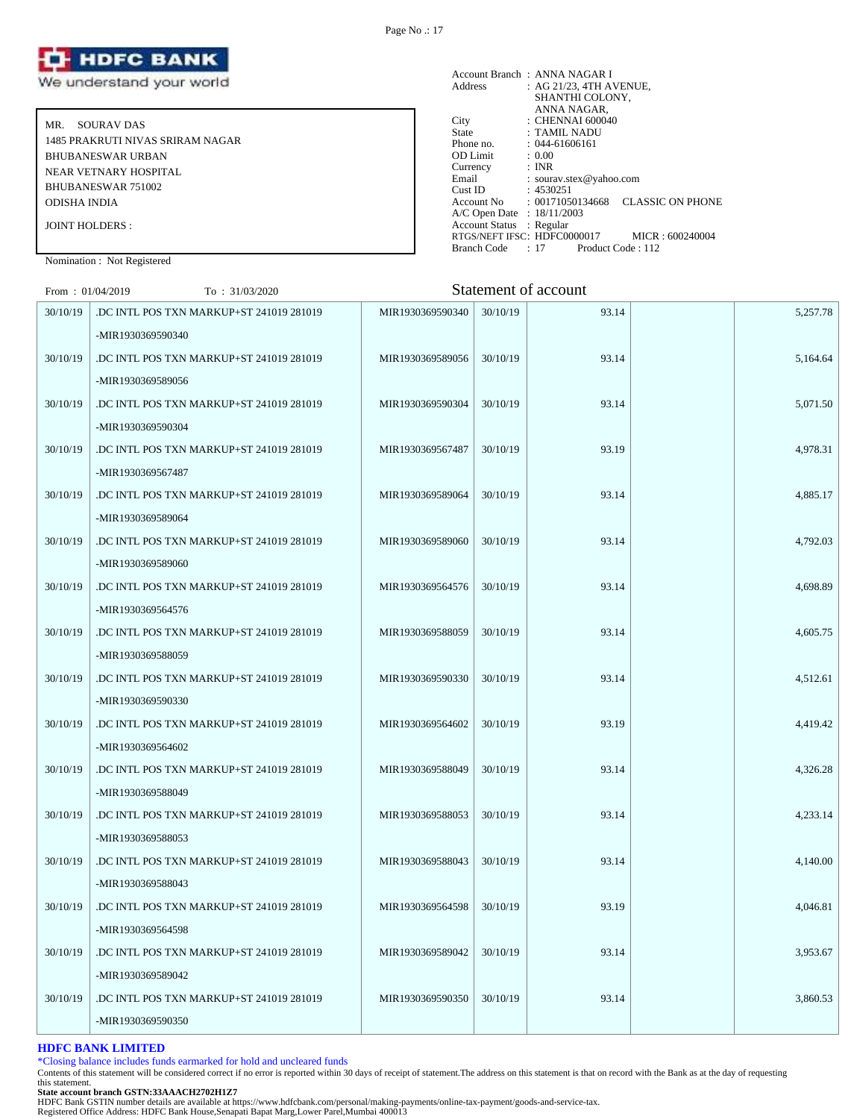

MR. SOURAV DAS 1485 PRAKRUTI NIVAS SRIRAM NAGAR BHUBANESWAR URBAN NEAR VETNARY HOSPITAL BHUBANESWAR 751002 ODISHA INDIA JOINT HOLDERS :

|                            | Account Branch: ANNA NAGAR I                   |
|----------------------------|------------------------------------------------|
| Address                    | : AG 21/23, 4TH AVENUE,                        |
|                            | SHANTHI COLONY.                                |
|                            | ANNA NAGAR,                                    |
| City                       | : CHENNAI 600040                               |
| State                      | : TAMIL NADU                                   |
| Phone no.                  | $: 044 - 61606161$                             |
| <b>OD</b> Limit            | : 0.00                                         |
| Currency                   | : INR                                          |
| Email                      | : sourav.stex@yahoo.com                        |
| Cust ID                    | : 4530251                                      |
| Account No                 | <b>CLASSIC ON PHONE</b><br>: 00171050134668    |
| A/C Open Date : 18/11/2003 |                                                |
| Account Status : Regular   |                                                |
|                            | RTGS/NEFT IFSC: HDFC0000017<br>MICR: 600240004 |
| Branch Code                | : 17<br>Product Code: 112                      |

Nomination : Not Registered

# $F_{\text{row}}$  : 01/04/2019  $T_{\text{O}}$  : 31/03/2020  $T_{\text{O}}$  Statement of account

| $\Gamma$ [011]. $U1/U + ZU17$<br>10.31/03/2020 |                  |          |       |                      |          |
|------------------------------------------------|------------------|----------|-------|----------------------|----------|
| DC INTL POS TXN MARKUP+ST 241019 281019        | MIR1930369590340 | 30/10/19 | 93.14 |                      | 5,257.78 |
| -MIR1930369590340                              |                  |          |       |                      |          |
| DC INTL POS TXN MARKUP+ST 241019 281019        | MIR1930369589056 | 30/10/19 | 93.14 |                      | 5,164.64 |
| -MIR1930369589056                              |                  |          |       |                      |          |
| DC INTL POS TXN MARKUP+ST 241019 281019        | MIR1930369590304 | 30/10/19 | 93.14 |                      | 5,071.50 |
| -MIR1930369590304                              |                  |          |       |                      |          |
| DC INTL POS TXN MARKUP+ST 241019 281019        | MIR1930369567487 | 30/10/19 | 93.19 |                      | 4,978.31 |
| -MIR1930369567487                              |                  |          |       |                      |          |
| DC INTL POS TXN MARKUP+ST 241019 281019        | MIR1930369589064 | 30/10/19 | 93.14 |                      | 4,885.17 |
| -MIR1930369589064                              |                  |          |       |                      |          |
| .DC INTL POS TXN MARKUP+ST 241019 281019       | MIR1930369589060 | 30/10/19 | 93.14 |                      | 4,792.03 |
| -MIR1930369589060                              |                  |          |       |                      |          |
| .DC INTL POS TXN MARKUP+ST 241019 281019       | MIR1930369564576 | 30/10/19 | 93.14 |                      | 4,698.89 |
| -MIR1930369564576                              |                  |          |       |                      |          |
| .DC INTL POS TXN MARKUP+ST 241019 281019       | MIR1930369588059 | 30/10/19 | 93.14 |                      | 4,605.75 |
| -MIR1930369588059                              |                  |          |       |                      |          |
| DC INTL POS TXN MARKUP+ST 241019 281019        | MIR1930369590330 | 30/10/19 | 93.14 |                      | 4,512.61 |
| -MIR1930369590330                              |                  |          |       |                      |          |
| DC INTL POS TXN MARKUP+ST 241019 281019        | MIR1930369564602 | 30/10/19 | 93.19 |                      | 4,419.42 |
| -MIR1930369564602                              |                  |          |       |                      |          |
| DC INTL POS TXN MARKUP+ST 241019 281019        | MIR1930369588049 | 30/10/19 | 93.14 |                      | 4,326.28 |
| -MIR1930369588049                              |                  |          |       |                      |          |
| DC INTL POS TXN MARKUP+ST 241019 281019        | MIR1930369588053 | 30/10/19 | 93.14 |                      | 4,233.14 |
| -MIR1930369588053                              |                  |          |       |                      |          |
| DC INTL POS TXN MARKUP+ST 241019 281019.       | MIR1930369588043 | 30/10/19 | 93.14 |                      | 4,140.00 |
| -MIR1930369588043                              |                  |          |       |                      |          |
| DC INTL POS TXN MARKUP+ST 241019 281019        | MIR1930369564598 | 30/10/19 | 93.19 |                      | 4,046.81 |
| -MIR1930369564598                              |                  |          |       |                      |          |
| DC INTL POS TXN MARKUP+ST 241019 281019        | MIR1930369589042 | 30/10/19 | 93.14 |                      | 3,953.67 |
| -MIR1930369589042                              |                  |          |       |                      |          |
| DC INTL POS TXN MARKUP+ST 241019 281019        | MIR1930369590350 | 30/10/19 | 93.14 |                      | 3,860.53 |
| -MIR1930369590350                              |                  |          |       |                      |          |
|                                                |                  |          |       | Statement of account |          |

# **HDFC BANK LIMITED**

\*Closing balance includes funds earmarked for hold and uncleared funds

Contents of this statement will be considered correct if no error is reported within 30 days of receipt of statement.The address on this statement is that on record with the Bank as at the day of requesting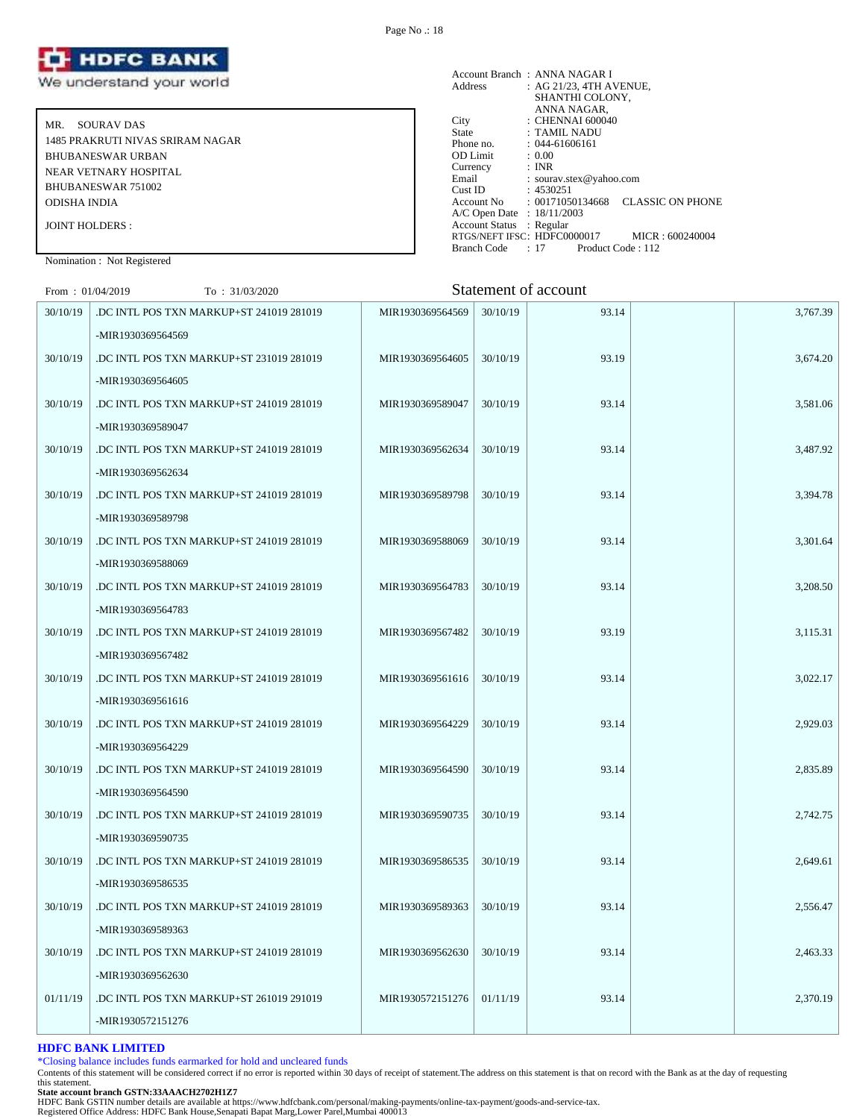

MR. SOURAV DAS 1485 PRAKRUTI NIVAS SRIRAM NAGAR BHUBANESWAR URBAN NEAR VETNARY HOSPITAL BHUBANESWAR 751002 ODISHA INDIA JOINT HOLDERS :

|                            | Account Branch: ANNA NAGAR I                                           |
|----------------------------|------------------------------------------------------------------------|
| Address                    | : AG 21/23, 4TH AVENUE,                                                |
|                            | SHANTHI COLONY,                                                        |
|                            | ANNA NAGAR,                                                            |
| City                       | : CHENNAI 600040                                                       |
| State                      | : TAMIL NADU                                                           |
| Phone no.                  | $: 044 - 61606161$                                                     |
| <b>OD</b> Limit            | : 0.00                                                                 |
| Currency                   | : INR                                                                  |
| Email                      | : sourav.stex@yahoo.com                                                |
| Cust ID                    | : 4530251                                                              |
|                            | <b>CLASSIC ON PHONE</b><br>$\text{Account No} \qquad : 00171050134668$ |
| A/C Open Date : 18/11/2003 |                                                                        |
| Account Status : Regular   |                                                                        |
|                            | RTGS/NEFT IFSC: HDFC0000017<br>MICR: 600240004                         |
| Branch Code                | $: 17$ Product Code $: 112$                                            |

Nomination : Not Registered

# $F_{\text{row}}$  : 01/04/2019  $T_{\text{O}}$  : 31/03/2020  $T_{\text{O}}$  Statement of account

| $11011 \cdot 01042019$ | 10.31/03/2020                            |                  |          | Dialement of account |          |
|------------------------|------------------------------------------|------------------|----------|----------------------|----------|
| 30/10/19               | DC INTL POS TXN MARKUP+ST 241019 281019  | MIR1930369564569 | 30/10/19 | 93.14                | 3,767.39 |
|                        | -MIR1930369564569                        |                  |          |                      |          |
| 30/10/19               | DC INTL POS TXN MARKUP+ST 231019 281019  | MIR1930369564605 | 30/10/19 | 93.19                | 3,674.20 |
|                        | -MIR1930369564605                        |                  |          |                      |          |
| 30/10/19               | DC INTL POS TXN MARKUP+ST 241019 281019  | MIR1930369589047 | 30/10/19 | 93.14                | 3,581.06 |
|                        | -MIR1930369589047                        |                  |          |                      |          |
| 30/10/19               | DC INTL POS TXN MARKUP+ST 241019 281019  | MIR1930369562634 | 30/10/19 | 93.14                | 3,487.92 |
|                        | -MIR1930369562634                        |                  |          |                      |          |
| 30/10/19               | DC INTL POS TXN MARKUP+ST 241019 281019  | MIR1930369589798 | 30/10/19 | 93.14                | 3,394.78 |
|                        | -MIR1930369589798                        |                  |          |                      |          |
| 30/10/19               | .DC INTL POS TXN MARKUP+ST 241019 281019 | MIR1930369588069 | 30/10/19 | 93.14                | 3,301.64 |
|                        | -MIR1930369588069                        |                  |          |                      |          |
| 30/10/19               | .DC INTL POS TXN MARKUP+ST 241019 281019 | MIR1930369564783 | 30/10/19 | 93.14                | 3,208.50 |
|                        | -MIR1930369564783                        |                  |          |                      |          |
| 30/10/19               | .DC INTL POS TXN MARKUP+ST 241019 281019 | MIR1930369567482 | 30/10/19 | 93.19                | 3,115.31 |
|                        | -MIR1930369567482                        |                  |          |                      |          |
| 30/10/19               | DC INTL POS TXN MARKUP+ST 241019 281019  | MIR1930369561616 | 30/10/19 | 93.14                | 3,022.17 |
|                        | -MIR1930369561616                        |                  |          |                      |          |
| 30/10/19               | DC INTL POS TXN MARKUP+ST 241019 281019  | MIR1930369564229 | 30/10/19 | 93.14                | 2,929.03 |
|                        | -MIR1930369564229                        |                  |          |                      |          |
| 30/10/19               | DC INTL POS TXN MARKUP+ST 241019 281019  | MIR1930369564590 | 30/10/19 | 93.14                | 2,835.89 |
|                        | -MIR1930369564590                        |                  |          |                      |          |
| 30/10/19               | DC INTL POS TXN MARKUP+ST 241019 281019  | MIR1930369590735 | 30/10/19 | 93.14                | 2,742.75 |
|                        | -MIR1930369590735                        |                  |          |                      |          |
| 30/10/19               | DC INTL POS TXN MARKUP+ST 241019 281019  | MIR1930369586535 | 30/10/19 | 93.14                | 2,649.61 |
|                        | -MIR1930369586535                        |                  |          |                      |          |
| 30/10/19               | DC INTL POS TXN MARKUP+ST 241019 281019  | MIR1930369589363 | 30/10/19 | 93.14                | 2,556.47 |
|                        | -MIR1930369589363                        |                  |          |                      |          |
| 30/10/19               | .DC INTL POS TXN MARKUP+ST 241019 281019 | MIR1930369562630 | 30/10/19 | 93.14                | 2,463.33 |
|                        | -MIR1930369562630                        |                  |          |                      |          |
| 01/11/19               | .DC INTL POS TXN MARKUP+ST 261019 291019 | MIR1930572151276 | 01/11/19 | 93.14                | 2,370.19 |
|                        | -MIR1930572151276                        |                  |          |                      |          |

# **HDFC BANK LIMITED**

\*Closing balance includes funds earmarked for hold and uncleared funds

Contents of this statement will be considered correct if no error is reported within 30 days of receipt of statement.The address on this statement is that on record with the Bank as at the day of requesting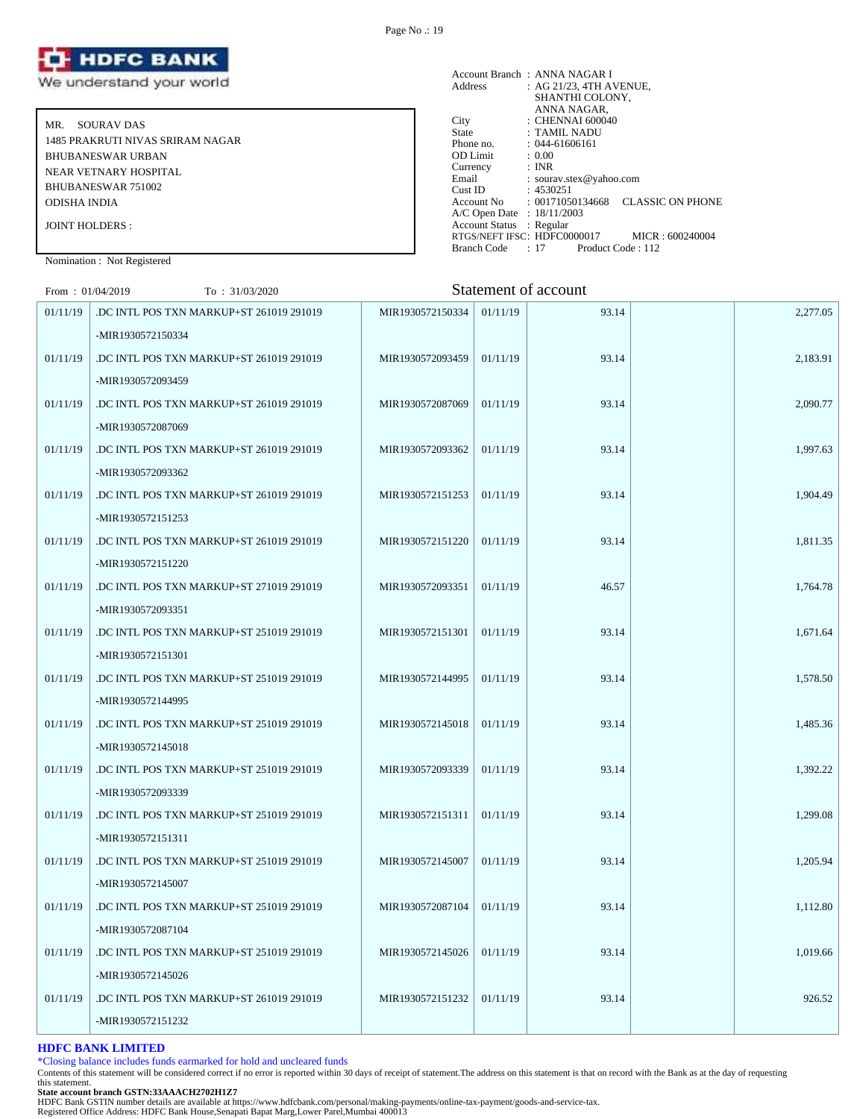

MR. SOURAV DAS 1485 PRAKRUTI NIVAS SRIRAM NAGAR BHUBANESWAR URBAN NEAR VETNARY HOSPITAL BHUBANESWAR 751002 ODISHA INDIA JOINT HOLDERS :

| Address                    | Account Branch: ANNA NAGAR I<br>: AG 21/23, 4TH AVENUE, |
|----------------------------|---------------------------------------------------------|
|                            | SHANTHI COLONY,                                         |
|                            | ANNA NAGAR,                                             |
| City                       | : CHENNAI 600040                                        |
| State                      | : TAMIL NADU                                            |
| Phone no.                  | $: 044 - 61606161$                                      |
| OD Limit                   | : 0.00                                                  |
| Currency                   | : INR                                                   |
| Email                      | : sourav.stex@yahoo.com                                 |
| Cust ID                    | :4530251                                                |
| Account No                 | <b>CLASSIC ON PHONE</b><br>: 00171050134668             |
| A/C Open Date : 18/11/2003 |                                                         |
| <b>Account Status</b>      | : Regular                                               |
|                            | RTGS/NEFT IFSC: HDFC0000017<br>MICR: 600240004          |
| Branch Code                | $: 17$ Product Code $: 112$                             |

Nomination : Not Registered

# From : 01/04/2019 To : 31/03/2020 Statement of account

|          |                                          |                  |          | Duatement of account |          |
|----------|------------------------------------------|------------------|----------|----------------------|----------|
| 01/11/19 | DC INTL POS TXN MARKUP+ST 261019 291019  | MIR1930572150334 | 01/11/19 | 93.14                | 2,277.05 |
|          | -MIR1930572150334                        |                  |          |                      |          |
| 01/11/19 | DC INTL POS TXN MARKUP+ST 261019 291019  | MIR1930572093459 | 01/11/19 | 93.14                | 2,183.91 |
|          | -MIR1930572093459                        |                  |          |                      |          |
| 01/11/19 | DC INTL POS TXN MARKUP+ST 261019 291019  | MIR1930572087069 | 01/11/19 | 93.14                | 2,090.77 |
|          | -MIR1930572087069                        |                  |          |                      |          |
| 01/11/19 | DC INTL POS TXN MARKUP+ST 261019 291019  | MIR1930572093362 | 01/11/19 | 93.14                | 1,997.63 |
|          | -MIR1930572093362                        |                  |          |                      |          |
| 01/11/19 | DC INTL POS TXN MARKUP+ST 261019 291019  | MIR1930572151253 | 01/11/19 | 93.14                | 1,904.49 |
|          | -MIR1930572151253                        |                  |          |                      |          |
| 01/11/19 | .DC INTL POS TXN MARKUP+ST 261019 291019 | MIR1930572151220 | 01/11/19 | 93.14                | 1,811.35 |
|          | -MIR1930572151220                        |                  |          |                      |          |
| 01/11/19 | DC INTL POS TXN MARKUP+ST 271019 291019  | MIR1930572093351 | 01/11/19 | 46.57                | 1,764.78 |
|          | -MIR1930572093351                        |                  |          |                      |          |
| 01/11/19 | DC INTL POS TXN MARKUP+ST 251019 291019  | MIR1930572151301 | 01/11/19 | 93.14                | 1,671.64 |
|          | -MIR1930572151301                        |                  |          |                      |          |
| 01/11/19 | DC INTL POS TXN MARKUP+ST 251019 291019  | MIR1930572144995 | 01/11/19 | 93.14                | 1,578.50 |
|          | -MIR1930572144995                        |                  |          |                      |          |
| 01/11/19 | .DC INTL POS TXN MARKUP+ST 251019 291019 | MIR1930572145018 | 01/11/19 | 93.14                | 1,485.36 |
|          | -MIR1930572145018                        |                  |          |                      |          |
| 01/11/19 | .DC INTL POS TXN MARKUP+ST 251019 291019 | MIR1930572093339 | 01/11/19 | 93.14                | 1,392.22 |
|          | -MIR1930572093339                        |                  |          |                      |          |
| 01/11/19 | .DC INTL POS TXN MARKUP+ST 251019 291019 | MIR1930572151311 | 01/11/19 | 93.14                | 1,299.08 |
|          | -MIR1930572151311                        |                  |          |                      |          |
| 01/11/19 | .DC INTL POS TXN MARKUP+ST 251019 291019 | MIR1930572145007 | 01/11/19 | 93.14                | 1,205.94 |
|          | -MIR1930572145007                        |                  |          |                      |          |
| 01/11/19 | .DC INTL POS TXN MARKUP+ST 251019 291019 | MIR1930572087104 | 01/11/19 | 93.14                | 1,112.80 |
|          | -MIR1930572087104                        |                  |          |                      |          |
| 01/11/19 | .DC INTL POS TXN MARKUP+ST 251019 291019 | MIR1930572145026 | 01/11/19 | 93.14                | 1,019.66 |
|          | -MIR1930572145026                        |                  |          |                      |          |
| 01/11/19 | DC INTL POS TXN MARKUP+ST 261019 291019. | MIR1930572151232 | 01/11/19 | 93.14                | 926.52   |
|          | -MIR1930572151232                        |                  |          |                      |          |
|          |                                          |                  |          |                      |          |

# **HDFC BANK LIMITED**

\*Closing balance includes funds earmarked for hold and uncleared funds

Contents of this statement will be considered correct if no error is reported within 30 days of receipt of statement.The address on this statement is that on record with the Bank as at the day of requesting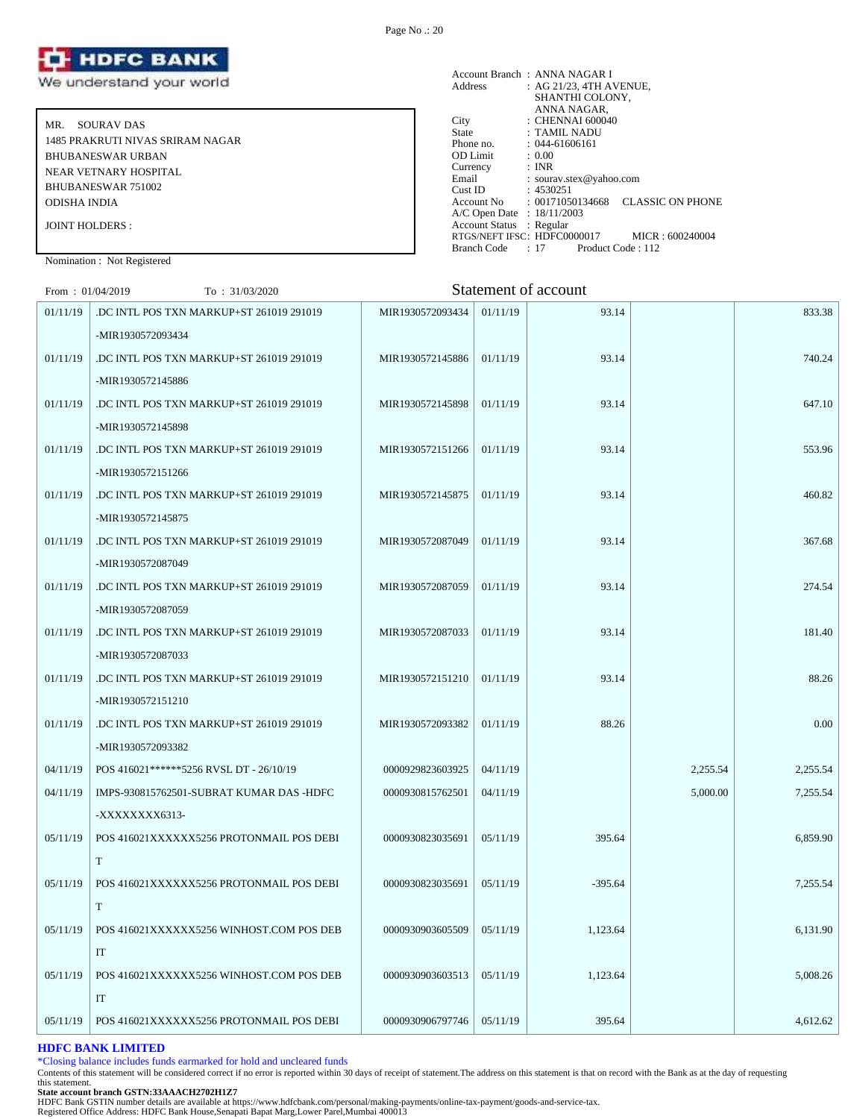

MR. SOURAV DAS 1485 PRAKRUTI NIVAS SRIRAM NAGAR BHUBANESWAR URBAN NEAR VETNARY HOSPITAL BHUBANESWAR 751002 ODISHA INDIA JOINT HOLDERS :

| Address                    | Account Branch: ANNA NAGAR I<br>: AG 21/23, 4TH AVENUE,<br>SHANTHI COLONY, |  |
|----------------------------|----------------------------------------------------------------------------|--|
|                            | ANNA NAGAR,                                                                |  |
| City                       | $\therefore$ CHENNAI 600040                                                |  |
| State                      | : TAMIL NADU                                                               |  |
| Phone no.                  | $: 044 - 61606161$                                                         |  |
| <b>OD</b> Limit            | : 0.00                                                                     |  |
| Currency                   | : INR                                                                      |  |
| Email                      | : sourav.stex@yahoo.com                                                    |  |
| Cust ID                    | : 4530251                                                                  |  |
|                            | <b>CLASSIC ON PHONE</b><br>$\text{Account No} \qquad : 00171050134668$     |  |
| A/C Open Date : 18/11/2003 |                                                                            |  |
| Account Status : Regular   |                                                                            |  |
|                            | RTGS/NEFT IFSC: HDFC0000017<br>MICR: 600240004                             |  |
| Branch Code                | $: 17$ Product Code $: 112$                                                |  |

Nomination : Not Registered

# $F_{\text{row}}$  : 01/04/2019  $T_{\text{O}}$  : 31/03/2020  $T_{\text{O}}$  Statement of account

| $\Gamma$ [0] . 01/04/2019 | 10.31/03/2020                            |                             |          | Statement of account |          |          |
|---------------------------|------------------------------------------|-----------------------------|----------|----------------------|----------|----------|
| 01/11/19                  | DC INTL POS TXN MARKUP+ST 261019 291019  | MIR1930572093434            | 01/11/19 | 93.14                |          | 833.38   |
|                           | -MIR1930572093434                        |                             |          |                      |          |          |
| 01/11/19                  | DC INTL POS TXN MARKUP+ST 261019 291019  | MIR1930572145886            | 01/11/19 | 93.14                |          | 740.24   |
|                           | -MIR1930572145886                        |                             |          |                      |          |          |
| 01/11/19                  | DC INTL POS TXN MARKUP+ST 261019 291019  | MIR1930572145898            | 01/11/19 | 93.14                |          | 647.10   |
|                           | -MIR1930572145898                        |                             |          |                      |          |          |
| 01/11/19                  | DC INTL POS TXN MARKUP+ST 261019 291019  | MIR1930572151266            | 01/11/19 | 93.14                |          | 553.96   |
|                           | -MIR1930572151266                        |                             |          |                      |          |          |
| 01/11/19                  | DC INTL POS TXN MARKUP+ST 261019 291019  | MIR1930572145875            | 01/11/19 | 93.14                |          | 460.82   |
|                           | -MIR1930572145875                        |                             |          |                      |          |          |
| 01/11/19                  | DC INTL POS TXN MARKUP+ST 261019 291019  | MIR1930572087049            | 01/11/19 | 93.14                |          | 367.68   |
|                           | -MIR1930572087049                        |                             |          |                      |          |          |
| 01/11/19                  | DC INTL POS TXN MARKUP+ST 261019 291019  | MIR1930572087059            | 01/11/19 | 93.14                |          | 274.54   |
|                           | -MIR1930572087059                        |                             |          |                      |          |          |
| 01/11/19                  | .DC INTL POS TXN MARKUP+ST 261019 291019 | MIR1930572087033            | 01/11/19 | 93.14                |          | 181.40   |
|                           | -MIR1930572087033                        |                             |          |                      |          |          |
| 01/11/19                  | DC INTL POS TXN MARKUP+ST 261019 291019  | MIR1930572151210            | 01/11/19 | 93.14                |          | 88.26    |
|                           | -MIR1930572151210                        |                             |          |                      |          |          |
| 01/11/19                  | DC INTL POS TXN MARKUP+ST 261019 291019  | MIR1930572093382            | 01/11/19 | 88.26                |          | 0.00     |
|                           | -MIR1930572093382                        |                             |          |                      |          |          |
| 04/11/19                  | POS 416021******5256 RVSL DT - 26/10/19  | 0000929823603925            | 04/11/19 |                      | 2,255.54 | 2,255.54 |
| 04/11/19                  | IMPS-930815762501-SUBRAT KUMAR DAS -HDFC | 0000930815762501            | 04/11/19 |                      | 5,000.00 | 7,255.54 |
|                           | -XXXXXXXX6313-                           |                             |          |                      |          |          |
| 05/11/19                  | POS 416021XXXXXX5256 PROTONMAIL POS DEBI | 0000930823035691            | 05/11/19 | 395.64               |          | 6,859.90 |
|                           | T                                        |                             |          |                      |          |          |
| 05/11/19                  | POS 416021XXXXXX5256 PROTONMAIL POS DEBI | 0000930823035691   05/11/19 |          | $-395.64$            |          | 7,255.54 |
|                           | $\mathbf T$                              |                             |          |                      |          |          |
| 05/11/19                  | POS 416021XXXXXX5256 WINHOST.COM POS DEB | 0000930903605509            | 05/11/19 | 1,123.64             |          | 6,131.90 |
|                           | IT                                       |                             |          |                      |          |          |
| 05/11/19                  | POS 416021XXXXXX5256 WINHOST.COM POS DEB | 0000930903603513            | 05/11/19 | 1,123.64             |          | 5,008.26 |
|                           | $\ensuremath{\mathsf{IT}}$               |                             |          |                      |          |          |
| 05/11/19                  | POS 416021XXXXXX5256 PROTONMAIL POS DEBI | 0000930906797746            | 05/11/19 | 395.64               |          | 4,612.62 |
|                           |                                          |                             |          |                      |          |          |

# **HDFC BANK LIMITED**

\*Closing balance includes funds earmarked for hold and uncleared funds

Contents of this statement will be considered correct if no error is reported within 30 days of receipt of statement.The address on this statement is that on record with the Bank as at the day of requesting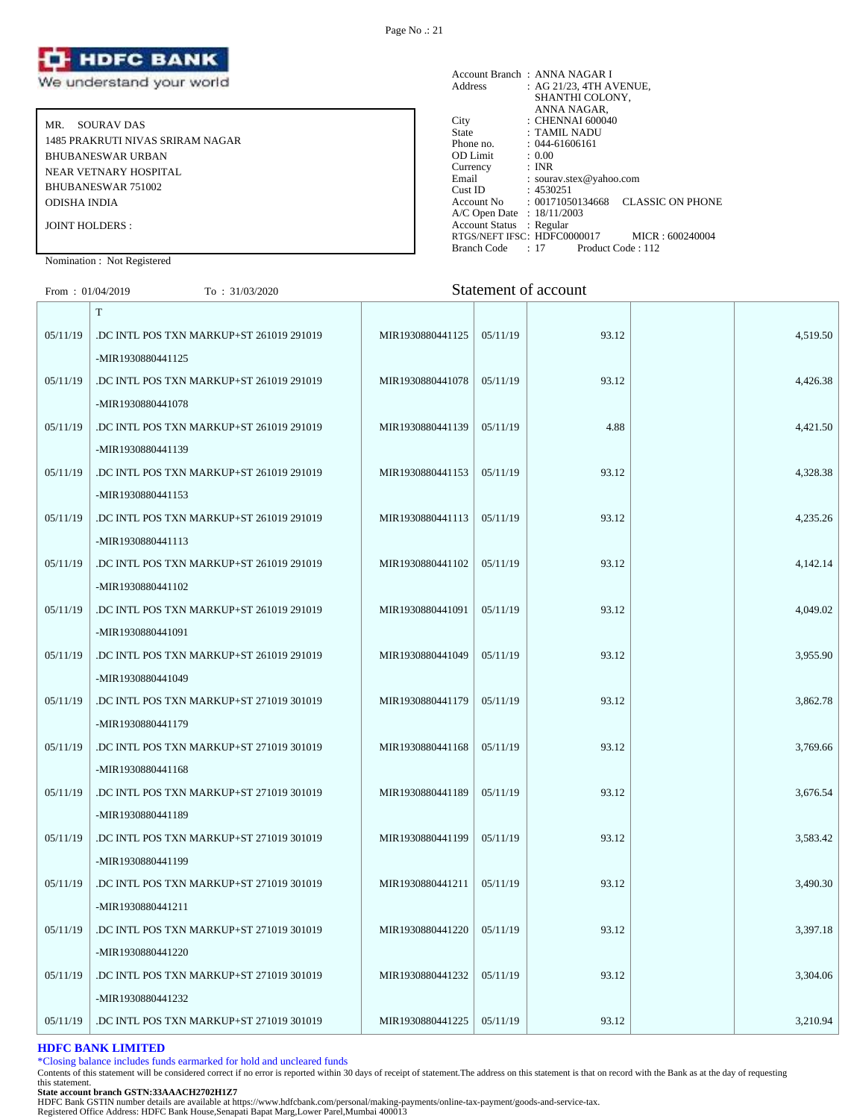

MR. SOURAV DAS 1485 PRAKRUTI NIVAS SRIRAM NAGAR BHUBANESWAR URBAN NEAR VETNARY HOSPITAL BHUBANESWAR 751002 ODISHA INDIA JOINT HOLDERS :

Account Branch : ANNA NAGAR I<br>Address : AG 21/23, 4TH A : AG 21/23, 4TH AVENUE, SHANTHI COLONY, ANNA NAGAR, City : CHENNAI 600040<br>State : TAMIL NADU State : TAMIL NADU<br>Phone no. : 044-61606161  $: 044-61606161$ <br> $: 0.00$ OD Limit :  $0.00$ <br>Currency : INR Currency<br>Email Email : sourav.stex@yahoo.com<br>Cust ID : 4530251 Cust ID : 4530251<br>Account No : 0017105 : 00171050134668 CLASSIC ON PHONE A/C Open Date : 18/11/2003 Account Status : Regular RTGS/NEFT IFSC: HDFC0000017 MICR : 600240004<br>Branch Code : 17 Product Code : 112 Branch Code : 17

# Nomination : Not Registered

| From: $01/04/2019$ | To: $31/03/2020$                         |                  |          | Statement of account |          |
|--------------------|------------------------------------------|------------------|----------|----------------------|----------|
|                    | T                                        |                  |          |                      |          |
| 05/11/19           | .DC INTL POS TXN MARKUP+ST 261019 291019 | MIR1930880441125 | 05/11/19 | 93.12                | 4,519.50 |
|                    | -MIR1930880441125                        |                  |          |                      |          |
| 05/11/19           | .DC INTL POS TXN MARKUP+ST 261019 291019 | MIR1930880441078 | 05/11/19 | 93.12                | 4,426.38 |
|                    | -MIR1930880441078                        |                  |          |                      |          |
| 05/11/19           | DC INTL POS TXN MARKUP+ST 261019 291019  | MIR1930880441139 | 05/11/19 | 4.88                 | 4,421.50 |
|                    | -MIR1930880441139                        |                  |          |                      |          |
| 05/11/19           | .DC INTL POS TXN MARKUP+ST 261019 291019 | MIR1930880441153 | 05/11/19 | 93.12                | 4,328.38 |
|                    | -MIR1930880441153                        |                  |          |                      |          |
| 05/11/19           | DC INTL POS TXN MARKUP+ST 261019 291019  | MIR1930880441113 | 05/11/19 | 93.12                | 4,235.26 |
|                    | -MIR1930880441113                        |                  |          |                      |          |
| 05/11/19           | DC INTL POS TXN MARKUP+ST 261019 291019  | MIR1930880441102 | 05/11/19 | 93.12                | 4,142.14 |
|                    | -MIR1930880441102                        |                  |          |                      |          |
| 05/11/19           | .DC INTL POS TXN MARKUP+ST 261019 291019 | MIR1930880441091 | 05/11/19 | 93.12                | 4,049.02 |
|                    | -MIR1930880441091                        |                  |          |                      |          |
| 05/11/19           | .DC INTL POS TXN MARKUP+ST 261019 291019 | MIR1930880441049 | 05/11/19 | 93.12                | 3,955.90 |
|                    | -MIR1930880441049                        |                  |          |                      |          |
| 05/11/19           | .DC INTL POS TXN MARKUP+ST 271019 301019 | MIR1930880441179 | 05/11/19 | 93.12                | 3,862.78 |
|                    | -MIR1930880441179                        |                  |          |                      |          |
| 05/11/19           | .DC INTL POS TXN MARKUP+ST 271019 301019 | MIR1930880441168 | 05/11/19 | 93.12                | 3,769.66 |
|                    | -MIR1930880441168                        |                  |          |                      |          |
| 05/11/19           | DC INTL POS TXN MARKUP+ST 271019 301019  | MIR1930880441189 | 05/11/19 | 93.12                | 3,676.54 |
|                    | -MIR1930880441189                        |                  |          |                      |          |
| 05/11/19           | .DC INTL POS TXN MARKUP+ST 271019 301019 | MIR1930880441199 | 05/11/19 | 93.12                | 3,583.42 |
|                    | -MIR1930880441199                        |                  |          |                      |          |
| 05/11/19           | .DC INTL POS TXN MARKUP+ST 271019 301019 | MIR1930880441211 | 05/11/19 | 93.12                | 3,490.30 |

#### **HDFC BANK LIMITED**

\*Closing balance includes funds earmarked for hold and uncleared funds

Contents of this statement will be considered correct if no error is reported within 30 days of receipt of statement.The address on this statement is that on record with the Bank as at the day of requesting this statement.

05/11/19 DC INTL POS TXN MARKUP+ST 271019 301019 MIR1930880441220 05/11/19 93.12 3,397.18

05/11/19 DC INTL POS TXN MARKUP+ST 271019 301019 MIR1930880441232 05/11/19 93.12 3,304.06

05/11/19 DC INTL POS TXN MARKUP+ST 271019 301019 MIR1930880441225 05/11/19 93.12 3,210.94

-MIR1930880441211

-MIR1930880441220

-MIR1930880441232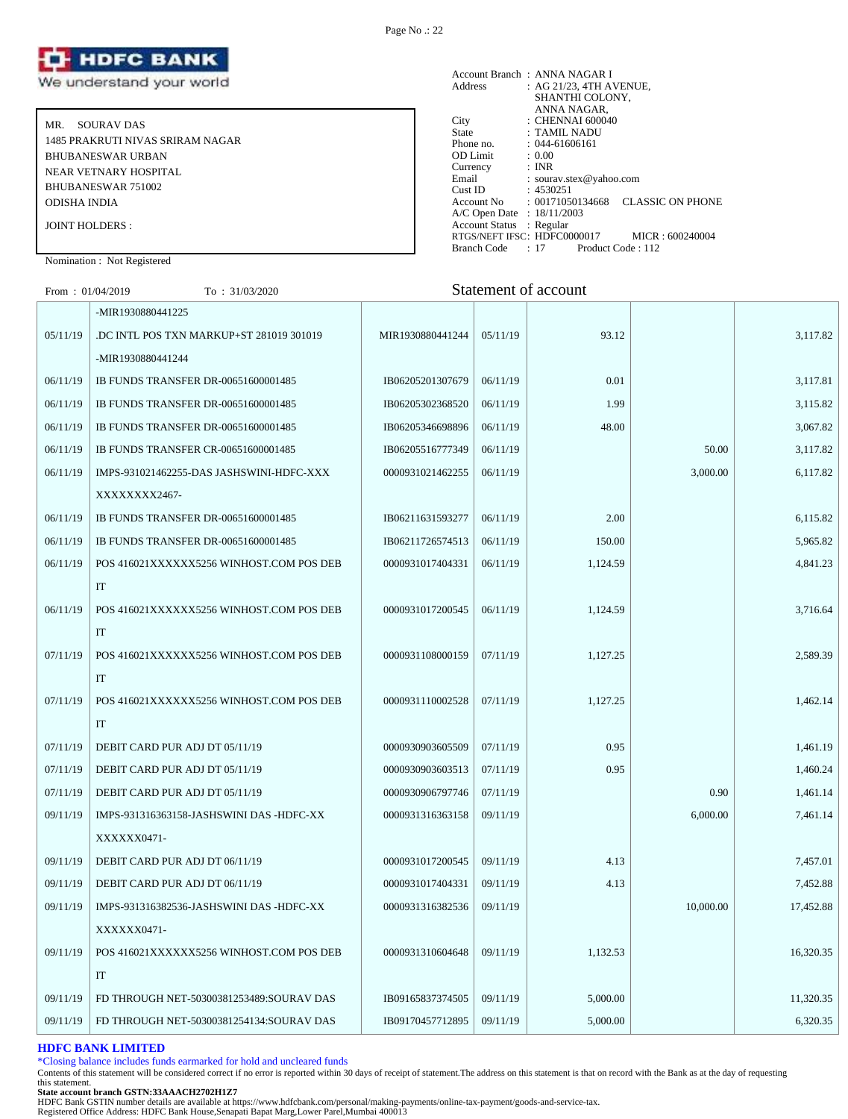

MR. SOURAV DAS 1485 PRAKRUTI NIVAS SRIRAM NAGAR BHUBANESWAR URBAN NEAR VETNARY HOSPITAL BHUBANESWAR 751002 ODISHA INDIA JOINT HOLDERS :

#### Account Branch : ANNA NAGAR I<br>Address : AG 21/23, 4TH A  $\therefore$  AG 21/23, 4TH AVENUE, SHANTHI COLONY, ANNA NAGAR, City : CHENNAI 600040 State : TAMIL NADU Phone no. : 044-61606161<br>OD Limit : 0.00 OD Limit :  $0.00$ <br>Currency : INR Currency<br>Email Email : sourav.stex@yahoo.com<br>Cust ID : 4530251 Cust ID : 4530251<br>Account No : 0017105 : 00171050134668 CLASSIC ON PHONE A/C Open Date : 18/11/2003 Account Status : Regular RTGS/NEFT IFSC: HDFC0000017 MICR : 600240004<br>Branch Code : 17 Product Code : 112 Branch Code : 17

## Nomination : Not Registered

# From : 01/04/2019 To : 31/03/2020 Statement of account

|          | -MIR1930880441225                        |                  |          |          |           |           |
|----------|------------------------------------------|------------------|----------|----------|-----------|-----------|
| 05/11/19 | DC INTL POS TXN MARKUP+ST 281019 301019  | MIR1930880441244 | 05/11/19 | 93.12    |           | 3,117.82  |
|          | -MIR1930880441244                        |                  |          |          |           |           |
| 06/11/19 | IB FUNDS TRANSFER DR-00651600001485      | IB06205201307679 | 06/11/19 | 0.01     |           | 3,117.81  |
| 06/11/19 | IB FUNDS TRANSFER DR-00651600001485      | IB06205302368520 | 06/11/19 | 1.99     |           | 3,115.82  |
| 06/11/19 | IB FUNDS TRANSFER DR-00651600001485      | IB06205346698896 | 06/11/19 | 48.00    |           | 3,067.82  |
| 06/11/19 | IB FUNDS TRANSFER CR-00651600001485      | IB06205516777349 | 06/11/19 |          | 50.00     | 3,117.82  |
| 06/11/19 | IMPS-931021462255-DAS JASHSWINI-HDFC-XXX | 0000931021462255 | 06/11/19 |          | 3,000.00  | 6,117.82  |
|          | XXXXXXX2467-                             |                  |          |          |           |           |
| 06/11/19 | IB FUNDS TRANSFER DR-00651600001485      | IB06211631593277 | 06/11/19 | 2.00     |           | 6,115.82  |
| 06/11/19 | IB FUNDS TRANSFER DR-00651600001485      | IB06211726574513 | 06/11/19 | 150.00   |           | 5,965.82  |
| 06/11/19 | POS 416021XXXXXX5256 WINHOST.COM POS DEB | 0000931017404331 | 06/11/19 | 1,124.59 |           | 4,841.23  |
|          | IT                                       |                  |          |          |           |           |
| 06/11/19 | POS 416021XXXXXX5256 WINHOST.COM POS DEB | 0000931017200545 | 06/11/19 | 1,124.59 |           | 3,716.64  |
|          | IT                                       |                  |          |          |           |           |
| 07/11/19 | POS 416021XXXXXX5256 WINHOST.COM POS DEB | 0000931108000159 | 07/11/19 | 1,127.25 |           | 2,589.39  |
|          | $\rm IT$                                 |                  |          |          |           |           |
| 07/11/19 | POS 416021XXXXXX5256 WINHOST.COM POS DEB | 0000931110002528 | 07/11/19 | 1,127.25 |           | 1,462.14  |
|          | IT                                       |                  |          |          |           |           |
| 07/11/19 | DEBIT CARD PUR ADJ DT 05/11/19           | 0000930903605509 | 07/11/19 | 0.95     |           | 1,461.19  |
| 07/11/19 | DEBIT CARD PUR ADJ DT 05/11/19           | 0000930903603513 | 07/11/19 | 0.95     |           | 1,460.24  |
| 07/11/19 | DEBIT CARD PUR ADJ DT 05/11/19           | 0000930906797746 | 07/11/19 |          | 0.90      | 1,461.14  |
| 09/11/19 | IMPS-931316363158-JASHSWINI DAS -HDFC-XX | 0000931316363158 | 09/11/19 |          | 6,000.00  | 7,461.14  |
|          | XXXXXX0471-                              |                  |          |          |           |           |
| 09/11/19 | DEBIT CARD PUR ADJ DT 06/11/19           | 0000931017200545 | 09/11/19 | 4.13     |           | 7,457.01  |
| 09/11/19 | DEBIT CARD PUR ADJ DT 06/11/19           | 0000931017404331 | 09/11/19 | 4.13     |           | 7,452.88  |
| 09/11/19 | IMPS-931316382536-JASHSWINI DAS -HDFC-XX | 0000931316382536 | 09/11/19 |          | 10,000.00 | 17,452.88 |
|          | XXXXXX0471-                              |                  |          |          |           |           |
| 09/11/19 | POS 416021XXXXXX5256 WINHOST.COM POS DEB | 0000931310604648 | 09/11/19 | 1,132.53 |           | 16,320.35 |
|          | IT                                       |                  |          |          |           |           |
| 09/11/19 | FD THROUGH NET-50300381253489:SOURAV DAS | IB09165837374505 | 09/11/19 | 5,000.00 |           | 11,320.35 |
| 09/11/19 | FD THROUGH NET-50300381254134:SOURAV DAS | IB09170457712895 | 09/11/19 | 5,000.00 |           | 6,320.35  |

#### **HDFC BANK LIMITED**

\*Closing balance includes funds earmarked for hold and uncleared funds

Contents of this statement will be considered correct if no error is reported within 30 days of receipt of statement.The address on this statement is that on record with the Bank as at the day of requesting this statement.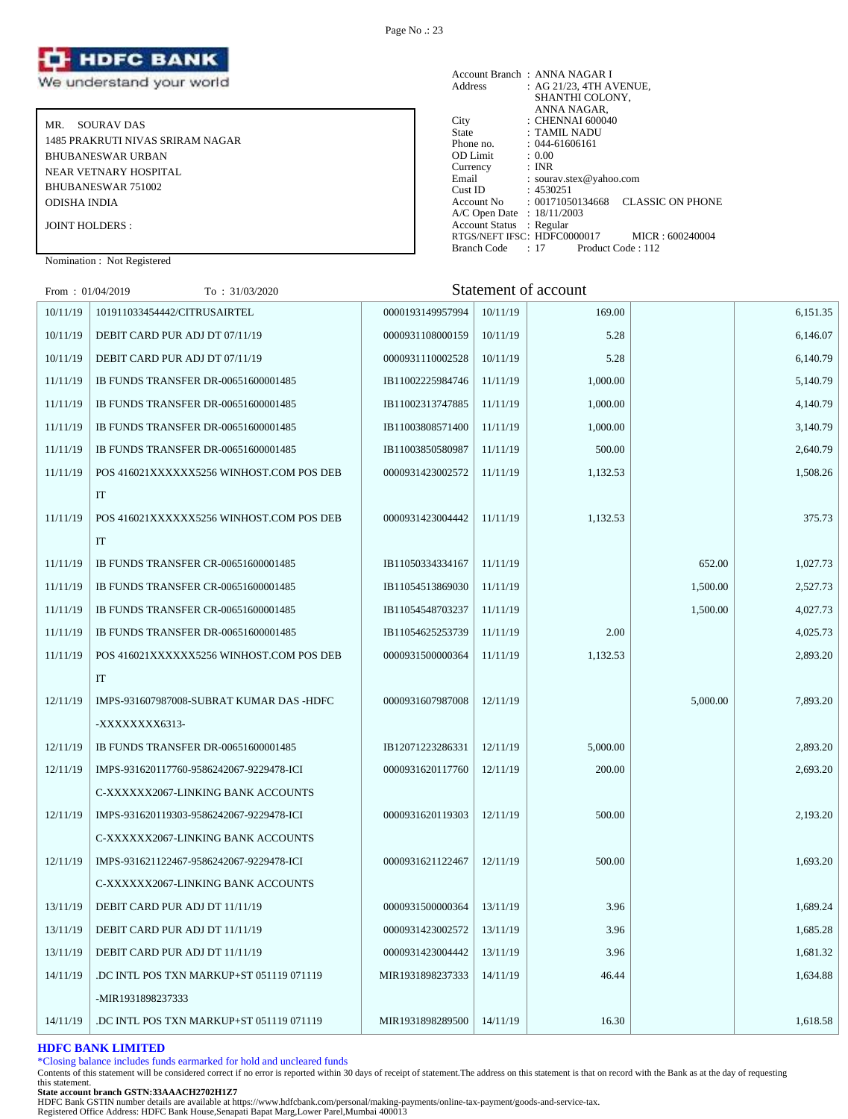

MR. SOURAV DAS 1485 PRAKRUTI NIVAS SRIRAM NAGAR BHUBANESWAR URBAN NEAR VETNARY HOSPITAL BHUBANESWAR 751002 ODISHA INDIA JOINT HOLDERS :

#### Account Branch : ANNA NAGAR I Address : AG 21/23, 4TH AVENUE, SHANTHI COLONY, ANNA NAGAR, City : CHENNAI 600040 State : TAMIL NADU Phone no. : 044-61606161<br>OD Limit : 0.00 OD Limit :  $0.00$ <br>Currency : INR Currency<br>Email Email : sourav.stex@yahoo.com<br>Cust ID : 4530251 Cust ID : 4530251<br>Account No : 0017105 : 00171050134668 CLASSIC ON PHONE A/C Open Date : 18/11/2003 Account Status : Regular RTGS/NEFT IFSC: HDFC0000017 MICR : 600240004 Branch Code : 17 Product Code : 112

Nomination : Not Registered

| From: $01/04/2019$ | To: 31/03/2020                           |                  |          | Statement of account |          |          |
|--------------------|------------------------------------------|------------------|----------|----------------------|----------|----------|
| 10/11/19           | 101911033454442/CITRUSAIRTEL             | 0000193149957994 | 10/11/19 | 169.00               |          | 6,151.35 |
| 10/11/19           | DEBIT CARD PUR ADJ DT 07/11/19           | 0000931108000159 | 10/11/19 | 5.28                 |          | 6,146.07 |
| 10/11/19           | DEBIT CARD PUR ADJ DT 07/11/19           | 0000931110002528 | 10/11/19 | 5.28                 |          | 6,140.79 |
| 11/11/19           | IB FUNDS TRANSFER DR-00651600001485      | IB11002225984746 | 11/11/19 | 1,000.00             |          | 5,140.79 |
| 11/11/19           | IB FUNDS TRANSFER DR-00651600001485      | IB11002313747885 | 11/11/19 | 1,000.00             |          | 4,140.79 |
| 11/11/19           | IB FUNDS TRANSFER DR-00651600001485      | IB11003808571400 | 11/11/19 | 1,000.00             |          | 3,140.79 |
| 11/11/19           | IB FUNDS TRANSFER DR-00651600001485      | IB11003850580987 | 11/11/19 | 500.00               |          | 2,640.79 |
| 11/11/19           | POS 416021XXXXXX5256 WINHOST.COM POS DEB | 0000931423002572 | 11/11/19 | 1,132.53             |          | 1,508.26 |
|                    | IT                                       |                  |          |                      |          |          |
| 11/11/19           | POS 416021XXXXXX5256 WINHOST.COM POS DEB | 0000931423004442 | 11/11/19 | 1,132.53             |          | 375.73   |
|                    | IT                                       |                  |          |                      |          |          |
| 11/11/19           | IB FUNDS TRANSFER CR-00651600001485      | IB11050334334167 | 11/11/19 |                      | 652.00   | 1,027.73 |
| 11/11/19           | IB FUNDS TRANSFER CR-00651600001485      | IB11054513869030 | 11/11/19 |                      | 1,500.00 | 2,527.73 |
| 11/11/19           | IB FUNDS TRANSFER CR-00651600001485      | IB11054548703237 | 11/11/19 |                      | 1,500.00 | 4,027.73 |
| 11/11/19           | IB FUNDS TRANSFER DR-00651600001485      | IB11054625253739 | 11/11/19 | 2.00                 |          | 4,025.73 |
| 11/11/19           | POS 416021XXXXXX5256 WINHOST.COM POS DEB | 0000931500000364 | 11/11/19 | 1,132.53             |          | 2,893.20 |
|                    | IT                                       |                  |          |                      |          |          |
| 12/11/19           | IMPS-931607987008-SUBRAT KUMAR DAS -HDFC | 0000931607987008 | 12/11/19 |                      | 5,000.00 | 7,893.20 |

12/11/19 **IB FUNDS TRANSFER DR-00651600001485 IB12071223286331** 12/11/19 5,000.00 **1** 2,893.20 12/11/19 | IMPS-931620117760-9586242067-9229478-ICI 0000931620117760 | 12/11/19 | 2,000.00 | 2,693.20

12/11/19 IMPS-931620119303-9586242067-9229478-ICI 0000931620119303 12/11/19 500.00 2,193.20

12/11/19 | IMPS-931621122467-9586242067-9229478-ICI 0000931621122467 | 12/11/19 | 500.00 | 500.00 | 1,693.20

13/11/19 DEBIT CARD PUR ADJ DT 11/11/19 0000931500000364 13/11/19 3.96 3.96 13/11/19 DEBIT CARD PUR ADJ DT 11/11/19 0000931423002572 13/11/19 3.96 1.685.28 13/11/19 DEBIT CARD PUR ADJ DT 11/11/19 0000931423004442 13/11/19 3.96 3.96 14/11/19 DC INTL POS TXN MARKUP+ST 051119 071119 MIR1931898237333 14/11/19 46.44 4,644 1,634.88

14/11/19 DC INTL POS TXN MARKUP+ST 051119 071119 MIR1931898289500 14/11/19 16.30 16.30

# \*Closing balance includes funds earmarked for hold and uncleared funds

**HDFC BANK LIMITED**

Contents of this statement will be considered correct if no error is reported within 30 days of receipt of statement.The address on this statement is that on record with the Bank as at the day of requesting this statement.

**State account branch GSTN:33AAACH2702H1Z7**

-MIR1931898237333

-XXXXXXXX6313-

C-XXXXXX2067-LINKING BANK ACCOUNTS

C-XXXXXX2067-LINKING BANK ACCOUNTS

C-XXXXXX2067-LINKING BANK ACCOUNTS

HDFC Bank GSTIN number details are available at https://www.hdfcbank.com/personal/making-payments/online-tax-payment/goods-and-service-tax.

Registered Office Address: HDFC Bank House,Senapati Bapat Marg,Lower Parel,Mumbai 400013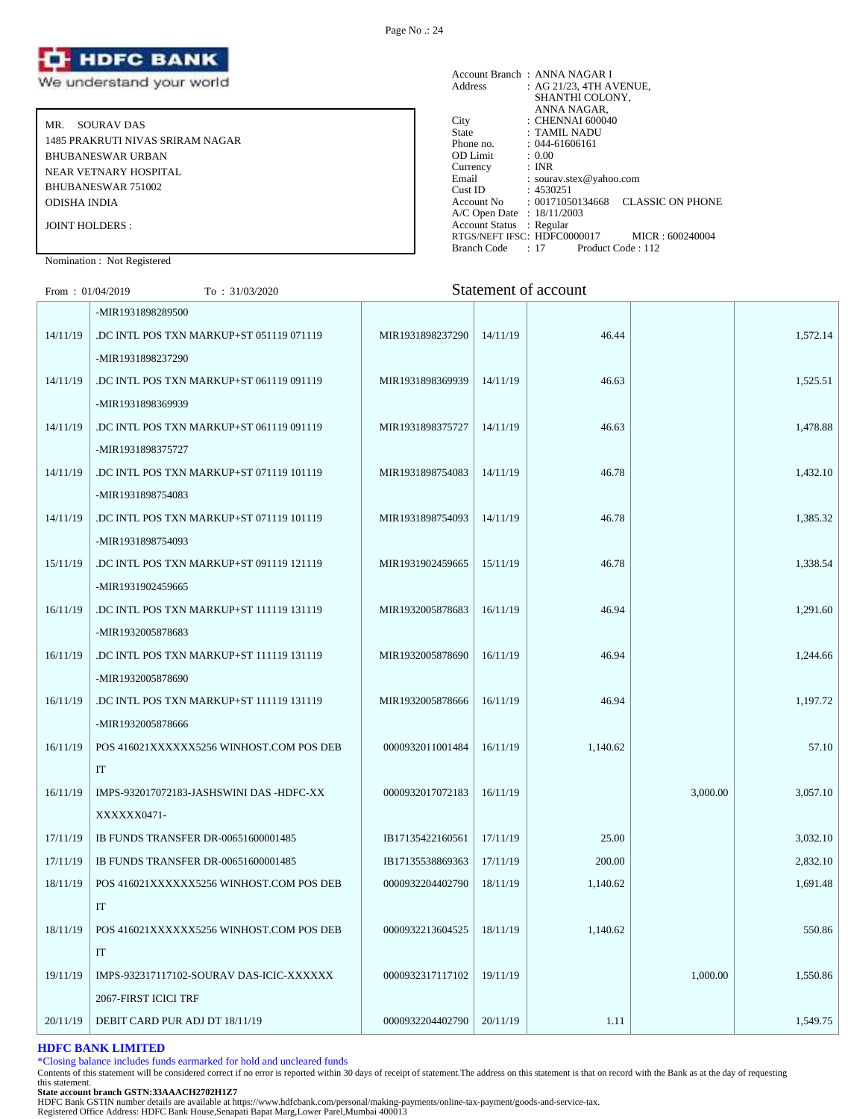

MR. SOURAV DAS 1485 PRAKRUTI NIVAS SRIRAM NAGAR BHUBANESWAR URBAN NEAR VETNARY HOSPITAL BHUBANESWAR 751002 ODISHA INDIA JOINT HOLDERS :

#### Account Branch : ANNA NAGAR I Address : AG 21/23, 4TH AVENUE, SHANTHI COLONY, ANNA NAGAR, City : CHENNAI 600040 State : TAMIL NADU Phone no. : 044-61606161<br>
OD Limit : 0.00<br>
Currency : INR OD Limit Currency<br>Email : sourav.stex@yahoo.com Cust ID : 4530251 Account No : 00171050134668 CLASSIC ON PHONE A/C Open Date : 18/11/2003 Account Status : Regular RTGS/NEFT IFSC: HDFC0000017 MICR : 600240004<br>Branch Code : 17 Product Code : 112 Branch Code : 17

#### Nomination : Not Registered

# From : 01/04/2019 To : 31/03/2020 Statement of account

|          | -MIR1931898289500                        |                  |          |          |          |          |
|----------|------------------------------------------|------------------|----------|----------|----------|----------|
| 14/11/19 | DC INTL POS TXN MARKUP+ST 051119 071119  | MIR1931898237290 | 14/11/19 | 46.44    |          | 1,572.14 |
|          | -MIR1931898237290                        |                  |          |          |          |          |
| 14/11/19 | DC INTL POS TXN MARKUP+ST 061119 091119  | MIR1931898369939 | 14/11/19 | 46.63    |          | 1,525.51 |
|          | -MIR1931898369939                        |                  |          |          |          |          |
| 14/11/19 | DC INTL POS TXN MARKUP+ST 061119 091119  | MIR1931898375727 | 14/11/19 | 46.63    |          | 1,478.88 |
|          | -MIR1931898375727                        |                  |          |          |          |          |
| 14/11/19 | DC INTL POS TXN MARKUP+ST 071119 101119  | MIR1931898754083 | 14/11/19 | 46.78    |          | 1,432.10 |
|          | -MIR1931898754083                        |                  |          |          |          |          |
| 14/11/19 | DC INTL POS TXN MARKUP+ST 071119 101119  | MIR1931898754093 | 14/11/19 | 46.78    |          | 1,385.32 |
|          | -MIR1931898754093                        |                  |          |          |          |          |
| 15/11/19 | DC INTL POS TXN MARKUP+ST 091119 121119  | MIR1931902459665 | 15/11/19 | 46.78    |          | 1,338.54 |
|          | -MIR1931902459665                        |                  |          |          |          |          |
| 16/11/19 | DC INTL POS TXN MARKUP+ST 111119 131119  | MIR1932005878683 | 16/11/19 | 46.94    |          | 1,291.60 |
|          | -MIR1932005878683                        |                  |          |          |          |          |
| 16/11/19 | DC INTL POS TXN MARKUP+ST 111119 131119  | MIR1932005878690 | 16/11/19 | 46.94    |          | 1,244.66 |
|          | -MIR1932005878690                        |                  |          |          |          |          |
| 16/11/19 | DC INTL POS TXN MARKUP+ST 111119 131119  | MIR1932005878666 | 16/11/19 | 46.94    |          | 1,197.72 |
|          | -MIR1932005878666                        |                  |          |          |          |          |
| 16/11/19 | POS 416021XXXXXX5256 WINHOST.COM POS DEB | 0000932011001484 | 16/11/19 | 1,140.62 |          | 57.10    |
|          | IT                                       |                  |          |          |          |          |
| 16/11/19 | IMPS-932017072183-JASHSWINI DAS -HDFC-XX | 0000932017072183 | 16/11/19 |          | 3,000.00 | 3,057.10 |
|          | XXXXXX0471-                              |                  |          |          |          |          |
| 17/11/19 | IB FUNDS TRANSFER DR-00651600001485      | IB17135422160561 | 17/11/19 | 25.00    |          | 3,032.10 |
| 17/11/19 | IB FUNDS TRANSFER DR-00651600001485      | IB17135538869363 | 17/11/19 | 200.00   |          | 2,832.10 |
| 18/11/19 | POS 416021XXXXXX5256 WINHOST.COM POS DEB | 0000932204402790 | 18/11/19 | 1,140.62 |          | 1,691.48 |
|          | $\ensuremath{\mathsf{IT}}$               |                  |          |          |          |          |
| 18/11/19 | POS 416021XXXXXX5256 WINHOST.COM POS DEB | 0000932213604525 | 18/11/19 | 1,140.62 |          | 550.86   |
|          | IT                                       |                  |          |          |          |          |
| 19/11/19 | IMPS-932317117102-SOURAV DAS-ICIC-XXXXXX | 0000932317117102 | 19/11/19 |          | 1,000.00 | 1,550.86 |
|          | 2067-FIRST ICICI TRF                     |                  |          |          |          |          |
| 20/11/19 | DEBIT CARD PUR ADJ DT 18/11/19           | 0000932204402790 | 20/11/19 | 1.11     |          | 1,549.75 |
|          |                                          |                  |          |          |          |          |

# **HDFC BANK LIMITED**

\*Closing balance includes funds earmarked for hold and uncleared funds

Contents of this statement will be considered correct if no error is reported within 30 days of receipt of statement.The address on this statement is that on record with the Bank as at the day of requesting this statement.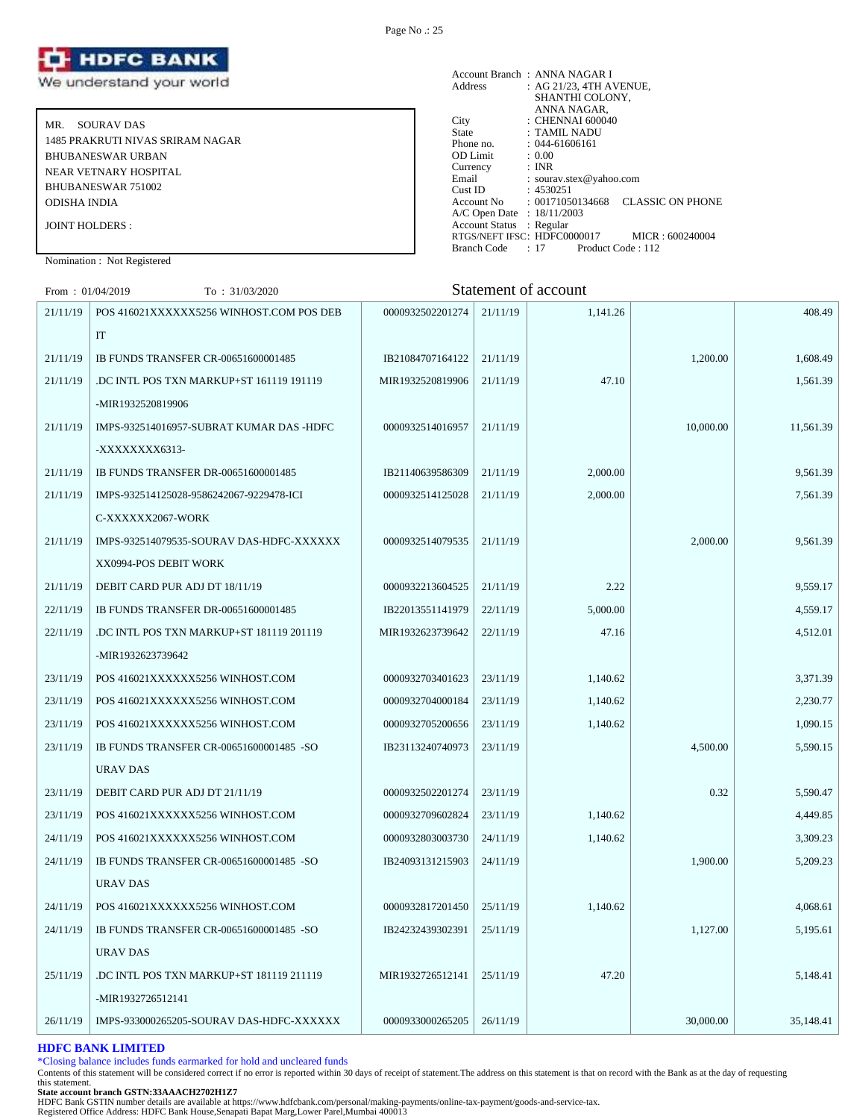

MR. SOURAV DAS 1485 PRAKRUTI NIVAS SRIRAM NAGAR BHUBANESWAR URBAN NEAR VETNARY HOSPITAL BHUBANESWAR 751002 ODISHA INDIA JOINT HOLDERS :

| Address                    | Account Branch: ANNA NAGAR I<br>: AG 21/23, 4TH AVENUE,                |  |
|----------------------------|------------------------------------------------------------------------|--|
|                            | SHANTHI COLONY,                                                        |  |
|                            | ANNA NAGAR.                                                            |  |
| City                       | $\therefore$ CHENNAI 600040                                            |  |
| <b>State</b>               | : TAMIL NADU                                                           |  |
| Phone no.                  | $: 044 - 61606161$                                                     |  |
| <b>OD</b> Limit            | : 0.00                                                                 |  |
| Currency                   | : INR                                                                  |  |
| Email                      | : sourav.stex@yahoo.com                                                |  |
| Cust ID                    | : 4530251                                                              |  |
|                            | <b>CLASSIC ON PHONE</b><br>$\text{Account No} \qquad : 00171050134668$ |  |
| A/C Open Date : 18/11/2003 |                                                                        |  |
| Account Status : Regular   |                                                                        |  |
|                            | RTGS/NEFT IFSC: HDFC0000017<br>MICR: 600240004                         |  |
| Branch Code                | $: 17$ Product Code $: 112$                                            |  |

Nomination : Not Registered

From : 01/04/2019 To : 31/03/2020 Statement of account

| 21/11/19 | POS 416021XXXXXX5256 WINHOST.COM POS DEB | 0000932502201274 | 21/11/19 | 1,141.26 |           | 408.49    |
|----------|------------------------------------------|------------------|----------|----------|-----------|-----------|
|          | IT                                       |                  |          |          |           |           |
| 21/11/19 | IB FUNDS TRANSFER CR-00651600001485      | IB21084707164122 | 21/11/19 |          | 1,200.00  | 1,608.49  |
| 21/11/19 | .DC INTL POS TXN MARKUP+ST 161119 191119 | MIR1932520819906 | 21/11/19 | 47.10    |           | 1,561.39  |
|          | -MIR1932520819906                        |                  |          |          |           |           |
| 21/11/19 | IMPS-932514016957-SUBRAT KUMAR DAS -HDFC | 0000932514016957 | 21/11/19 |          | 10,000.00 | 11,561.39 |
|          | -XXXXXXXX6313-                           |                  |          |          |           |           |
| 21/11/19 | IB FUNDS TRANSFER DR-00651600001485      | IB21140639586309 | 21/11/19 | 2,000.00 |           | 9,561.39  |
| 21/11/19 | IMPS-932514125028-9586242067-9229478-ICI | 0000932514125028 | 21/11/19 | 2,000.00 |           | 7,561.39  |
|          | C-XXXXXX2067-WORK                        |                  |          |          |           |           |
| 21/11/19 | IMPS-932514079535-SOURAV DAS-HDFC-XXXXXX | 0000932514079535 | 21/11/19 |          | 2,000.00  | 9,561.39  |
|          | XX0994-POS DEBIT WORK                    |                  |          |          |           |           |
| 21/11/19 | DEBIT CARD PUR ADJ DT 18/11/19           | 0000932213604525 | 21/11/19 | 2.22     |           | 9,559.17  |
| 22/11/19 | IB FUNDS TRANSFER DR-00651600001485      | IB22013551141979 | 22/11/19 | 5,000.00 |           | 4,559.17  |
| 22/11/19 | .DC INTL POS TXN MARKUP+ST 181119 201119 | MIR1932623739642 | 22/11/19 | 47.16    |           | 4,512.01  |
|          | -MIR1932623739642                        |                  |          |          |           |           |
| 23/11/19 | POS 416021XXXXXX5256 WINHOST.COM         | 0000932703401623 | 23/11/19 | 1,140.62 |           | 3,371.39  |
| 23/11/19 | POS 416021XXXXXX5256 WINHOST.COM         | 0000932704000184 | 23/11/19 | 1,140.62 |           | 2,230.77  |
| 23/11/19 | POS 416021XXXXXX5256 WINHOST.COM         | 0000932705200656 | 23/11/19 | 1,140.62 |           | 1,090.15  |
| 23/11/19 | IB FUNDS TRANSFER CR-00651600001485 -SO  | IB23113240740973 | 23/11/19 |          | 4,500.00  | 5,590.15  |
|          | URAV DAS                                 |                  |          |          |           |           |
| 23/11/19 | DEBIT CARD PUR ADJ DT 21/11/19           | 0000932502201274 | 23/11/19 |          | 0.32      | 5,590.47  |
| 23/11/19 | POS 416021XXXXXX5256 WINHOST.COM         | 0000932709602824 | 23/11/19 | 1,140.62 |           | 4,449.85  |
| 24/11/19 | POS 416021XXXXXX5256 WINHOST.COM         | 0000932803003730 | 24/11/19 | 1,140.62 |           | 3,309.23  |
| 24/11/19 | IB FUNDS TRANSFER CR-00651600001485 -SO  | IB24093131215903 | 24/11/19 |          | 1,900.00  | 5,209.23  |
|          | URAV DAS                                 |                  |          |          |           |           |
| 24/11/19 | POS 416021XXXXXX5256 WINHOST.COM         | 0000932817201450 | 25/11/19 | 1,140.62 |           | 4,068.61  |
| 24/11/19 | IB FUNDS TRANSFER CR-00651600001485 -SO  | IB24232439302391 | 25/11/19 |          | 1,127.00  | 5,195.61  |
|          | URAV DAS                                 |                  |          |          |           |           |
| 25/11/19 | .DC INTL POS TXN MARKUP+ST 181119 211119 | MIR1932726512141 | 25/11/19 | 47.20    |           | 5,148.41  |
|          | -MIR1932726512141                        |                  |          |          |           |           |
| 26/11/19 | IMPS-933000265205-SOURAV DAS-HDFC-XXXXXX | 0000933000265205 | 26/11/19 |          | 30,000.00 | 35,148.41 |
|          |                                          |                  |          |          |           |           |

# **HDFC BANK LIMITED**

\*Closing balance includes funds earmarked for hold and uncleared funds

Contents of this statement will be considered correct if no error is reported within 30 days of receipt of statement.The address on this statement is that on record with the Bank as at the day of requesting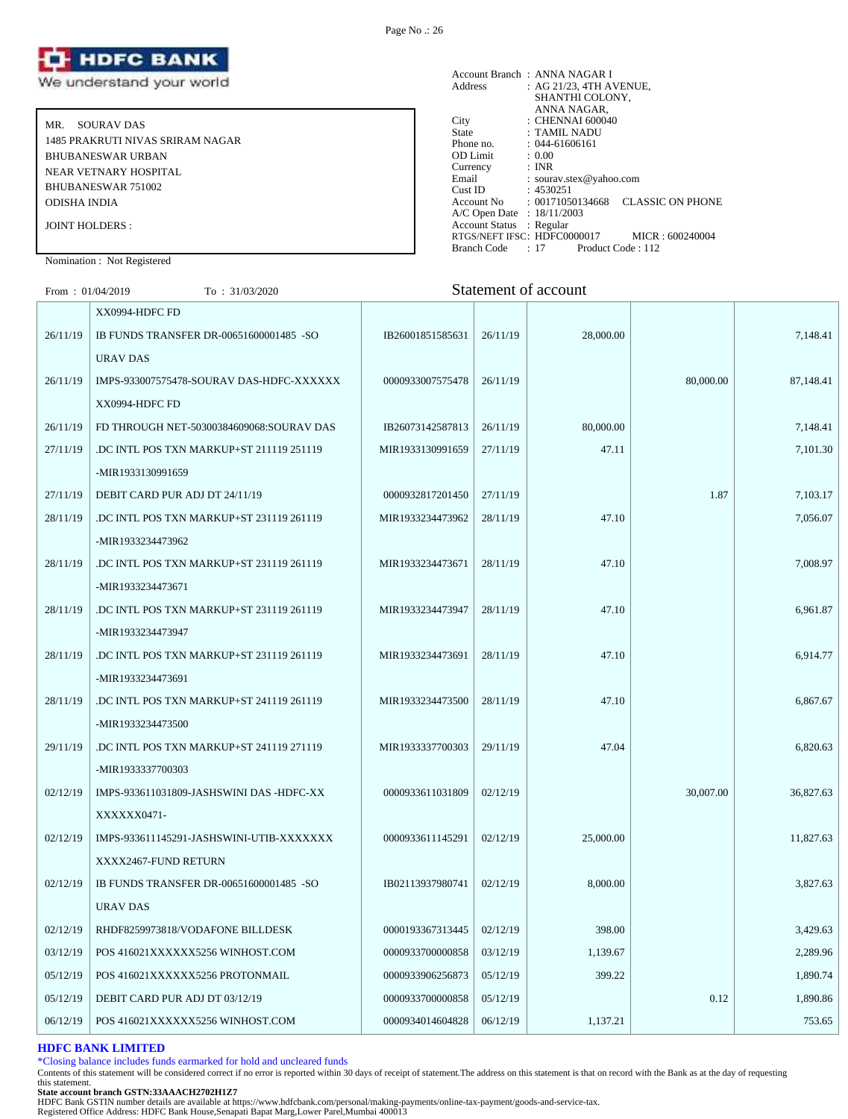

MR. SOURAV DAS 1485 PRAKRUTI NIVAS SRIRAM NAGAR BHUBANESWAR URBAN NEAR VETNARY HOSPITAL BHUBANESWAR 751002 ODISHA INDIA JOINT HOLDERS :

#### Account Branch : ANNA NAGAR I Address : AG 21/23, 4TH AVENUE, SHANTHI COLONY, ANNA NAGAR, City : CHENNAI 600040 State : TAMIL NADU Phone no. : 044-61606161<br>OD Limit : 0.00 OD Limit :  $0.00$ <br>Currency : INR Currency<br>Email Email : sourav.stex@yahoo.com<br>Cust ID : 4530251  $: 4530251$ Account No : 00171050134668 CLASSIC ON PHONE A/C Open Date : 18/11/2003 Account Status : Regular RTGS/NEFT IFSC: HDFC0000017 MICR : 600240004<br>Branch Code : 17 Product Code : 112 Branch Code : 17

## Nomination : Not Registered

# From : 01/04/2019 To : 31/03/2020 Statement of account

|          | XX0994-HDFC FD                           |                  |          |           |           |           |
|----------|------------------------------------------|------------------|----------|-----------|-----------|-----------|
| 26/11/19 | IB FUNDS TRANSFER DR-00651600001485 -SO  | IB26001851585631 | 26/11/19 | 28,000.00 |           | 7,148.41  |
|          | URAV DAS                                 |                  |          |           |           |           |
| 26/11/19 | IMPS-933007575478-SOURAV DAS-HDFC-XXXXXX | 0000933007575478 | 26/11/19 |           | 80,000.00 | 87,148.41 |
|          | XX0994-HDFC FD                           |                  |          |           |           |           |
| 26/11/19 | FD THROUGH NET-50300384609068:SOURAV DAS | IB26073142587813 | 26/11/19 | 80,000.00 |           | 7,148.41  |
| 27/11/19 | .DC INTL POS TXN MARKUP+ST 211119 251119 | MIR1933130991659 | 27/11/19 | 47.11     |           | 7,101.30  |
|          | -MIR1933130991659                        |                  |          |           |           |           |
| 27/11/19 | DEBIT CARD PUR ADJ DT 24/11/19           | 0000932817201450 | 27/11/19 |           | 1.87      | 7.103.17  |
| 28/11/19 | DC INTL POS TXN MARKUP+ST 231119 261119  | MIR1933234473962 | 28/11/19 | 47.10     |           | 7,056.07  |
|          | -MIR1933234473962                        |                  |          |           |           |           |
| 28/11/19 | DC INTL POS TXN MARKUP+ST 231119 261119  | MIR1933234473671 | 28/11/19 | 47.10     |           | 7,008.97  |
|          | -MIR1933234473671                        |                  |          |           |           |           |
| 28/11/19 | DC INTL POS TXN MARKUP+ST 231119 261119  | MIR1933234473947 | 28/11/19 | 47.10     |           | 6,961.87  |
|          | -MIR1933234473947                        |                  |          |           |           |           |
| 28/11/19 | DC INTL POS TXN MARKUP+ST 231119 261119  | MIR1933234473691 | 28/11/19 | 47.10     |           | 6,914.77  |
|          | -MIR1933234473691                        |                  |          |           |           |           |
| 28/11/19 | DC INTL POS TXN MARKUP+ST 241119 261119  | MIR1933234473500 | 28/11/19 | 47.10     |           | 6,867.67  |
|          | -MIR1933234473500                        |                  |          |           |           |           |
| 29/11/19 | DC INTL POS TXN MARKUP+ST 241119 271119  | MIR1933337700303 | 29/11/19 | 47.04     |           | 6,820.63  |
|          | -MIR1933337700303                        |                  |          |           |           |           |
| 02/12/19 | IMPS-933611031809-JASHSWINI DAS -HDFC-XX | 0000933611031809 | 02/12/19 |           | 30,007.00 | 36,827.63 |
|          | XXXXXX0471-                              |                  |          |           |           |           |
| 02/12/19 | IMPS-933611145291-JASHSWINI-UTIB-XXXXXXX | 0000933611145291 | 02/12/19 | 25,000.00 |           | 11,827.63 |
|          | XXXX2467-FUND RETURN                     |                  |          |           |           |           |
| 02/12/19 | IB FUNDS TRANSFER DR-00651600001485 -SO  | IB02113937980741 | 02/12/19 | 8,000.00  |           | 3,827.63  |
|          | URAV DAS                                 |                  |          |           |           |           |
| 02/12/19 | RHDF8259973818/VODAFONE BILLDESK         | 0000193367313445 | 02/12/19 | 398.00    |           | 3,429.63  |
| 03/12/19 | POS 416021XXXXXX5256 WINHOST.COM         | 0000933700000858 | 03/12/19 | 1,139.67  |           | 2,289.96  |
| 05/12/19 | POS 416021XXXXXX5256 PROTONMAIL          | 0000933906256873 | 05/12/19 | 399.22    |           | 1,890.74  |
| 05/12/19 | DEBIT CARD PUR ADJ DT 03/12/19           | 0000933700000858 | 05/12/19 |           | 0.12      | 1,890.86  |
| 06/12/19 | POS 416021XXXXXX5256 WINHOST.COM         | 0000934014604828 | 06/12/19 | 1,137.21  |           | 753.65    |
|          |                                          |                  |          |           |           |           |

# **HDFC BANK LIMITED**

\*Closing balance includes funds earmarked for hold and uncleared funds

Contents of this statement will be considered correct if no error is reported within 30 days of receipt of statement.The address on this statement is that on record with the Bank as at the day of requesting this statement.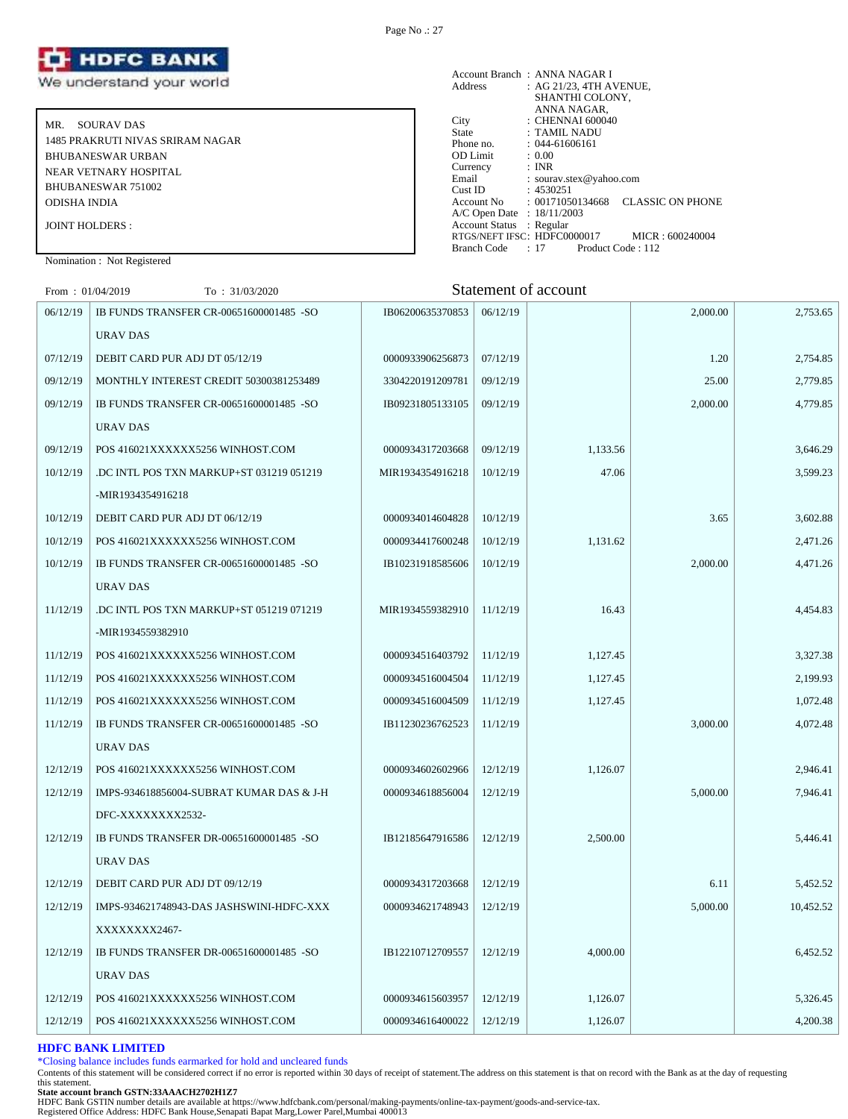

MR. SOURAV DAS 1485 PRAKRUTI NIVAS SRIRAM NAGAR BHUBANESWAR URBAN NEAR VETNARY HOSPITAL BHUBANESWAR 751002 ODISHA INDIA JOINT HOLDERS :

|                            | Account Branch: ANNA NAGAR I                   |
|----------------------------|------------------------------------------------|
| Address                    | : AG 21/23, 4TH AVENUE,                        |
|                            | SHANTHI COLONY,                                |
|                            | ANNA NAGAR,                                    |
| City                       | $\therefore$ CHENNAI 600040                    |
| State                      | : TAMIL NADU                                   |
| Phone no.                  | $: 044 - 61606161$                             |
| OD Limit                   | : 0.00                                         |
| Currency                   | : INR                                          |
| Email                      | : sourav.stex@yahoo.com                        |
| Cust ID                    | : 4530251                                      |
| Account No                 | <b>CLASSIC ON PHONE</b><br>: 00171050134668    |
| A/C Open Date : 18/11/2003 |                                                |
| Account Status : Regular   |                                                |
|                            | RTGS/NEFT IFSC: HDFC0000017<br>MICR: 600240004 |
| <b>Branch Code</b>         | $: 17$ Product Code $: 112$                    |
|                            |                                                |

Nomination : Not Registered

From : 01/04/2019 To : 31/03/2020 Statement of account

| 06/12/19 | IB FUNDS TRANSFER CR-00651600001485 -SO  | IB06200635370853 | 06/12/19 |          | 2,000.00 | 2,753.65  |
|----------|------------------------------------------|------------------|----------|----------|----------|-----------|
|          | URAV DAS                                 |                  |          |          |          |           |
| 07/12/19 | DEBIT CARD PUR ADJ DT 05/12/19           | 0000933906256873 | 07/12/19 |          | 1.20     | 2,754.85  |
| 09/12/19 | MONTHLY INTEREST CREDIT 50300381253489   | 3304220191209781 | 09/12/19 |          | 25.00    | 2,779.85  |
| 09/12/19 | IB FUNDS TRANSFER CR-00651600001485 -SO  | IB09231805133105 | 09/12/19 |          | 2,000.00 | 4,779.85  |
|          | URAV DAS                                 |                  |          |          |          |           |
| 09/12/19 | POS 416021XXXXXX5256 WINHOST.COM         | 0000934317203668 | 09/12/19 | 1,133.56 |          | 3,646.29  |
| 10/12/19 | .DC INTL POS TXN MARKUP+ST 031219 051219 | MIR1934354916218 | 10/12/19 | 47.06    |          | 3,599.23  |
|          | -MIR1934354916218                        |                  |          |          |          |           |
| 10/12/19 | DEBIT CARD PUR ADJ DT 06/12/19           | 0000934014604828 | 10/12/19 |          | 3.65     | 3,602.88  |
| 10/12/19 | POS 416021XXXXXX5256 WINHOST.COM         | 0000934417600248 | 10/12/19 | 1,131.62 |          | 2,471.26  |
| 10/12/19 | IB FUNDS TRANSFER CR-00651600001485 -SO  | IB10231918585606 | 10/12/19 |          | 2,000.00 | 4,471.26  |
|          | <b>URAV DAS</b>                          |                  |          |          |          |           |
| 11/12/19 | .DC INTL POS TXN MARKUP+ST 051219 071219 | MIR1934559382910 | 11/12/19 | 16.43    |          | 4,454.83  |
|          | -MIR1934559382910                        |                  |          |          |          |           |
| 11/12/19 | POS 416021XXXXXX5256 WINHOST.COM         | 0000934516403792 | 11/12/19 | 1,127.45 |          | 3,327.38  |
| 11/12/19 | POS 416021XXXXXX5256 WINHOST.COM         | 0000934516004504 | 11/12/19 | 1,127.45 |          | 2,199.93  |
| 11/12/19 | POS 416021XXXXXX5256 WINHOST.COM         | 0000934516004509 | 11/12/19 | 1,127.45 |          | 1,072.48  |
| 11/12/19 | IB FUNDS TRANSFER CR-00651600001485 -SO  | IB11230236762523 | 11/12/19 |          | 3,000.00 | 4,072.48  |
|          | <b>URAV DAS</b>                          |                  |          |          |          |           |
| 12/12/19 | POS 416021XXXXXX5256 WINHOST.COM         | 0000934602602966 | 12/12/19 | 1,126.07 |          | 2,946.41  |
| 12/12/19 | IMPS-934618856004-SUBRAT KUMAR DAS & J-H | 0000934618856004 | 12/12/19 |          | 5,000.00 | 7,946.41  |
|          | DFC-XXXXXXXX2532-                        |                  |          |          |          |           |
| 12/12/19 | IB FUNDS TRANSFER DR-00651600001485 -SO  | IB12185647916586 | 12/12/19 | 2,500.00 |          | 5,446.41  |
|          | <b>URAV DAS</b>                          |                  |          |          |          |           |
| 12/12/19 | DEBIT CARD PUR ADJ DT 09/12/19           | 0000934317203668 | 12/12/19 |          | 6.11     | 5,452.52  |
| 12/12/19 | IMPS-934621748943-DAS JASHSWINI-HDFC-XXX | 0000934621748943 | 12/12/19 |          | 5,000.00 | 10,452.52 |
|          | XXXXXXX2467-                             |                  |          |          |          |           |
| 12/12/19 | IB FUNDS TRANSFER DR-00651600001485 -SO  | IB12210712709557 | 12/12/19 | 4,000.00 |          | 6,452.52  |
|          | URAV DAS                                 |                  |          |          |          |           |
| 12/12/19 | POS 416021XXXXXX5256 WINHOST.COM         | 0000934615603957 | 12/12/19 | 1,126.07 |          | 5,326.45  |
| 12/12/19 | POS 416021XXXXXX5256 WINHOST.COM         | 0000934616400022 | 12/12/19 | 1,126.07 |          | 4,200.38  |
|          |                                          |                  |          |          |          |           |

# **HDFC BANK LIMITED**

\*Closing balance includes funds earmarked for hold and uncleared funds

Contents of this statement will be considered correct if no error is reported within 30 days of receipt of statement.The address on this statement is that on record with the Bank as at the day of requesting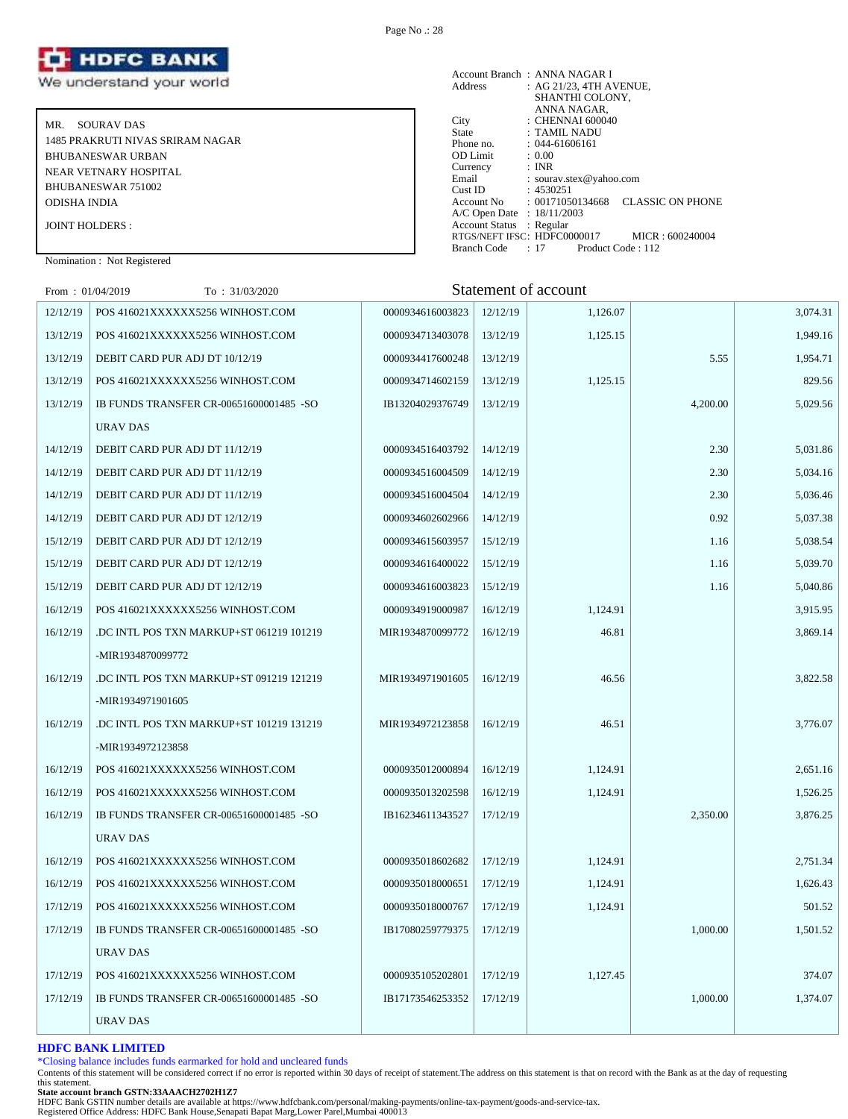

MR. SOURAV DAS 1485 PRAKRUTI NIVAS SRIRAM NAGAR BHUBANESWAR URBAN NEAR VETNARY HOSPITAL BHUBANESWAR 751002 ODISHA INDIA JOINT HOLDERS :

Account Branch : ANNA NAGAR I Address : AG 21/23, 4TH AVENUE, SHANTHI COLONY, ANNA NAGAR, City : CHENNAI 600040 State : TAMIL NADU Phone no. : 044-61606161<br>
OD Limit : 0.00<br>
Currency : INR OD Limit<br>Currency Currency : INR Email : sourav.stex@yahoo.com Cust ID : 4530251 Account No : 00171050134668 CLASSIC ON PHONE A/C Open Date : 18/11/2003 Account Status : Regular RTGS/NEFT IFSC: HDFC0000017 MICR : 600240004<br>Branch Code : 17 Product Code : 112 Branch Code : 17

# Nomination : Not Registered

| From: $01/04/2019$ | To: 31/03/2020                          |                  |          | Statement of account |          |          |
|--------------------|-----------------------------------------|------------------|----------|----------------------|----------|----------|
| 12/12/19           | POS 416021XXXXXX5256 WINHOST.COM        | 0000934616003823 | 12/12/19 | 1,126.07             |          | 3,074.31 |
| 13/12/19           | POS 416021XXXXXX5256 WINHOST.COM        | 0000934713403078 | 13/12/19 | 1,125.15             |          | 1,949.16 |
| 13/12/19           | DEBIT CARD PUR ADJ DT 10/12/19          | 0000934417600248 | 13/12/19 |                      | 5.55     | 1,954.71 |
| 13/12/19           | POS 416021XXXXXX5256 WINHOST.COM        | 0000934714602159 | 13/12/19 | 1,125.15             |          | 829.56   |
| 13/12/19           | IB FUNDS TRANSFER CR-00651600001485 -SO | IB13204029376749 | 13/12/19 |                      | 4,200.00 | 5,029.56 |
|                    | URAV DAS                                |                  |          |                      |          |          |
| 14/12/19           | DEBIT CARD PUR ADJ DT 11/12/19          | 0000934516403792 | 14/12/19 |                      | 2.30     | 5,031.86 |
| 14/12/19           | DEBIT CARD PUR ADJ DT 11/12/19          | 0000934516004509 | 14/12/19 |                      | 2.30     | 5,034.16 |
| 14/12/19           | DEBIT CARD PUR ADJ DT 11/12/19          | 0000934516004504 | 14/12/19 |                      | 2.30     | 5,036.46 |
| 14/12/19           | DEBIT CARD PUR ADJ DT 12/12/19          | 0000934602602966 | 14/12/19 |                      | 0.92     | 5,037.38 |
| 15/12/19           | DEBIT CARD PUR ADJ DT 12/12/19          | 0000934615603957 | 15/12/19 |                      | 1.16     | 5,038.54 |
| 15/12/19           | DEBIT CARD PUR ADJ DT 12/12/19          | 0000934616400022 | 15/12/19 |                      | 1.16     | 5,039.70 |
| 15/12/19           | DEBIT CARD PUR ADJ DT 12/12/19          | 0000934616003823 | 15/12/19 |                      | 1.16     | 5,040.86 |
| 16/12/19           | POS 416021XXXXXX5256 WINHOST.COM        | 0000934919000987 | 16/12/19 | 1,124.91             |          | 3,915.95 |
| 16/12/19           | DC INTL POS TXN MARKUP+ST 061219 101219 | MIR1934870099772 | 16/12/19 | 46.81                |          | 3,869.14 |
|                    | -MIR1934870099772                       |                  |          |                      |          |          |
| 16/12/19           | DC INTL POS TXN MARKUP+ST 091219 121219 | MIR1934971901605 | 16/12/19 | 46.56                |          | 3,822.58 |
|                    | -MIR1934971901605                       |                  |          |                      |          |          |
| 16/12/19           | DC INTL POS TXN MARKUP+ST 101219 131219 | MIR1934972123858 | 16/12/19 | 46.51                |          | 3,776.07 |
|                    | -MIR1934972123858                       |                  |          |                      |          |          |
| 16/12/19           | POS 416021XXXXXX5256 WINHOST.COM        | 0000935012000894 | 16/12/19 | 1,124.91             |          | 2,651.16 |
| 16/12/19           | POS 416021XXXXXX5256 WINHOST.COM        | 0000935013202598 | 16/12/19 | 1,124.91             |          | 1,526.25 |
| 16/12/19           | IB FUNDS TRANSFER CR-00651600001485 -SO | IB16234611343527 | 17/12/19 |                      | 2,350.00 | 3,876.25 |
|                    | URAV DAS                                |                  |          |                      |          |          |
| 16/12/19           | POS 416021XXXXXX5256 WINHOST.COM        | 0000935018602682 | 17/12/19 | 1,124.91             |          | 2,751.34 |
| 16/12/19           | POS 416021XXXXXX5256 WINHOST.COM        | 0000935018000651 | 17/12/19 | 1,124.91             |          | 1,626.43 |
| 17/12/19           | POS 416021XXXXXX5256 WINHOST.COM        | 0000935018000767 | 17/12/19 | 1,124.91             |          | 501.52   |
| 17/12/19           | IB FUNDS TRANSFER CR-00651600001485 -SO | IB17080259779375 | 17/12/19 |                      | 1,000.00 | 1,501.52 |
|                    | URAV DAS                                |                  |          |                      |          |          |
| 17/12/19           | POS 416021XXXXXX5256 WINHOST.COM        | 0000935105202801 | 17/12/19 | 1,127.45             |          | 374.07   |
| 17/12/19           | IB FUNDS TRANSFER CR-00651600001485 -SO | IB17173546253352 | 17/12/19 |                      | 1.000.00 | 1,374.07 |
|                    | URAV DAS                                |                  |          |                      |          |          |

# **HDFC BANK LIMITED**

\*Closing balance includes funds earmarked for hold and uncleared funds

Contents of this statement will be considered correct if no error is reported within 30 days of receipt of statement.The address on this statement is that on record with the Bank as at the day of requesting this statement.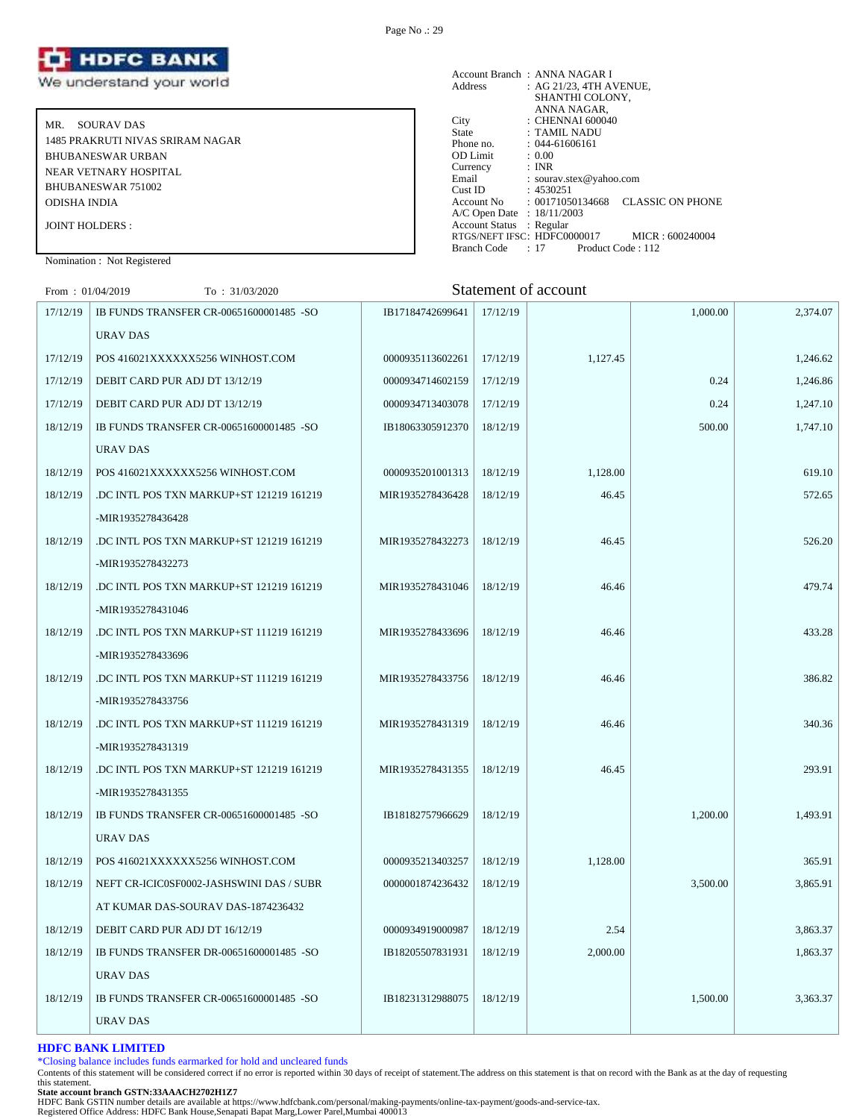

MR. SOURAV DAS 1485 PRAKRUTI NIVAS SRIRAM NAGAR BHUBANESWAR URBAN NEAR VETNARY HOSPITAL BHUBANESWAR 751002 ODISHA INDIA JOINT HOLDERS :

Nomination : Not Registered

# From : 01/04/2019 To : 31/03/2020 Statement of account

| 17/12/19 | IB FUNDS TRANSFER CR-00651600001485 -SO  | IB17184742699641 | 17/12/19 |          | 1,000.00 | 2,374.07 |
|----------|------------------------------------------|------------------|----------|----------|----------|----------|
|          | URAV DAS                                 |                  |          |          |          |          |
| 17/12/19 | POS 416021XXXXXX5256 WINHOST.COM         | 0000935113602261 | 17/12/19 | 1,127.45 |          | 1,246.62 |
| 17/12/19 | DEBIT CARD PUR ADJ DT 13/12/19           | 0000934714602159 | 17/12/19 |          | 0.24     | 1,246.86 |
| 17/12/19 | DEBIT CARD PUR ADJ DT 13/12/19           | 0000934713403078 | 17/12/19 |          | 0.24     | 1,247.10 |
| 18/12/19 | IB FUNDS TRANSFER CR-00651600001485 -SO  | IB18063305912370 | 18/12/19 |          | 500.00   | 1,747.10 |
|          | URAV DAS                                 |                  |          |          |          |          |
| 18/12/19 | POS 416021XXXXXX5256 WINHOST.COM         | 0000935201001313 | 18/12/19 | 1,128.00 |          | 619.10   |
| 18/12/19 | DC INTL POS TXN MARKUP+ST 121219 161219  | MIR1935278436428 | 18/12/19 | 46.45    |          | 572.65   |
|          | -MIR1935278436428                        |                  |          |          |          |          |
| 18/12/19 | DC INTL POS TXN MARKUP+ST 121219 161219  | MIR1935278432273 | 18/12/19 | 46.45    |          | 526.20   |
|          | -MIR1935278432273                        |                  |          |          |          |          |
| 18/12/19 | DC INTL POS TXN MARKUP+ST 121219 161219  | MIR1935278431046 | 18/12/19 | 46.46    |          | 479.74   |
|          | -MIR1935278431046                        |                  |          |          |          |          |
| 18/12/19 | DC INTL POS TXN MARKUP+ST 111219 161219  | MIR1935278433696 | 18/12/19 | 46.46    |          | 433.28   |
|          | -MIR1935278433696                        |                  |          |          |          |          |
| 18/12/19 | .DC INTL POS TXN MARKUP+ST 111219 161219 | MIR1935278433756 | 18/12/19 | 46.46    |          | 386.82   |
|          | -MIR1935278433756                        |                  |          |          |          |          |
| 18/12/19 | .DC INTL POS TXN MARKUP+ST 111219 161219 | MIR1935278431319 | 18/12/19 | 46.46    |          | 340.36   |
|          | -MIR1935278431319                        |                  |          |          |          |          |
| 18/12/19 | .DC INTL POS TXN MARKUP+ST 121219 161219 | MIR1935278431355 | 18/12/19 | 46.45    |          | 293.91   |
|          | -MIR1935278431355                        |                  |          |          |          |          |
| 18/12/19 | IB FUNDS TRANSFER CR-00651600001485 -SO  | IB18182757966629 | 18/12/19 |          | 1,200.00 | 1,493.91 |
|          | URAV DAS                                 |                  |          |          |          |          |
| 18/12/19 | POS 416021XXXXXX5256 WINHOST.COM         | 0000935213403257 | 18/12/19 | 1,128.00 |          | 365.91   |
| 18/12/19 | NEFT CR-ICIC0SF0002-JASHSWINI DAS / SUBR | 0000001874236432 | 18/12/19 |          | 3,500.00 | 3,865.91 |
|          | AT KUMAR DAS-SOURAV DAS-1874236432       |                  |          |          |          |          |
| 18/12/19 | DEBIT CARD PUR ADJ DT 16/12/19           | 0000934919000987 | 18/12/19 | 2.54     |          | 3,863.37 |
| 18/12/19 | IB FUNDS TRANSFER DR-00651600001485 -SO  | IB18205507831931 | 18/12/19 | 2,000.00 |          | 1,863.37 |
|          | URAV DAS                                 |                  |          |          |          |          |
| 18/12/19 | IB FUNDS TRANSFER CR-00651600001485 -SO  | IB18231312988075 | 18/12/19 |          | 1.500.00 | 3,363.37 |
|          | URAV DAS                                 |                  |          |          |          |          |

# **HDFC BANK LIMITED**

\*Closing balance includes funds earmarked for hold and uncleared funds

Contents of this statement will be considered correct if no error is reported within 30 days of receipt of statement.The address on this statement is that on record with the Bank as at the day of requesting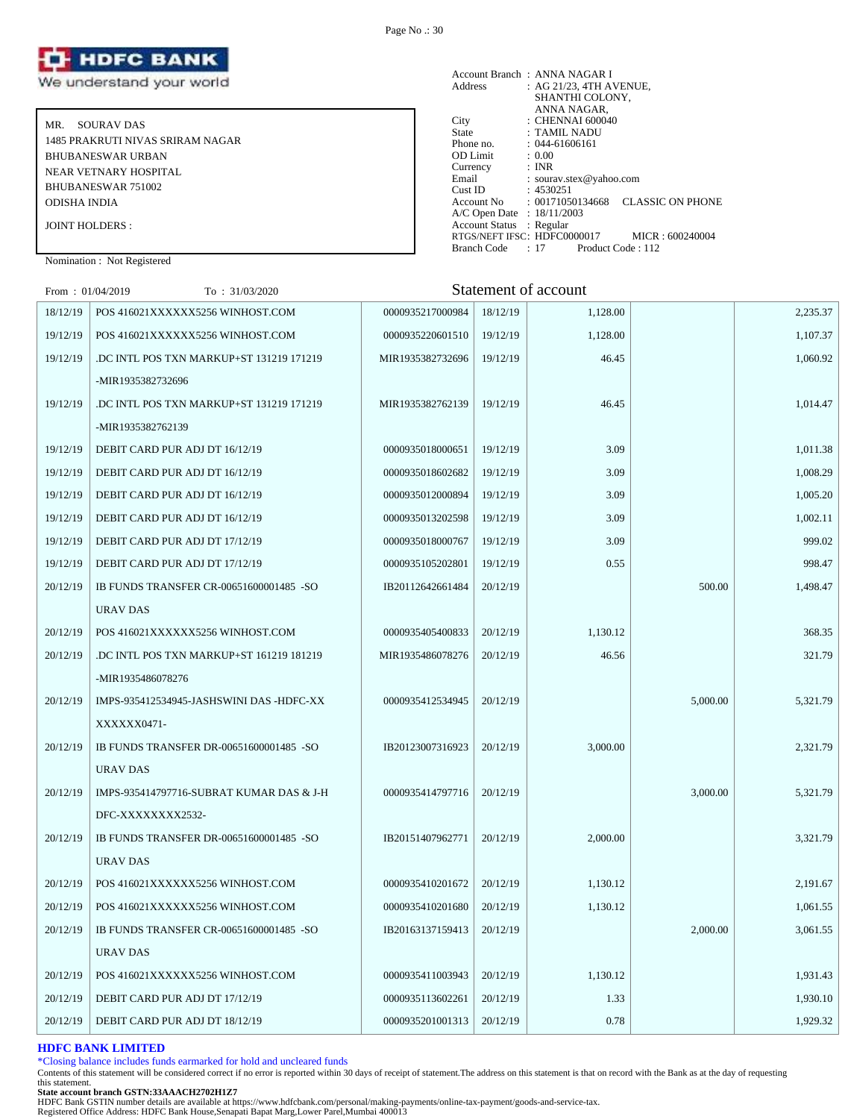

MR. SOURAV DAS 1485 PRAKRUTI NIVAS SRIRAM NAGAR BHUBANESWAR URBAN NEAR VETNARY HOSPITAL BHUBANESWAR 751002 ODISHA INDIA JOINT HOLDERS :

|                            | Account Branch: ANNA NAGAR I                   |
|----------------------------|------------------------------------------------|
| Address                    | : AG 21/23, 4TH AVENUE,                        |
|                            | SHANTHI COLONY,                                |
|                            | ANNA NAGAR,                                    |
| City                       | $\therefore$ CHENNAI 600040                    |
| State                      | : TAMIL NADU                                   |
| Phone no.                  | $: 044 - 61606161$                             |
| <b>OD</b> Limit            | : 0.00                                         |
| Currency                   | : INR                                          |
| Email                      | : sourav.stex@yahoo.com                        |
| Cust ID                    | : 4530251                                      |
| Account No                 | <b>CLASSIC ON PHONE</b><br>: 00171050134668    |
| A/C Open Date : 18/11/2003 |                                                |
| Account Status : Regular   |                                                |
|                            | RTGS/NEFT IFSC: HDFC0000017<br>MICR: 600240004 |
| Branch Code                | : 17<br>Product Code: 112                      |

Nomination : Not Registered

| From: $01/04/2019$ | To: 31/03/2020                           |                  |          | Statement of account |          |          |
|--------------------|------------------------------------------|------------------|----------|----------------------|----------|----------|
| 18/12/19           | POS 416021XXXXXX5256 WINHOST.COM         | 0000935217000984 | 18/12/19 | 1,128.00             |          | 2,235.37 |
| 19/12/19           | POS 416021XXXXXX5256 WINHOST.COM         | 0000935220601510 | 19/12/19 | 1,128.00             |          | 1,107.37 |
| 19/12/19           | .DC INTL POS TXN MARKUP+ST 131219 171219 | MIR1935382732696 | 19/12/19 | 46.45                |          | 1,060.92 |
|                    | -MIR1935382732696                        |                  |          |                      |          |          |
| 19/12/19           | DC INTL POS TXN MARKUP+ST 131219 171219  | MIR1935382762139 | 19/12/19 | 46.45                |          | 1,014.47 |
|                    | -MIR1935382762139                        |                  |          |                      |          |          |
| 19/12/19           | DEBIT CARD PUR ADJ DT 16/12/19           | 0000935018000651 | 19/12/19 | 3.09                 |          | 1,011.38 |
| 19/12/19           | DEBIT CARD PUR ADJ DT 16/12/19           | 0000935018602682 | 19/12/19 | 3.09                 |          | 1,008.29 |
| 19/12/19           | DEBIT CARD PUR ADJ DT 16/12/19           | 0000935012000894 | 19/12/19 | 3.09                 |          | 1,005.20 |
| 19/12/19           | DEBIT CARD PUR ADJ DT 16/12/19           | 0000935013202598 | 19/12/19 | 3.09                 |          | 1,002.11 |
| 19/12/19           | DEBIT CARD PUR ADJ DT 17/12/19           | 0000935018000767 | 19/12/19 | 3.09                 |          | 999.02   |
| 19/12/19           | DEBIT CARD PUR ADJ DT 17/12/19           | 0000935105202801 | 19/12/19 | 0.55                 |          | 998.47   |
| 20/12/19           | IB FUNDS TRANSFER CR-00651600001485 -SO  | IB20112642661484 | 20/12/19 |                      | 500.00   | 1,498.47 |
|                    | <b>URAV DAS</b>                          |                  |          |                      |          |          |
| 20/12/19           | POS 416021XXXXXX5256 WINHOST.COM         | 0000935405400833 | 20/12/19 | 1,130.12             |          | 368.35   |
| 20/12/19           | DC INTL POS TXN MARKUP+ST 161219 181219  | MIR1935486078276 | 20/12/19 | 46.56                |          | 321.79   |
|                    | -MIR1935486078276                        |                  |          |                      |          |          |
| 20/12/19           | IMPS-935412534945-JASHSWINI DAS -HDFC-XX | 0000935412534945 | 20/12/19 |                      | 5,000.00 | 5,321.79 |
|                    | XXXXXX0471-                              |                  |          |                      |          |          |
| 20/12/19           | IB FUNDS TRANSFER DR-00651600001485 -SO  | IB20123007316923 | 20/12/19 | 3,000.00             |          | 2,321.79 |
|                    | <b>URAV DAS</b>                          |                  |          |                      |          |          |
| 20/12/19           | IMPS-935414797716-SUBRAT KUMAR DAS & J-H | 0000935414797716 | 20/12/19 |                      | 3,000.00 | 5,321.79 |
|                    | DFC-XXXXXXXX2532-                        |                  |          |                      |          |          |
| 20/12/19           | IB FUNDS TRANSFER DR-00651600001485 -SO  | IB20151407962771 | 20/12/19 | 2,000.00             |          | 3.321.79 |
|                    | <b>URAV DAS</b>                          |                  |          |                      |          |          |
| 20/12/19           | POS 416021XXXXXX5256 WINHOST.COM         | 0000935410201672 | 20/12/19 | 1,130.12             |          | 2,191.67 |
| 20/12/19           | POS 416021XXXXXX5256 WINHOST.COM         | 0000935410201680 | 20/12/19 | 1,130.12             |          | 1,061.55 |
| 20/12/19           | IB FUNDS TRANSFER CR-00651600001485 -SO  | IB20163137159413 | 20/12/19 |                      | 2,000.00 | 3,061.55 |
|                    | URAV DAS                                 |                  |          |                      |          |          |
| 20/12/19           | POS 416021XXXXXX5256 WINHOST.COM         | 0000935411003943 | 20/12/19 | 1,130.12             |          | 1,931.43 |
| 20/12/19           | DEBIT CARD PUR ADJ DT 17/12/19           | 0000935113602261 | 20/12/19 | 1.33                 |          | 1,930.10 |
| 20/12/19           | DEBIT CARD PUR ADJ DT 18/12/19           | 0000935201001313 | 20/12/19 | 0.78                 |          | 1,929.32 |

#### **HDFC BANK LIMITED**

\*Closing balance includes funds earmarked for hold and uncleared funds

Contents of this statement will be considered correct if no error is reported within 30 days of receipt of statement.The address on this statement is that on record with the Bank as at the day of requesting this statement.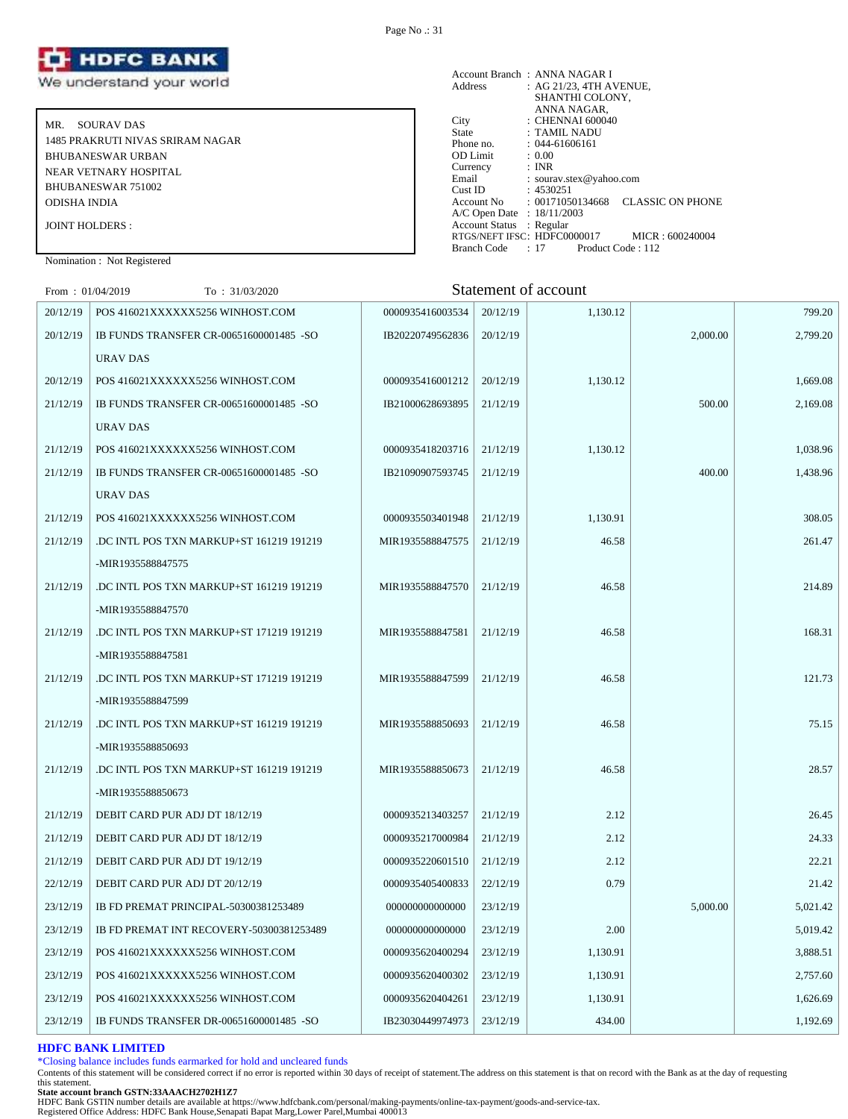

MR. SOURAV DAS 1485 PRAKRUTI NIVAS SRIRAM NAGAR BHUBANESWAR URBAN NEAR VETNARY HOSPITAL BHUBANESWAR 751002 ODISHA INDIA JOINT HOLDERS :

Account Branch : ANNA NAGAR I Address : AG 21/23, 4TH AVENUE, SHANTHI COLONY, ANNA NAGAR, City : CHENNAI 600040<br>State : TAMIL NADU State : TAMIL NADU Phone no. : 044-61606161 OD Limit : 0.00 Currency : INR Email : sourav.stex@yahoo.com Cust ID : 4530251 Account No : 00171050134668 CLASSIC ON PHONE A/C Open Date : 18/11/2003 Account Status : Regular RTGS/NEFT IFSC: HDFC0000017 MICR : 600240004<br>Branch Code : 17 Product Code : 112 Product Code : 112

Nomination : Not Registered

 $F_{\text{rem}}$  : 01/04/2019  $T_{\text{C}}$  : 31/03/2020  $T_{\text{C}}$  : 31/03/2020 Statement of account

| From: $01/04/2019$ | 10 : 31/03/2020                          |                  |          | Statulului of account |          |          |
|--------------------|------------------------------------------|------------------|----------|-----------------------|----------|----------|
| 20/12/19           | POS 416021XXXXXX5256 WINHOST.COM         | 0000935416003534 | 20/12/19 | 1.130.12              |          | 799.20   |
| 20/12/19           | IB FUNDS TRANSFER CR-00651600001485 -SO  | IB20220749562836 | 20/12/19 |                       | 2,000.00 | 2,799.20 |
|                    | URAV DAS                                 |                  |          |                       |          |          |
| 20/12/19           | POS 416021XXXXXX5256 WINHOST.COM         | 0000935416001212 | 20/12/19 | 1,130.12              |          | 1,669.08 |
| 21/12/19           | IB FUNDS TRANSFER CR-00651600001485 -SO  | IB21000628693895 | 21/12/19 |                       | 500.00   | 2,169.08 |
|                    | URAV DAS                                 |                  |          |                       |          |          |
| 21/12/19           | POS 416021XXXXXX5256 WINHOST.COM         | 0000935418203716 | 21/12/19 | 1,130.12              |          | 1,038.96 |
| 21/12/19           | IB FUNDS TRANSFER CR-00651600001485 -SO  | IB21090907593745 | 21/12/19 |                       | 400.00   | 1,438.96 |
|                    | URAV DAS                                 |                  |          |                       |          |          |
| 21/12/19           | POS 416021XXXXXX5256 WINHOST.COM         | 0000935503401948 | 21/12/19 | 1,130.91              |          | 308.05   |
| 21/12/19           | DC INTL POS TXN MARKUP+ST 161219 191219  | MIR1935588847575 | 21/12/19 | 46.58                 |          | 261.47   |
|                    | -MIR1935588847575                        |                  |          |                       |          |          |
| 21/12/19           | .DC INTL POS TXN MARKUP+ST 161219 191219 | MIR1935588847570 | 21/12/19 | 46.58                 |          | 214.89   |
|                    | -MIR1935588847570                        |                  |          |                       |          |          |
| 21/12/19           | DC INTL POS TXN MARKUP+ST 171219 191219  | MIR1935588847581 | 21/12/19 | 46.58                 |          | 168.31   |
|                    | -MIR1935588847581                        |                  |          |                       |          |          |
| 21/12/19           | DC INTL POS TXN MARKUP+ST 171219 191219  | MIR1935588847599 | 21/12/19 | 46.58                 |          | 121.73   |
|                    | -MIR1935588847599                        |                  |          |                       |          |          |
| 21/12/19           | DC INTL POS TXN MARKUP+ST 161219 191219  | MIR1935588850693 | 21/12/19 | 46.58                 |          | 75.15    |
|                    | -MIR1935588850693                        |                  |          |                       |          |          |
| 21/12/19           | DC INTL POS TXN MARKUP+ST 161219 191219  | MIR1935588850673 | 21/12/19 | 46.58                 |          | 28.57    |
|                    | -MIR1935588850673                        |                  |          |                       |          |          |
| 21/12/19           | DEBIT CARD PUR ADJ DT 18/12/19           | 0000935213403257 | 21/12/19 | 2.12                  |          | 26.45    |
| 21/12/19           | DEBIT CARD PUR ADJ DT 18/12/19           | 0000935217000984 | 21/12/19 | 2.12                  |          | 24.33    |
| 21/12/19           | DEBIT CARD PUR ADJ DT 19/12/19           | 0000935220601510 | 21/12/19 | 2.12                  |          | 22.21    |
| 22/12/19           | DEBIT CARD PUR ADJ DT 20/12/19           | 0000935405400833 | 22/12/19 | 0.79                  |          | 21.42    |
| 23/12/19           | IB FD PREMAT PRINCIPAL-50300381253489    | 000000000000000  | 23/12/19 |                       | 5,000.00 | 5,021.42 |
| 23/12/19           | IB FD PREMAT INT RECOVERY-50300381253489 | 000000000000000  | 23/12/19 | 2.00                  |          | 5,019.42 |
| 23/12/19           | POS 416021XXXXXX5256 WINHOST.COM         | 0000935620400294 | 23/12/19 | 1,130.91              |          | 3,888.51 |
| 23/12/19           | POS 416021XXXXXX5256 WINHOST.COM         | 0000935620400302 | 23/12/19 | 1,130.91              |          | 2,757.60 |
| 23/12/19           | POS 416021XXXXXX5256 WINHOST.COM         | 0000935620404261 | 23/12/19 | 1,130.91              |          | 1,626.69 |
| 23/12/19           | IB FUNDS TRANSFER DR-00651600001485 -SO  | IB23030449974973 | 23/12/19 | 434.00                |          | 1,192.69 |

#### **HDFC BANK LIMITED**

\*Closing balance includes funds earmarked for hold and uncleared funds

Contents of this statement will be considered correct if no error is reported within 30 days of receipt of statement.The address on this statement is that on record with the Bank as at the day of requesting this statement.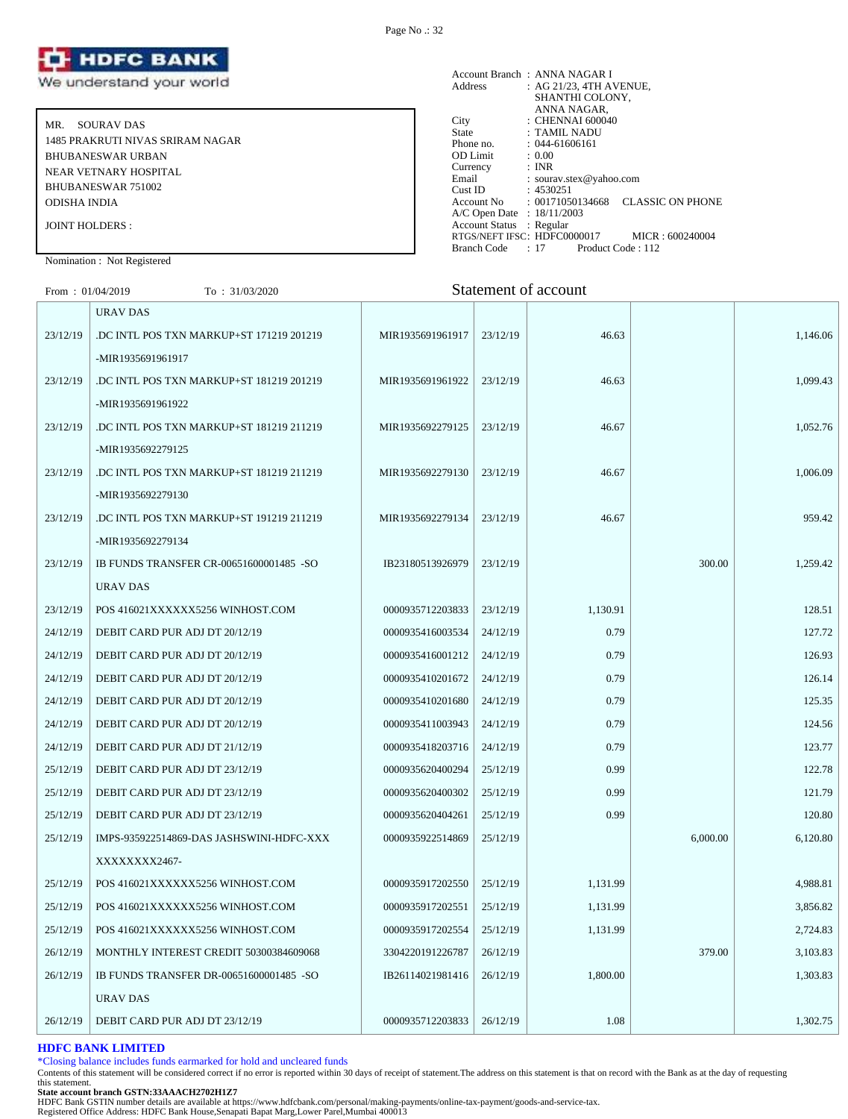

MR. SOURAV DAS 1485 PRAKRUTI NIVAS SRIRAM NAGAR BHUBANESWAR URBAN NEAR VETNARY HOSPITAL BHUBANESWAR 751002 ODISHA INDIA JOINT HOLDERS :

#### Account Branch : ANNA NAGAR I<br>Address : AG 21/23, 4TH A  $AC$  21/23, 4TH AVENUE, SHANTHI COLONY, ANNA NAGAR, City : CHENNAI 600040 State : TAMIL NADU Phone no. : 044-61606161<br>OD Limit : 0.00 OD Limit :  $0.00$ <br>Currency : INR Currency<br>Email Email : sourav.stex@yahoo.com<br>Cust ID : 4530251 Cust ID : 4530251<br>Account No : 0017105 : 00171050134668 CLASSIC ON PHONE A/C Open Date : 18/11/2003 Account Status : Regular RTGS/NEFT IFSC: HDFC0000017 MICR : 600240004<br>Branch Code : 17 Product Code : 112 Branch Code : 17

#### Nomination : Not Registered

| From: $01/04/2019$ | To: $31/03/2020$ | Statement of account |
|--------------------|------------------|----------------------|
|                    |                  |                      |

|          | URAV DAS                                 |                  |          |          |          |          |
|----------|------------------------------------------|------------------|----------|----------|----------|----------|
| 23/12/19 | .DC INTL POS TXN MARKUP+ST 171219 201219 | MIR1935691961917 | 23/12/19 | 46.63    |          | 1,146.06 |
|          | -MIR1935691961917                        |                  |          |          |          |          |
| 23/12/19 | DC INTL POS TXN MARKUP+ST 181219 201219  | MIR1935691961922 | 23/12/19 | 46.63    |          | 1.099.43 |
|          | -MIR1935691961922                        |                  |          |          |          |          |
| 23/12/19 | DC INTL POS TXN MARKUP+ST 181219 211219  | MIR1935692279125 | 23/12/19 | 46.67    |          | 1,052.76 |
|          | -MIR1935692279125                        |                  |          |          |          |          |
| 23/12/19 | DC INTL POS TXN MARKUP+ST 181219 211219  | MIR1935692279130 | 23/12/19 | 46.67    |          | 1,006.09 |
|          | -MIR1935692279130                        |                  |          |          |          |          |
| 23/12/19 | DC INTL POS TXN MARKUP+ST 191219 211219  | MIR1935692279134 | 23/12/19 | 46.67    |          | 959.42   |
|          | -MIR1935692279134                        |                  |          |          |          |          |
| 23/12/19 | IB FUNDS TRANSFER CR-00651600001485 -SO  | IB23180513926979 | 23/12/19 |          | 300.00   | 1,259.42 |
|          | <b>URAV DAS</b>                          |                  |          |          |          |          |
| 23/12/19 | POS 416021XXXXXX5256 WINHOST.COM         | 0000935712203833 | 23/12/19 | 1,130.91 |          | 128.51   |
| 24/12/19 | DEBIT CARD PUR ADJ DT 20/12/19           | 0000935416003534 | 24/12/19 | 0.79     |          | 127.72   |
| 24/12/19 | DEBIT CARD PUR ADJ DT 20/12/19           | 0000935416001212 | 24/12/19 | 0.79     |          | 126.93   |
| 24/12/19 | DEBIT CARD PUR ADJ DT 20/12/19           | 0000935410201672 | 24/12/19 | 0.79     |          | 126.14   |
| 24/12/19 | DEBIT CARD PUR ADJ DT 20/12/19           | 0000935410201680 | 24/12/19 | 0.79     |          | 125.35   |
| 24/12/19 | DEBIT CARD PUR ADJ DT 20/12/19           | 0000935411003943 | 24/12/19 | 0.79     |          | 124.56   |
| 24/12/19 | DEBIT CARD PUR ADJ DT 21/12/19           | 0000935418203716 | 24/12/19 | 0.79     |          | 123.77   |
| 25/12/19 | DEBIT CARD PUR ADJ DT 23/12/19           | 0000935620400294 | 25/12/19 | 0.99     |          | 122.78   |
| 25/12/19 | DEBIT CARD PUR ADJ DT 23/12/19           | 0000935620400302 | 25/12/19 | 0.99     |          | 121.79   |
| 25/12/19 | DEBIT CARD PUR ADJ DT 23/12/19           | 0000935620404261 | 25/12/19 | 0.99     |          | 120.80   |
| 25/12/19 | IMPS-935922514869-DAS JASHSWINI-HDFC-XXX | 0000935922514869 | 25/12/19 |          | 6,000.00 | 6,120.80 |
|          | XXXXXXX2467-                             |                  |          |          |          |          |
| 25/12/19 | POS 416021XXXXXX5256 WINHOST.COM         | 0000935917202550 | 25/12/19 | 1,131.99 |          | 4,988.81 |
| 25/12/19 | POS 416021XXXXXX5256 WINHOST.COM         | 0000935917202551 | 25/12/19 | 1,131.99 |          | 3,856.82 |
| 25/12/19 | POS 416021XXXXXX5256 WINHOST.COM         | 0000935917202554 | 25/12/19 | 1,131.99 |          | 2,724.83 |
| 26/12/19 | MONTHLY INTEREST CREDIT 50300384609068   | 3304220191226787 | 26/12/19 |          | 379.00   | 3,103.83 |
| 26/12/19 | IB FUNDS TRANSFER DR-00651600001485 -SO  | IB26114021981416 | 26/12/19 | 1,800.00 |          | 1,303.83 |
|          | URAV DAS                                 |                  |          |          |          |          |
| 26/12/19 | DEBIT CARD PUR ADJ DT 23/12/19           | 0000935712203833 | 26/12/19 | 1.08     |          | 1,302.75 |

#### **HDFC BANK LIMITED**

\*Closing balance includes funds earmarked for hold and uncleared funds

Contents of this statement will be considered correct if no error is reported within 30 days of receipt of statement.The address on this statement is that on record with the Bank as at the day of requesting this statement.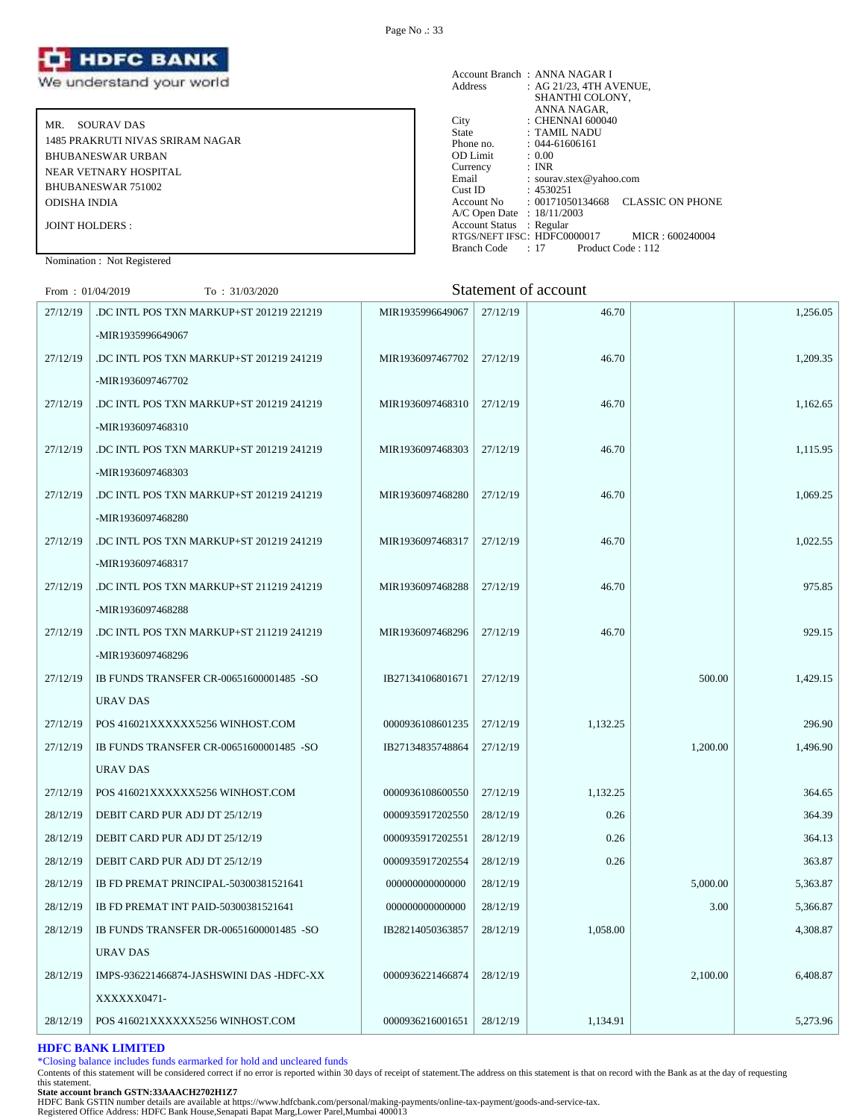

MR. SOURAV DAS 1485 PRAKRUTI NIVAS SRIRAM NAGAR BHUBANESWAR URBAN NEAR VETNARY HOSPITAL BHUBANESWAR 751002 ODISHA INDIA JOINT HOLDERS :

| Address                    | Account Branch: ANNA NAGAR I<br>: AG 21/23, 4TH AVENUE,<br>SHANTHI COLONY, |  |
|----------------------------|----------------------------------------------------------------------------|--|
|                            | ANNA NAGAR,                                                                |  |
| City                       | $\therefore$ CHENNAI 600040                                                |  |
| State                      | : TAMIL NADU                                                               |  |
| Phone no.                  | $: 044 - 61606161$                                                         |  |
| <b>OD</b> Limit            | : 0.00                                                                     |  |
| Currency                   | : INR                                                                      |  |
| Email                      | : sourav.stex@yahoo.com                                                    |  |
| Cust ID                    | : 4530251                                                                  |  |
|                            | <b>CLASSIC ON PHONE</b><br>$\text{Account No} \qquad : 00171050134668$     |  |
| A/C Open Date : 18/11/2003 |                                                                            |  |
| Account Status : Regular   |                                                                            |  |
|                            | RTGS/NEFT IFSC: HDFC0000017<br>MICR: 600240004                             |  |
| Branch Code                | $: 17$ Product Code $: 112$                                                |  |

Nomination : Not Registered

| From: $01/04/2019$ | To: 31/03/2020                           |                  |          | Statement of account |          |          |
|--------------------|------------------------------------------|------------------|----------|----------------------|----------|----------|
| 27/12/19           | DC INTL POS TXN MARKUP+ST 201219 221219  | MIR1935996649067 | 27/12/19 | 46.70                |          | 1,256.05 |
|                    | -MIR1935996649067                        |                  |          |                      |          |          |
| 27/12/19           | DC INTL POS TXN MARKUP+ST 201219 241219  | MIR1936097467702 | 27/12/19 | 46.70                |          | 1,209.35 |
|                    | -MIR1936097467702                        |                  |          |                      |          |          |
| 27/12/19           | DC INTL POS TXN MARKUP+ST 201219 241219  | MIR1936097468310 | 27/12/19 | 46.70                |          | 1,162.65 |
|                    | -MIR1936097468310                        |                  |          |                      |          |          |
| 27/12/19           | .DC INTL POS TXN MARKUP+ST 201219 241219 | MIR1936097468303 | 27/12/19 | 46.70                |          | 1,115.95 |
|                    | -MIR1936097468303                        |                  |          |                      |          |          |
| 27/12/19           | .DC INTL POS TXN MARKUP+ST 201219 241219 | MIR1936097468280 | 27/12/19 | 46.70                |          | 1,069.25 |
|                    | -MIR1936097468280                        |                  |          |                      |          |          |
| 27/12/19           | DC INTL POS TXN MARKUP+ST 201219 241219  | MIR1936097468317 | 27/12/19 | 46.70                |          | 1,022.55 |
|                    | -MIR1936097468317                        |                  |          |                      |          |          |
| 27/12/19           | DC INTL POS TXN MARKUP+ST 211219 241219. | MIR1936097468288 | 27/12/19 | 46.70                |          | 975.85   |
|                    | -MIR1936097468288                        |                  |          |                      |          |          |
| 27/12/19           | DC INTL POS TXN MARKUP+ST 211219 241219. | MIR1936097468296 | 27/12/19 | 46.70                |          | 929.15   |
|                    | -MIR1936097468296                        |                  |          |                      |          |          |
| 27/12/19           | IB FUNDS TRANSFER CR-00651600001485 -SO  | IB27134106801671 | 27/12/19 |                      | 500.00   | 1,429.15 |
|                    | URAV DAS                                 |                  |          |                      |          |          |
| 27/12/19           | POS 416021XXXXXX5256 WINHOST.COM         | 0000936108601235 | 27/12/19 | 1,132.25             |          | 296.90   |
| 27/12/19           | IB FUNDS TRANSFER CR-00651600001485 -SO  | IB27134835748864 | 27/12/19 |                      | 1,200.00 | 1,496.90 |
|                    | URAV DAS                                 |                  |          |                      |          |          |
| 27/12/19           | POS 416021XXXXXX5256 WINHOST.COM         | 0000936108600550 | 27/12/19 | 1,132.25             |          | 364.65   |
| 28/12/19           | DEBIT CARD PUR ADJ DT 25/12/19           | 0000935917202550 | 28/12/19 | 0.26                 |          | 364.39   |
| 28/12/19           | DEBIT CARD PUR ADJ DT 25/12/19           | 0000935917202551 | 28/12/19 | 0.26                 |          | 364.13   |
| 28/12/19           | DEBIT CARD PUR ADJ DT 25/12/19           | 0000935917202554 | 28/12/19 | 0.26                 |          | 363.87   |
| 28/12/19           | IB FD PREMAT PRINCIPAL-50300381521641    | 000000000000000  | 28/12/19 |                      | 5,000.00 | 5,363.87 |
| 28/12/19           | IB FD PREMAT INT PAID-50300381521641     | 000000000000000  | 28/12/19 |                      | 3.00     | 5,366.87 |
| 28/12/19           | IB FUNDS TRANSFER DR-00651600001485 -SO  | IB28214050363857 | 28/12/19 | 1,058.00             |          | 4,308.87 |
|                    | URAV DAS                                 |                  |          |                      |          |          |
| 28/12/19           | IMPS-936221466874-JASHSWINI DAS -HDFC-XX | 0000936221466874 | 28/12/19 |                      | 2,100.00 | 6,408.87 |
|                    | XXXXXX0471-                              |                  |          |                      |          |          |
| 28/12/19           | POS 416021XXXXXX5256 WINHOST.COM         | 0000936216001651 | 28/12/19 | 1,134.91             |          | 5,273.96 |

#### **HDFC BANK LIMITED**

\*Closing balance includes funds earmarked for hold and uncleared funds

Contents of this statement will be considered correct if no error is reported within 30 days of receipt of statement.The address on this statement is that on record with the Bank as at the day of requesting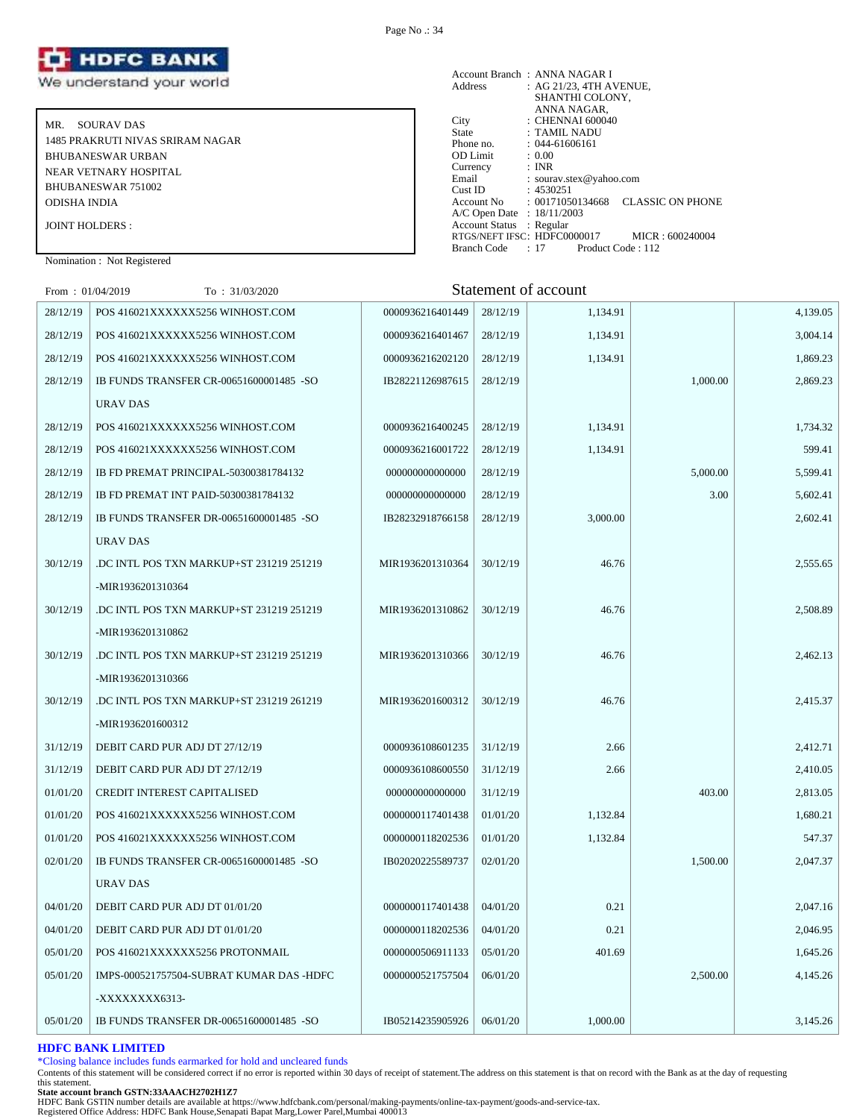

MR. SOURAV DAS 1485 PRAKRUTI NIVAS SRIRAM NAGAR BHUBANESWAR URBAN NEAR VETNARY HOSPITAL BHUBANESWAR 751002 ODISHA INDIA JOINT HOLDERS :

Account Branch : ANNA NAGAR I Address : AG 21/23, 4TH AVENUE, SHANTHI COLONY, ANNA NAGAR, City : CHENNAI 600040<br>State : TAMIL NADU State : TAMIL NADU Phone no. : 044-61606161 OD Limit : 0.00 Currency : INR Email : sourav.stex@yahoo.com Cust ID : 4530251 Account No : 00171050134668 CLASSIC ON PHONE A/C Open Date : 18/11/2003 Account Status : Regular RTGS/NEFT IFSC: HDFC0000017 MICR : 600240004 Branch Code : 17 Product Code : 112

Nomination : Not Registered

| From: $01/04/2019$ | To: 31/03/2020                           |                  |          | Statement of account |          |          |
|--------------------|------------------------------------------|------------------|----------|----------------------|----------|----------|
| 28/12/19           | POS 416021XXXXXX5256 WINHOST.COM         | 0000936216401449 | 28/12/19 | 1,134.91             |          | 4,139.05 |
| 28/12/19           | POS 416021XXXXXX5256 WINHOST.COM         | 0000936216401467 | 28/12/19 | 1,134.91             |          | 3,004.14 |
| 28/12/19           | POS 416021XXXXXX5256 WINHOST.COM         | 0000936216202120 | 28/12/19 | 1,134.91             |          | 1,869.23 |
| 28/12/19           | IB FUNDS TRANSFER CR-00651600001485 -SO  | IB28221126987615 | 28/12/19 |                      | 1,000.00 | 2,869.23 |
|                    | URAV DAS                                 |                  |          |                      |          |          |
| 28/12/19           | POS 416021XXXXXX5256 WINHOST.COM         | 0000936216400245 | 28/12/19 | 1,134.91             |          | 1,734.32 |
| 28/12/19           | POS 416021XXXXXX5256 WINHOST.COM         | 0000936216001722 | 28/12/19 | 1,134.91             |          | 599.41   |
| 28/12/19           | IB FD PREMAT PRINCIPAL-50300381784132    | 000000000000000  | 28/12/19 |                      | 5,000.00 | 5,599.41 |
| 28/12/19           | IB FD PREMAT INT PAID-50300381784132     | 000000000000000  | 28/12/19 |                      | 3.00     | 5,602.41 |
| 28/12/19           | IB FUNDS TRANSFER DR-00651600001485 -SO  | IB28232918766158 | 28/12/19 | 3,000.00             |          | 2,602.41 |
|                    | URAV DAS                                 |                  |          |                      |          |          |
| 30/12/19           | .DC INTL POS TXN MARKUP+ST 231219 251219 | MIR1936201310364 | 30/12/19 | 46.76                |          | 2,555.65 |
|                    | -MIR1936201310364                        |                  |          |                      |          |          |
| 30/12/19           | .DC INTL POS TXN MARKUP+ST 231219 251219 | MIR1936201310862 | 30/12/19 | 46.76                |          | 2,508.89 |
|                    | -MIR1936201310862                        |                  |          |                      |          |          |
| 30/12/19           | .DC INTL POS TXN MARKUP+ST 231219 251219 | MIR1936201310366 | 30/12/19 | 46.76                |          | 2,462.13 |
|                    | -MIR1936201310366                        |                  |          |                      |          |          |
| 30/12/19           | DC INTL POS TXN MARKUP+ST 231219 261219  | MIR1936201600312 | 30/12/19 | 46.76                |          | 2,415.37 |
|                    | -MIR1936201600312                        |                  |          |                      |          |          |
| 31/12/19           | DEBIT CARD PUR ADJ DT 27/12/19           | 0000936108601235 | 31/12/19 | 2.66                 |          | 2,412.71 |
| 31/12/19           | DEBIT CARD PUR ADJ DT 27/12/19           | 0000936108600550 | 31/12/19 | 2.66                 |          | 2,410.05 |
| 01/01/20           | <b>CREDIT INTEREST CAPITALISED</b>       | 000000000000000  | 31/12/19 |                      | 403.00   | 2,813.05 |
| 01/01/20           | POS 416021XXXXXX5256 WINHOST.COM         | 0000000117401438 | 01/01/20 | 1,132.84             |          | 1,680.21 |
| 01/01/20           | POS 416021XXXXXX5256 WINHOST.COM         | 0000000118202536 | 01/01/20 | 1,132.84             |          | 547.37   |
| 02/01/20           | IB FUNDS TRANSFER CR-00651600001485 -SO  | IB02020225589737 | 02/01/20 |                      | 1,500.00 | 2,047.37 |
|                    | URAV DAS                                 |                  |          |                      |          |          |
| 04/01/20           | DEBIT CARD PUR ADJ DT 01/01/20           | 0000000117401438 | 04/01/20 | 0.21                 |          | 2,047.16 |
| 04/01/20           | DEBIT CARD PUR ADJ DT 01/01/20           | 0000000118202536 | 04/01/20 | 0.21                 |          | 2,046.95 |
| 05/01/20           | POS 416021XXXXXX5256 PROTONMAIL          | 0000000506911133 | 05/01/20 | 401.69               |          | 1,645.26 |
| 05/01/20           | IMPS-000521757504-SUBRAT KUMAR DAS -HDFC | 0000000521757504 | 06/01/20 |                      | 2,500.00 | 4,145.26 |
|                    | -XXXXXXXX6313-                           |                  |          |                      |          |          |
| 05/01/20           | IB FUNDS TRANSFER DR-00651600001485 -SO  | IB05214235905926 | 06/01/20 | 1,000.00             |          | 3,145.26 |

#### **HDFC BANK LIMITED**

\*Closing balance includes funds earmarked for hold and uncleared funds

Contents of this statement will be considered correct if no error is reported within 30 days of receipt of statement.The address on this statement is that on record with the Bank as at the day of requesting this statement.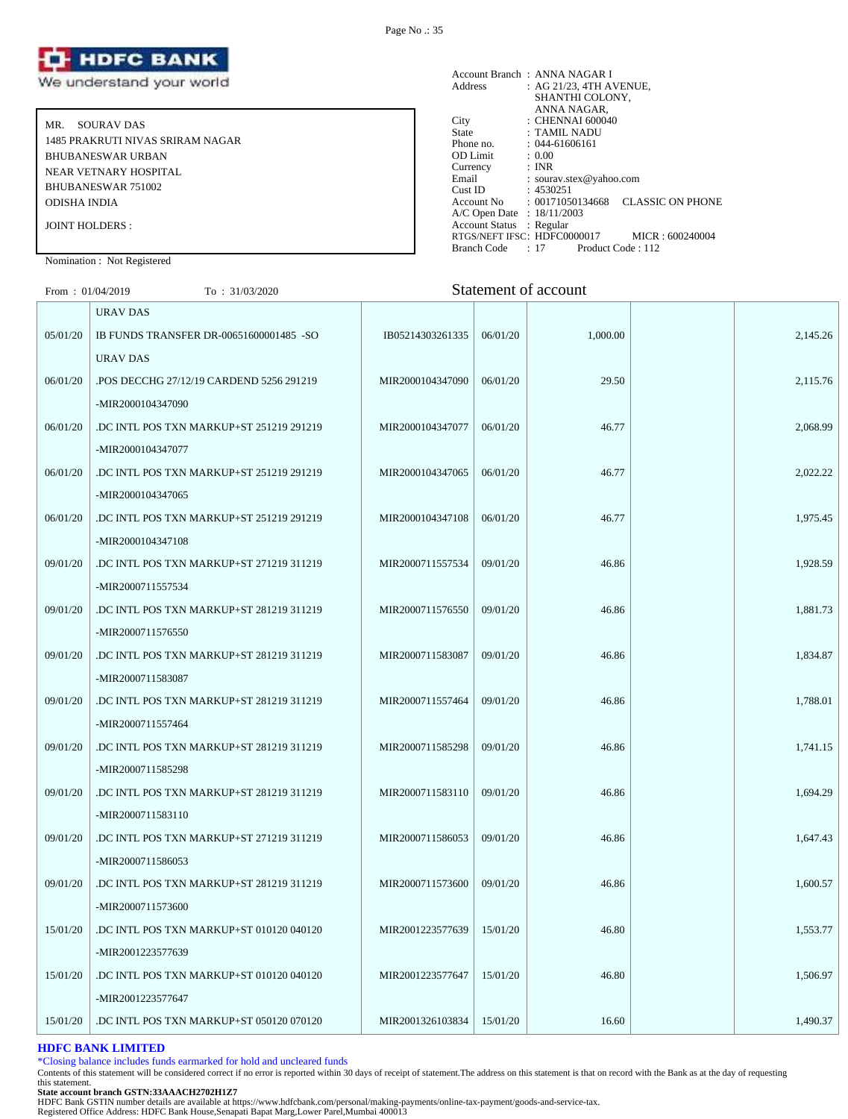

MR. SOURAV DAS 1485 PRAKRUTI NIVAS SRIRAM NAGAR BHUBANESWAR URBAN NEAR VETNARY HOSPITAL BHUBANESWAR 751002 ODISHA INDIA JOINT HOLDERS :

#### Account Branch : ANNA NAGAR I Address : AG 21/23, 4TH AVENUE, SHANTHI COLONY, ANNA NAGAR, City : CHENNAI 600040 State : TAMIL NADU Phone no. : 044-61606161<br>
OD Limit : 0.00<br>
Currency : INR OD Limit Currency<br>Email : sourav.stex@yahoo.com Cust ID : 4530251 Account No : 00171050134668 CLASSIC ON PHONE A/C Open Date : 18/11/2003 Account Status : Regular RTGS/NEFT IFSC: HDFC0000017 MICR : 600240004<br>Branch Code : 17 Product Code : 112 Branch Code : 17

## Nomination : Not Registered

# From : 01/04/2019 To : 31/03/2020 Statement of account

|          | URAV DAS                                 |                  |          |          |          |
|----------|------------------------------------------|------------------|----------|----------|----------|
| 05/01/20 | IB FUNDS TRANSFER DR-00651600001485 -SO  | IB05214303261335 | 06/01/20 | 1,000.00 | 2,145.26 |
|          | URAV DAS                                 |                  |          |          |          |
| 06/01/20 | POS DECCHG 27/12/19 CARDEND 5256 291219  | MIR2000104347090 | 06/01/20 | 29.50    | 2,115.76 |
|          | -MIR2000104347090                        |                  |          |          |          |
| 06/01/20 | DC INTL POS TXN MARKUP+ST 251219 291219  | MIR2000104347077 | 06/01/20 | 46.77    | 2,068.99 |
|          | -MIR2000104347077                        |                  |          |          |          |
| 06/01/20 | DC INTL POS TXN MARKUP+ST 251219 291219  | MIR2000104347065 | 06/01/20 | 46.77    | 2,022.22 |
|          | -MIR2000104347065                        |                  |          |          |          |
| 06/01/20 | DC INTL POS TXN MARKUP+ST 251219 291219  | MIR2000104347108 | 06/01/20 | 46.77    | 1,975.45 |
|          | -MIR2000104347108                        |                  |          |          |          |
| 09/01/20 | .DC INTL POS TXN MARKUP+ST 271219 311219 | MIR2000711557534 | 09/01/20 | 46.86    | 1,928.59 |
|          | -MIR2000711557534                        |                  |          |          |          |
| 09/01/20 | DC INTL POS TXN MARKUP+ST 281219 311219. | MIR2000711576550 | 09/01/20 | 46.86    | 1,881.73 |
|          | -MIR2000711576550                        |                  |          |          |          |
| 09/01/20 | DC INTL POS TXN MARKUP+ST 281219 311219  | MIR2000711583087 | 09/01/20 | 46.86    | 1,834.87 |
|          | -MIR2000711583087                        |                  |          |          |          |
| 09/01/20 | DC INTL POS TXN MARKUP+ST 281219 311219  | MIR2000711557464 | 09/01/20 | 46.86    | 1,788.01 |
|          | -MIR2000711557464                        |                  |          |          |          |
| 09/01/20 | DC INTL POS TXN MARKUP+ST 281219 311219  | MIR2000711585298 | 09/01/20 | 46.86    | 1,741.15 |
|          | -MIR2000711585298                        |                  |          |          |          |
| 09/01/20 | .DC INTL POS TXN MARKUP+ST 281219 311219 | MIR2000711583110 | 09/01/20 | 46.86    | 1,694.29 |
|          | -MIR2000711583110                        |                  |          |          |          |
| 09/01/20 | DC INTL POS TXN MARKUP+ST 271219 311219  | MIR2000711586053 | 09/01/20 | 46.86    | 1,647.43 |
|          | -MIR2000711586053                        |                  |          |          |          |
| 09/01/20 | DC INTL POS TXN MARKUP+ST 281219 311219  | MIR2000711573600 | 09/01/20 | 46.86    | 1,600.57 |
|          | -MIR2000711573600                        |                  |          |          |          |
| 15/01/20 | DC INTL POS TXN MARKUP+ST 010120 040120  | MIR2001223577639 | 15/01/20 | 46.80    | 1,553.77 |
|          | -MIR2001223577639                        |                  |          |          |          |
| 15/01/20 | DC INTL POS TXN MARKUP+ST 010120 040120  | MIR2001223577647 | 15/01/20 | 46.80    | 1.506.97 |
|          | -MIR2001223577647                        |                  |          |          |          |
| 15/01/20 | .DC INTL POS TXN MARKUP+ST 050120 070120 | MIR2001326103834 | 15/01/20 | 16.60    | 1,490.37 |
|          |                                          |                  |          |          |          |

# **HDFC BANK LIMITED**

\*Closing balance includes funds earmarked for hold and uncleared funds

Contents of this statement will be considered correct if no error is reported within 30 days of receipt of statement.The address on this statement is that on record with the Bank as at the day of requesting this statement.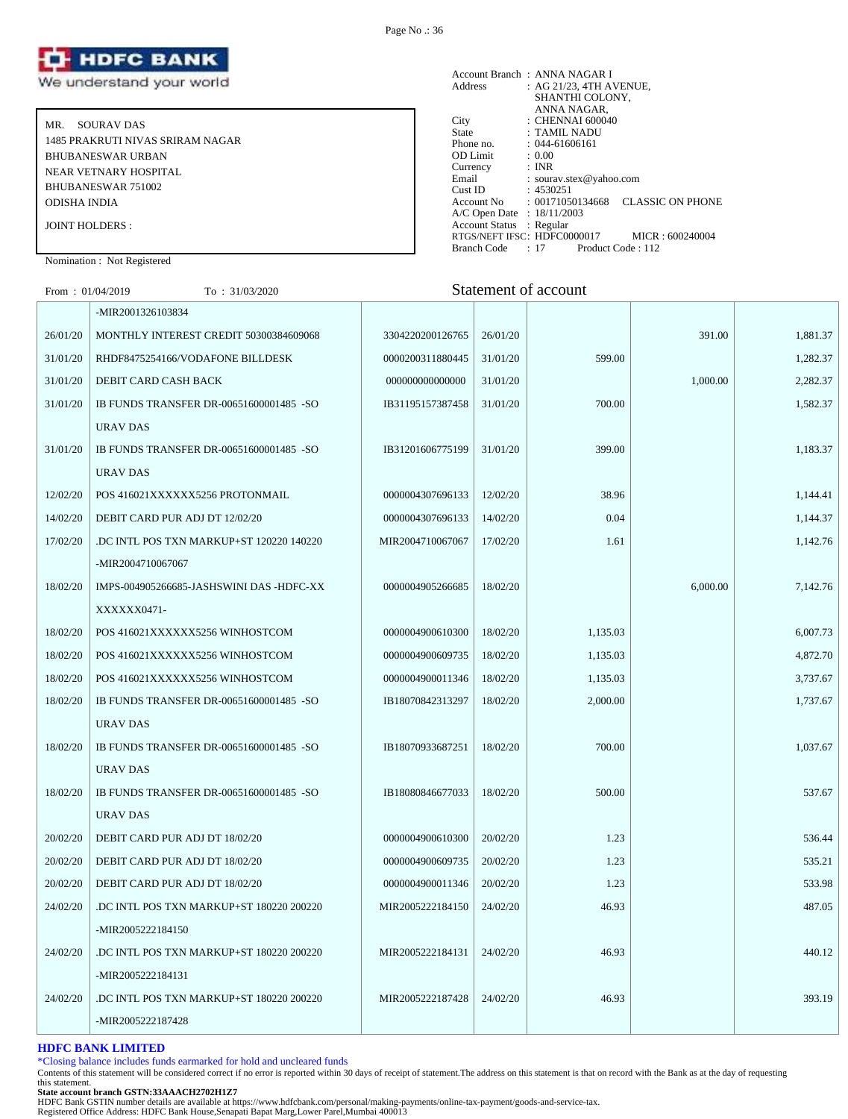

MR. SOURAV DAS 1485 PRAKRUTI NIVAS SRIRAM NAGAR BHUBANESWAR URBAN NEAR VETNARY HOSPITAL BHUBANESWAR 751002 ODISHA INDIA JOINT HOLDERS :

Account Branch: ANNA NAGAR I<br>Address: : AG 21/23, 4TH A : AG 21/23, 4TH AVENUE, SHANTHI COLONY, ANNA NAGAR, City : CHENNAI 600040 State : TAMIL NADU Phone no. : 044-61606161<br>OD Limit : 0.00 OD Limit :  $0.00$ <br>Currency : INR Currency<br>Email Email : sourav.stex@yahoo.com<br>Cust ID : 4530251  $: 4530251$ Account No : 00171050134668 CLASSIC ON PHONE A/C Open Date : 18/11/2003 Account Status : Regular RTGS/NEFT IFSC: HDFC0000017 MICR : 600240004<br>Branch Code : 17 Product Code : 112 Branch Code : 17

# Nomination : Not Registered

| From: $01/04/2019$ | To: 31/03/2020                           |                  |          | Statement of account |          |          |
|--------------------|------------------------------------------|------------------|----------|----------------------|----------|----------|
|                    | -MIR2001326103834                        |                  |          |                      |          |          |
| 26/01/20           | MONTHLY INTEREST CREDIT 50300384609068   | 3304220200126765 | 26/01/20 |                      | 391.00   | 1,881.37 |
| 31/01/20           | RHDF8475254166/VODAFONE BILLDESK         | 0000200311880445 | 31/01/20 | 599.00               |          | 1,282.37 |
| 31/01/20           | DEBIT CARD CASH BACK                     | 000000000000000  | 31/01/20 |                      | 1,000.00 | 2,282.37 |
| 31/01/20           | IB FUNDS TRANSFER DR-00651600001485 -SO  | IB31195157387458 | 31/01/20 | 700.00               |          | 1,582.37 |
|                    | <b>URAV DAS</b>                          |                  |          |                      |          |          |
| 31/01/20           | IB FUNDS TRANSFER DR-00651600001485 -SO  | IB31201606775199 | 31/01/20 | 399.00               |          | 1,183.37 |
|                    | <b>URAV DAS</b>                          |                  |          |                      |          |          |
| 12/02/20           | POS 416021XXXXXX5256 PROTONMAIL          | 0000004307696133 | 12/02/20 | 38.96                |          | 1,144.41 |
| 14/02/20           | DEBIT CARD PUR ADJ DT 12/02/20           | 0000004307696133 | 14/02/20 | 0.04                 |          | 1,144.37 |
| 17/02/20           | .DC INTL POS TXN MARKUP+ST 120220 140220 | MIR2004710067067 | 17/02/20 | 1.61                 |          | 1,142.76 |
|                    | -MIR2004710067067                        |                  |          |                      |          |          |
| 18/02/20           | IMPS-004905266685-JASHSWINI DAS -HDFC-XX | 0000004905266685 | 18/02/20 |                      | 6,000.00 | 7,142.76 |
|                    | XXXXXX0471-                              |                  |          |                      |          |          |
| 18/02/20           | POS 416021XXXXXX5256 WINHOSTCOM          | 0000004900610300 | 18/02/20 | 1,135.03             |          | 6,007.73 |
| 18/02/20           | POS 416021XXXXXX5256 WINHOSTCOM          | 0000004900609735 | 18/02/20 | 1,135.03             |          | 4,872.70 |
| 18/02/20           | POS 416021XXXXXX5256 WINHOSTCOM          | 0000004900011346 | 18/02/20 | 1,135.03             |          | 3,737.67 |
| 18/02/20           | IB FUNDS TRANSFER DR-00651600001485 -SO  | IB18070842313297 | 18/02/20 | 2,000.00             |          | 1,737.67 |
|                    | <b>URAV DAS</b>                          |                  |          |                      |          |          |
| 18/02/20           | IB FUNDS TRANSFER DR-00651600001485 -SO  | IB18070933687251 | 18/02/20 | 700.00               |          | 1,037.67 |
|                    | <b>URAV DAS</b>                          |                  |          |                      |          |          |
| 18/02/20           | IB FUNDS TRANSFER DR-00651600001485 -SO  | IB18080846677033 | 18/02/20 | 500.00               |          | 537.67   |
|                    | <b>URAV DAS</b>                          |                  |          |                      |          |          |
| 20/02/20           | DEBIT CARD PUR ADJ DT 18/02/20           | 0000004900610300 | 20/02/20 | 1.23                 |          | 536.44   |
| 20/02/20           | DEBIT CARD PUR ADJ DT 18/02/20           | 0000004900609735 | 20/02/20 | 1.23                 |          | 535.21   |
| 20/02/20           | DEBIT CARD PUR ADJ DT 18/02/20           | 0000004900011346 | 20/02/20 | 1.23                 |          | 533.98   |
| 24/02/20           | .DC INTL POS TXN MARKUP+ST 180220 200220 | MIR2005222184150 | 24/02/20 | 46.93                |          | 487.05   |
|                    | -MIR2005222184150                        |                  |          |                      |          |          |
| 24/02/20           | .DC INTL POS TXN MARKUP+ST 180220 200220 | MIR2005222184131 | 24/02/20 | 46.93                |          | 440.12   |
|                    | -MIR2005222184131                        |                  |          |                      |          |          |
| 24/02/20           | .DC INTL POS TXN MARKUP+ST 180220 200220 | MIR2005222187428 | 24/02/20 | 46.93                |          | 393.19   |

#### **HDFC BANK LIMITED**

\*Closing balance includes funds earmarked for hold and uncleared funds

Contents of this statement will be considered correct if no error is reported within 30 days of receipt of statement.The address on this statement is that on record with the Bank as at the day of requesting this statement.

-MIR2005222187428